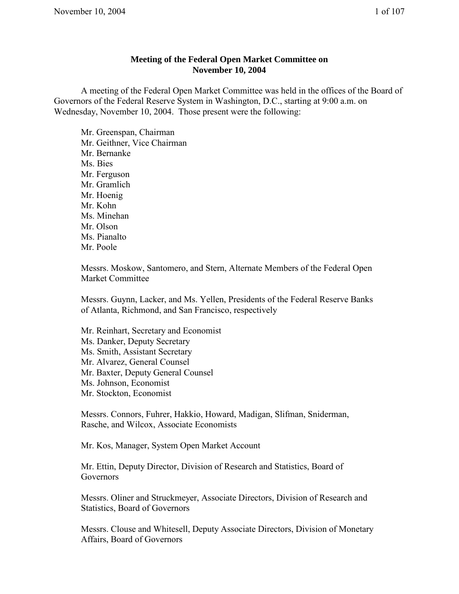## **Meeting of the Federal Open Market Committee on November 10, 2004**

A meeting of the Federal Open Market Committee was held in the offices of the Board of Governors of the Federal Reserve System in Washington, D.C., starting at 9:00 a.m. on Wednesday, November 10, 2004. Those present were the following:

Mr. Greenspan, Chairman Mr. Geithner, Vice Chairman Mr. Bernanke Ms. Bies Mr. Ferguson Mr. Gramlich Mr. Hoenig Mr. Kohn Ms. Minehan Mr. Olson Ms. Pianalto Mr. Poole

Messrs. Moskow, Santomero, and Stern, Alternate Members of the Federal Open Market Committee

Messrs. Guynn, Lacker, and Ms. Yellen, Presidents of the Federal Reserve Banks of Atlanta, Richmond, and San Francisco, respectively

Mr. Reinhart, Secretary and Economist Ms. Danker, Deputy Secretary Ms. Smith, Assistant Secretary Mr. Alvarez, General Counsel Mr. Baxter, Deputy General Counsel Ms. Johnson, Economist Mr. Stockton, Economist

Messrs. Connors, Fuhrer, Hakkio, Howard, Madigan, Slifman, Sniderman, Rasche, and Wilcox, Associate Economists

Mr. Kos, Manager, System Open Market Account

Mr. Ettin, Deputy Director, Division of Research and Statistics, Board of Governors

Messrs. Oliner and Struckmeyer, Associate Directors, Division of Research and Statistics, Board of Governors

Messrs. Clouse and Whitesell, Deputy Associate Directors, Division of Monetary Affairs, Board of Governors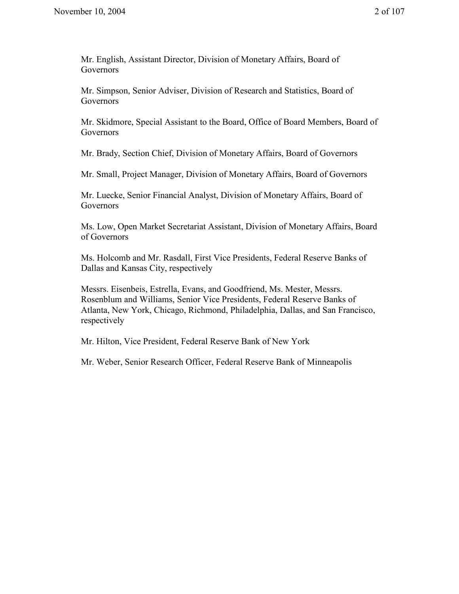Mr. English, Assistant Director, Division of Monetary Affairs, Board of **Governors** 

Mr. Simpson, Senior Adviser, Division of Research and Statistics, Board of **Governors** 

Mr. Skidmore, Special Assistant to the Board, Office of Board Members, Board of Governors

Mr. Brady, Section Chief, Division of Monetary Affairs, Board of Governors

Mr. Small, Project Manager, Division of Monetary Affairs, Board of Governors

Mr. Luecke, Senior Financial Analyst, Division of Monetary Affairs, Board of Governors

Ms. Low, Open Market Secretariat Assistant, Division of Monetary Affairs, Board of Governors

Ms. Holcomb and Mr. Rasdall, First Vice Presidents, Federal Reserve Banks of Dallas and Kansas City, respectively

Messrs. Eisenbeis, Estrella, Evans, and Goodfriend, Ms. Mester, Messrs. Rosenblum and Williams, Senior Vice Presidents, Federal Reserve Banks of Atlanta, New York, Chicago, Richmond, Philadelphia, Dallas, and San Francisco, respectively

Mr. Hilton, Vice President, Federal Reserve Bank of New York

Mr. Weber, Senior Research Officer, Federal Reserve Bank of Minneapolis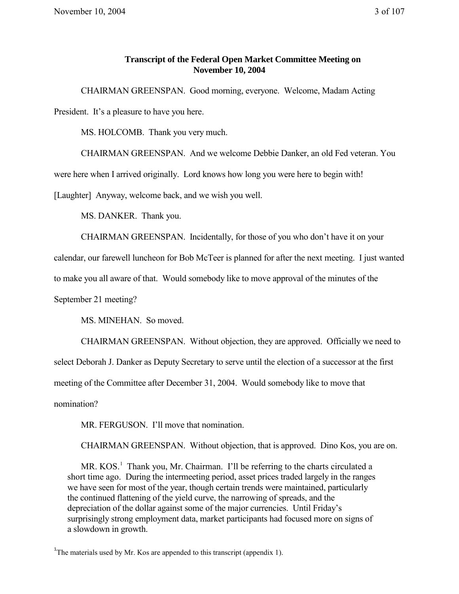## **Transcript of the Federal Open Market Committee Meeting on November 10, 2004**

CHAIRMAN GREENSPAN. Good morning, everyone. Welcome, Madam Acting President. It's a pleasure to have you here.

MS. HOLCOMB. Thank you very much.

CHAIRMAN GREENSPAN. And we welcome Debbie Danker, an old Fed veteran. You

were here when I arrived originally. Lord knows how long you were here to begin with!

[Laughter] Anyway, welcome back, and we wish you well.

MS. DANKER. Thank you.

CHAIRMAN GREENSPAN. Incidentally, for those of you who don't have it on your

calendar, our farewell luncheon for Bob McTeer is planned for after the next meeting. I just wanted

to make you all aware of that. Would somebody like to move approval of the minutes of the

September 21 meeting?

MS. MINEHAN. So moved.

CHAIRMAN GREENSPAN. Without objection, they are approved. Officially we need to

select Deborah J. Danker as Deputy Secretary to serve until the election of a successor at the first

meeting of the Committee after December 31, 2004. Would somebody like to move that

nomination?

MR. FERGUSON. I'll move that nomination.

CHAIRMAN GREENSPAN. Without objection, that is approved. Dino Kos, you are on.

MR. KOS.<sup>1</sup> Thank you, Mr. Chairman. I'll be referring to the charts circulated a short time ago. During the intermeeting period, asset prices traded largely in the ranges we have seen for most of the year, though certain trends were maintained, particularly the continued flattening of the yield curve, the narrowing of spreads, and the depreciation of the dollar against some of the major currencies. Until Friday's surprisingly strong employment data, market participants had focused more on signs of a slowdown in growth.

<sup>&</sup>lt;sup>1</sup>The materials used by Mr. Kos are appended to this transcript (appendix 1).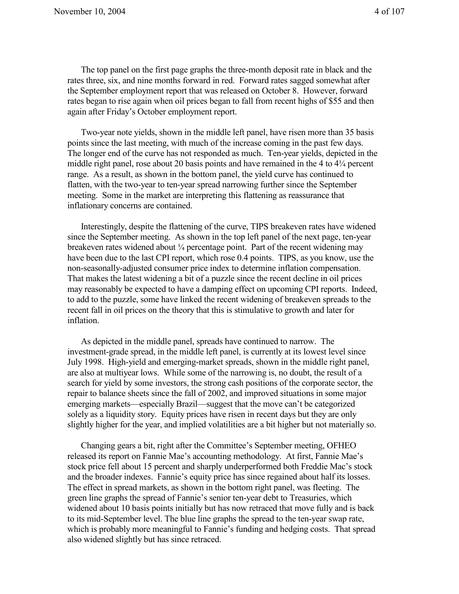The top panel on the first page graphs the three-month deposit rate in black and the rates three, six, and nine months forward in red. Forward rates sagged somewhat after the September employment report that was released on October 8. However, forward rates began to rise again when oil prices began to fall from recent highs of \$55 and then again after Friday's October employment report.

Two-year note yields, shown in the middle left panel, have risen more than 35 basis points since the last meeting, with much of the increase coming in the past few days. The longer end of the curve has not responded as much. Ten-year yields, depicted in the middle right panel, rose about 20 basis points and have remained in the 4 to 4¼ percent range. As a result, as shown in the bottom panel, the yield curve has continued to flatten, with the two-year to ten-year spread narrowing further since the September meeting. Some in the market are interpreting this flattening as reassurance that inflationary concerns are contained.

Interestingly, despite the flattening of the curve, TIPS breakeven rates have widened since the September meeting. As shown in the top left panel of the next page, ten-year breakeven rates widened about ¼ percentage point. Part of the recent widening may have been due to the last CPI report, which rose 0.4 points. TIPS, as you know, use the non-seasonally-adjusted consumer price index to determine inflation compensation. That makes the latest widening a bit of a puzzle since the recent decline in oil prices may reasonably be expected to have a damping effect on upcoming CPI reports. Indeed, to add to the puzzle, some have linked the recent widening of breakeven spreads to the recent fall in oil prices on the theory that this is stimulative to growth and later for inflation.

As depicted in the middle panel, spreads have continued to narrow. The investment-grade spread, in the middle left panel, is currently at its lowest level since July 1998. High-yield and emerging-market spreads, shown in the middle right panel, are also at multiyear lows. While some of the narrowing is, no doubt, the result of a search for yield by some investors, the strong cash positions of the corporate sector, the repair to balance sheets since the fall of 2002, and improved situations in some major emerging markets—especially Brazil—suggest that the move can't be categorized solely as a liquidity story. Equity prices have risen in recent days but they are only slightly higher for the year, and implied volatilities are a bit higher but not materially so.

Changing gears a bit, right after the Committee's September meeting, OFHEO released its report on Fannie Mae's accounting methodology. At first, Fannie Mae's stock price fell about 15 percent and sharply underperformed both Freddie Mac's stock and the broader indexes. Fannie's equity price has since regained about half its losses. The effect in spread markets, as shown in the bottom right panel, was fleeting. The green line graphs the spread of Fannie's senior ten-year debt to Treasuries, which widened about 10 basis points initially but has now retraced that move fully and is back to its mid-September level. The blue line graphs the spread to the ten-year swap rate, which is probably more meaningful to Fannie's funding and hedging costs. That spread also widened slightly but has since retraced.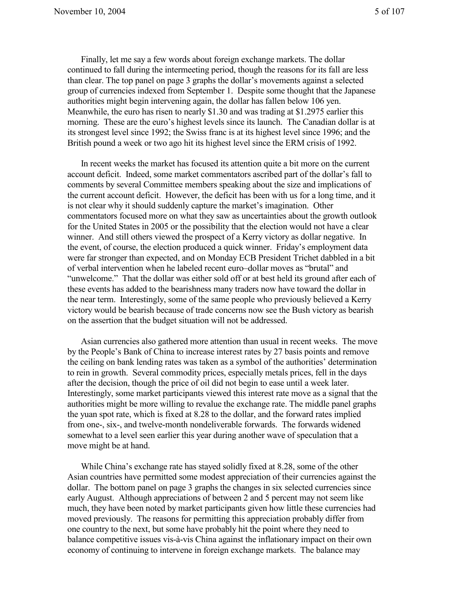Finally, let me say a few words about foreign exchange markets. The dollar continued to fall during the intermeeting period, though the reasons for its fall are less than clear. The top panel on page 3 graphs the dollar's movements against a selected group of currencies indexed from September 1. Despite some thought that the Japanese authorities might begin intervening again, the dollar has fallen below 106 yen. Meanwhile, the euro has risen to nearly \$1.30 and was trading at \$1.2975 earlier this morning. These are the euro's highest levels since its launch. The Canadian dollar is at its strongest level since 1992; the Swiss franc is at its highest level since 1996; and the British pound a week or two ago hit its highest level since the ERM crisis of 1992.

In recent weeks the market has focused its attention quite a bit more on the current account deficit. Indeed, some market commentators ascribed part of the dollar's fall to comments by several Committee members speaking about the size and implications of the current account deficit. However, the deficit has been with us for a long time, and it is not clear why it should suddenly capture the market's imagination. Other commentators focused more on what they saw as uncertainties about the growth outlook for the United States in 2005 or the possibility that the election would not have a clear winner. And still others viewed the prospect of a Kerry victory as dollar negative. In the event, of course, the election produced a quick winner. Friday's employment data were far stronger than expected, and on Monday ECB President Trichet dabbled in a bit of verbal intervention when he labeled recent euro–dollar moves as "brutal" and "unwelcome." That the dollar was either sold off or at best held its ground after each of these events has added to the bearishness many traders now have toward the dollar in the near term. Interestingly, some of the same people who previously believed a Kerry victory would be bearish because of trade concerns now see the Bush victory as bearish on the assertion that the budget situation will not be addressed.

Asian currencies also gathered more attention than usual in recent weeks. The move by the People's Bank of China to increase interest rates by 27 basis points and remove the ceiling on bank lending rates was taken as a symbol of the authorities' determination to rein in growth. Several commodity prices, especially metals prices, fell in the days after the decision, though the price of oil did not begin to ease until a week later. Interestingly, some market participants viewed this interest rate move as a signal that the authorities might be more willing to revalue the exchange rate. The middle panel graphs the yuan spot rate, which is fixed at 8.28 to the dollar, and the forward rates implied from one-, six-, and twelve-month nondeliverable forwards. The forwards widened somewhat to a level seen earlier this year during another wave of speculation that a move might be at hand.

While China's exchange rate has stayed solidly fixed at 8.28, some of the other Asian countries have permitted some modest appreciation of their currencies against the dollar. The bottom panel on page 3 graphs the changes in six selected currencies since early August. Although appreciations of between 2 and 5 percent may not seem like much, they have been noted by market participants given how little these currencies had moved previously. The reasons for permitting this appreciation probably differ from one country to the next, but some have probably hit the point where they need to balance competitive issues vis-à-vis China against the inflationary impact on their own economy of continuing to intervene in foreign exchange markets. The balance may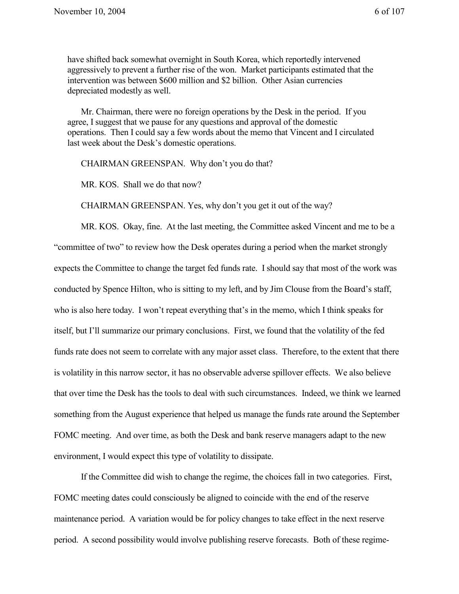have shifted back somewhat overnight in South Korea, which reportedly intervened aggressively to prevent a further rise of the won. Market participants estimated that the intervention was between \$600 million and \$2 billion. Other Asian currencies depreciated modestly as well.

Mr. Chairman, there were no foreign operations by the Desk in the period. If you agree, I suggest that we pause for any questions and approval of the domestic operations. Then I could say a few words about the memo that Vincent and I circulated last week about the Desk's domestic operations.

CHAIRMAN GREENSPAN. Why don't you do that?

MR. KOS. Shall we do that now?

CHAIRMAN GREENSPAN. Yes, why don't you get it out of the way?

MR. KOS. Okay, fine. At the last meeting, the Committee asked Vincent and me to be a "committee of two" to review how the Desk operates during a period when the market strongly expects the Committee to change the target fed funds rate. I should say that most of the work was conducted by Spence Hilton, who is sitting to my left, and by Jim Clouse from the Board's staff, who is also here today. I won't repeat everything that's in the memo, which I think speaks for itself, but I'll summarize our primary conclusions. First, we found that the volatility of the fed funds rate does not seem to correlate with any major asset class. Therefore, to the extent that there is volatility in this narrow sector, it has no observable adverse spillover effects. We also believe that over time the Desk has the tools to deal with such circumstances. Indeed, we think we learned something from the August experience that helped us manage the funds rate around the September FOMC meeting. And over time, as both the Desk and bank reserve managers adapt to the new environment, I would expect this type of volatility to dissipate.

If the Committee did wish to change the regime, the choices fall in two categories. First, FOMC meeting dates could consciously be aligned to coincide with the end of the reserve maintenance period. A variation would be for policy changes to take effect in the next reserve period. A second possibility would involve publishing reserve forecasts. Both of these regime-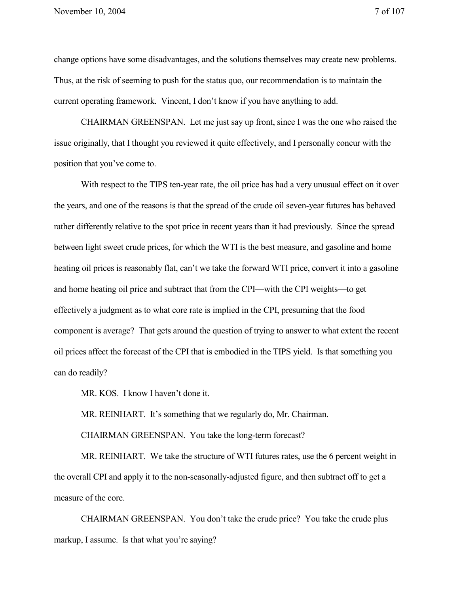change options have some disadvantages, and the solutions themselves may create new problems. Thus, at the risk of seeming to push for the status quo, our recommendation is to maintain the current operating framework. Vincent, I don't know if you have anything to add.

CHAIRMAN GREENSPAN. Let me just say up front, since I was the one who raised the issue originally, that I thought you reviewed it quite effectively, and I personally concur with the position that you've come to.

With respect to the TIPS ten-year rate, the oil price has had a very unusual effect on it over the years, and one of the reasons is that the spread of the crude oil seven-year futures has behaved rather differently relative to the spot price in recent years than it had previously. Since the spread between light sweet crude prices, for which the WTI is the best measure, and gasoline and home heating oil prices is reasonably flat, can't we take the forward WTI price, convert it into a gasoline and home heating oil price and subtract that from the CPI—with the CPI weights—to get effectively a judgment as to what core rate is implied in the CPI, presuming that the food component is average? That gets around the question of trying to answer to what extent the recent oil prices affect the forecast of the CPI that is embodied in the TIPS yield. Is that something you can do readily?

MR. KOS. I know I haven't done it.

MR. REINHART. It's something that we regularly do, Mr. Chairman.

CHAIRMAN GREENSPAN. You take the long-term forecast?

MR. REINHART. We take the structure of WTI futures rates, use the 6 percent weight in the overall CPI and apply it to the non-seasonally-adjusted figure, and then subtract off to get a measure of the core.

CHAIRMAN GREENSPAN. You don't take the crude price? You take the crude plus markup, I assume. Is that what you're saying?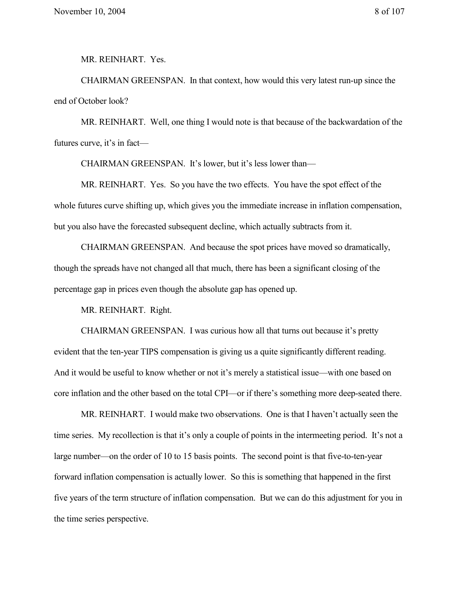MR. REINHART. Yes.

CHAIRMAN GREENSPAN. In that context, how would this very latest run-up since the end of October look?

MR. REINHART. Well, one thing I would note is that because of the backwardation of the futures curve, it's in fact—

CHAIRMAN GREENSPAN. It's lower, but it's less lower than—

MR. REINHART. Yes. So you have the two effects. You have the spot effect of the whole futures curve shifting up, which gives you the immediate increase in inflation compensation, but you also have the forecasted subsequent decline, which actually subtracts from it.

CHAIRMAN GREENSPAN. And because the spot prices have moved so dramatically, though the spreads have not changed all that much, there has been a significant closing of the percentage gap in prices even though the absolute gap has opened up.

MR. REINHART. Right.

CHAIRMAN GREENSPAN. I was curious how all that turns out because it's pretty evident that the ten-year TIPS compensation is giving us a quite significantly different reading. And it would be useful to know whether or not it's merely a statistical issue—with one based on core inflation and the other based on the total CPI—or if there's something more deep-seated there.

MR. REINHART. I would make two observations. One is that I haven't actually seen the time series. My recollection is that it's only a couple of points in the intermeeting period. It's not a large number—on the order of 10 to 15 basis points. The second point is that five-to-ten-year forward inflation compensation is actually lower. So this is something that happened in the first five years of the term structure of inflation compensation. But we can do this adjustment for you in the time series perspective.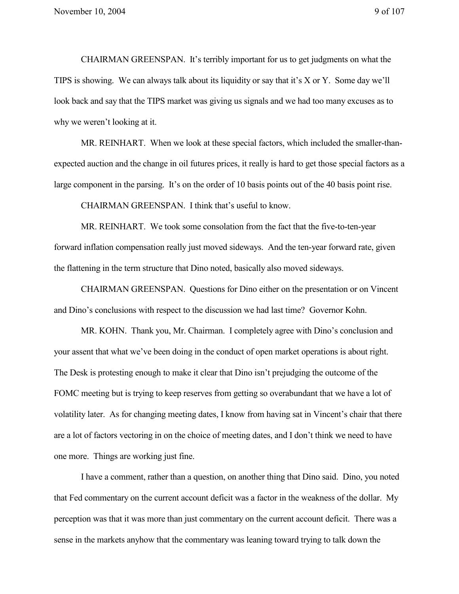CHAIRMAN GREENSPAN. It's terribly important for us to get judgments on what the TIPS is showing. We can always talk about its liquidity or say that it's X or Y. Some day we'll look back and say that the TIPS market was giving us signals and we had too many excuses as to why we weren't looking at it.

MR. REINHART. When we look at these special factors, which included the smaller-thanexpected auction and the change in oil futures prices, it really is hard to get those special factors as a large component in the parsing. It's on the order of 10 basis points out of the 40 basis point rise.

CHAIRMAN GREENSPAN. I think that's useful to know.

MR. REINHART. We took some consolation from the fact that the five-to-ten-year forward inflation compensation really just moved sideways. And the ten-year forward rate, given the flattening in the term structure that Dino noted, basically also moved sideways.

CHAIRMAN GREENSPAN. Questions for Dino either on the presentation or on Vincent and Dino's conclusions with respect to the discussion we had last time? Governor Kohn.

MR. KOHN. Thank you, Mr. Chairman. I completely agree with Dino's conclusion and your assent that what we've been doing in the conduct of open market operations is about right. The Desk is protesting enough to make it clear that Dino isn't prejudging the outcome of the FOMC meeting but is trying to keep reserves from getting so overabundant that we have a lot of volatility later. As for changing meeting dates, I know from having sat in Vincent's chair that there are a lot of factors vectoring in on the choice of meeting dates, and I don't think we need to have one more. Things are working just fine.

I have a comment, rather than a question, on another thing that Dino said. Dino, you noted that Fed commentary on the current account deficit was a factor in the weakness of the dollar. My perception was that it was more than just commentary on the current account deficit. There was a sense in the markets anyhow that the commentary was leaning toward trying to talk down the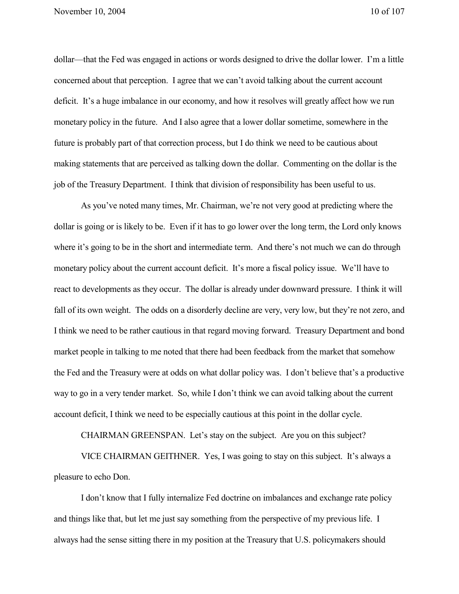dollar—that the Fed was engaged in actions or words designed to drive the dollar lower. I'm a little concerned about that perception. I agree that we can't avoid talking about the current account deficit. It's a huge imbalance in our economy, and how it resolves will greatly affect how we run monetary policy in the future. And I also agree that a lower dollar sometime, somewhere in the future is probably part of that correction process, but I do think we need to be cautious about making statements that are perceived as talking down the dollar. Commenting on the dollar is the job of the Treasury Department. I think that division of responsibility has been useful to us.

As you've noted many times, Mr. Chairman, we're not very good at predicting where the dollar is going or is likely to be. Even if it has to go lower over the long term, the Lord only knows where it's going to be in the short and intermediate term. And there's not much we can do through monetary policy about the current account deficit. It's more a fiscal policy issue. We'll have to react to developments as they occur. The dollar is already under downward pressure. I think it will fall of its own weight. The odds on a disorderly decline are very, very low, but they're not zero, and I think we need to be rather cautious in that regard moving forward. Treasury Department and bond market people in talking to me noted that there had been feedback from the market that somehow the Fed and the Treasury were at odds on what dollar policy was. I don't believe that's a productive way to go in a very tender market. So, while I don't think we can avoid talking about the current account deficit, I think we need to be especially cautious at this point in the dollar cycle.

CHAIRMAN GREENSPAN. Let's stay on the subject. Are you on this subject?

VICE CHAIRMAN GEITHNER. Yes, I was going to stay on this subject. It's always a pleasure to echo Don.

I don't know that I fully internalize Fed doctrine on imbalances and exchange rate policy and things like that, but let me just say something from the perspective of my previous life. I always had the sense sitting there in my position at the Treasury that U.S. policymakers should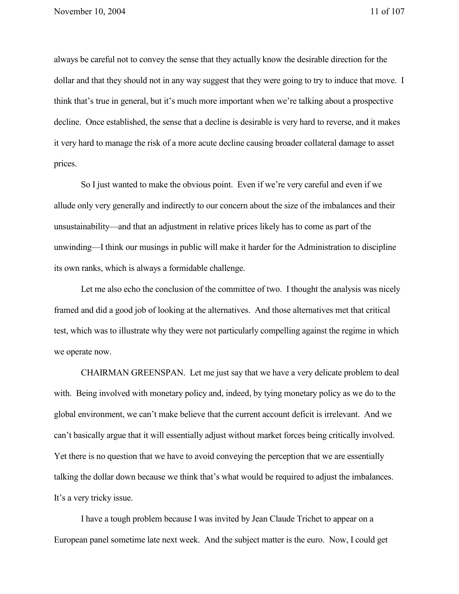always be careful not to convey the sense that they actually know the desirable direction for the dollar and that they should not in any way suggest that they were going to try to induce that move. I think that's true in general, but it's much more important when we're talking about a prospective decline. Once established, the sense that a decline is desirable is very hard to reverse, and it makes it very hard to manage the risk of a more acute decline causing broader collateral damage to asset prices.

So I just wanted to make the obvious point. Even if we're very careful and even if we allude only very generally and indirectly to our concern about the size of the imbalances and their unsustainability—and that an adjustment in relative prices likely has to come as part of the unwinding—I think our musings in public will make it harder for the Administration to discipline its own ranks, which is always a formidable challenge.

Let me also echo the conclusion of the committee of two. I thought the analysis was nicely framed and did a good job of looking at the alternatives. And those alternatives met that critical test, which was to illustrate why they were not particularly compelling against the regime in which we operate now.

CHAIRMAN GREENSPAN. Let me just say that we have a very delicate problem to deal with. Being involved with monetary policy and, indeed, by tying monetary policy as we do to the global environment, we can't make believe that the current account deficit is irrelevant. And we can't basically argue that it will essentially adjust without market forces being critically involved. Yet there is no question that we have to avoid conveying the perception that we are essentially talking the dollar down because we think that's what would be required to adjust the imbalances. It's a very tricky issue.

I have a tough problem because I was invited by Jean Claude Trichet to appear on a European panel sometime late next week. And the subject matter is the euro. Now, I could get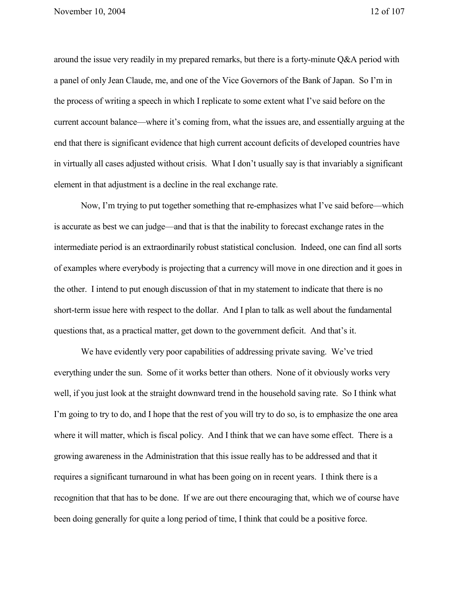around the issue very readily in my prepared remarks, but there is a forty-minute Q&A period with a panel of only Jean Claude, me, and one of the Vice Governors of the Bank of Japan. So I'm in the process of writing a speech in which I replicate to some extent what I've said before on the current account balance—where it's coming from, what the issues are, and essentially arguing at the end that there is significant evidence that high current account deficits of developed countries have in virtually all cases adjusted without crisis. What I don't usually say is that invariably a significant element in that adjustment is a decline in the real exchange rate.

Now, I'm trying to put together something that re-emphasizes what I've said before—which is accurate as best we can judge—and that is that the inability to forecast exchange rates in the intermediate period is an extraordinarily robust statistical conclusion. Indeed, one can find all sorts of examples where everybody is projecting that a currency will move in one direction and it goes in the other. I intend to put enough discussion of that in my statement to indicate that there is no short-term issue here with respect to the dollar. And I plan to talk as well about the fundamental questions that, as a practical matter, get down to the government deficit. And that's it.

We have evidently very poor capabilities of addressing private saving. We've tried everything under the sun. Some of it works better than others. None of it obviously works very well, if you just look at the straight downward trend in the household saving rate. So I think what I'm going to try to do, and I hope that the rest of you will try to do so, is to emphasize the one area where it will matter, which is fiscal policy. And I think that we can have some effect. There is a growing awareness in the Administration that this issue really has to be addressed and that it requires a significant turnaround in what has been going on in recent years. I think there is a recognition that that has to be done. If we are out there encouraging that, which we of course have been doing generally for quite a long period of time, I think that could be a positive force.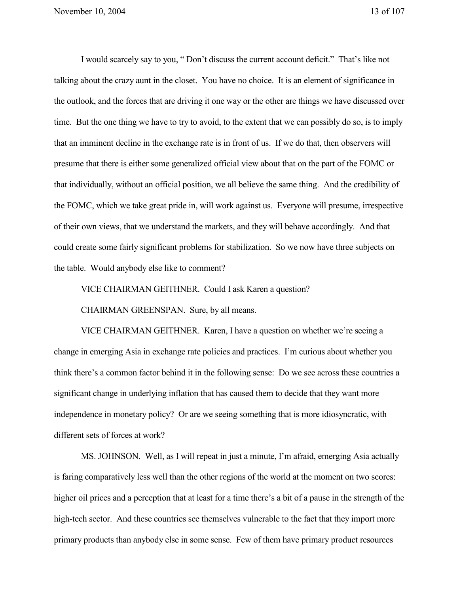I would scarcely say to you, " Don't discuss the current account deficit." That's like not talking about the crazy aunt in the closet. You have no choice. It is an element of significance in the outlook, and the forces that are driving it one way or the other are things we have discussed over time. But the one thing we have to try to avoid, to the extent that we can possibly do so, is to imply that an imminent decline in the exchange rate is in front of us. If we do that, then observers will presume that there is either some generalized official view about that on the part of the FOMC or that individually, without an official position, we all believe the same thing. And the credibility of the FOMC, which we take great pride in, will work against us. Everyone will presume, irrespective of their own views, that we understand the markets, and they will behave accordingly. And that could create some fairly significant problems for stabilization. So we now have three subjects on the table. Would anybody else like to comment?

VICE CHAIRMAN GEITHNER. Could I ask Karen a question?

CHAIRMAN GREENSPAN. Sure, by all means.

VICE CHAIRMAN GEITHNER. Karen, I have a question on whether we're seeing a change in emerging Asia in exchange rate policies and practices. I'm curious about whether you think there's a common factor behind it in the following sense: Do we see across these countries a significant change in underlying inflation that has caused them to decide that they want more independence in monetary policy? Or are we seeing something that is more idiosyncratic, with different sets of forces at work?

MS. JOHNSON. Well, as I will repeat in just a minute, I'm afraid, emerging Asia actually is faring comparatively less well than the other regions of the world at the moment on two scores: higher oil prices and a perception that at least for a time there's a bit of a pause in the strength of the high-tech sector. And these countries see themselves vulnerable to the fact that they import more primary products than anybody else in some sense. Few of them have primary product resources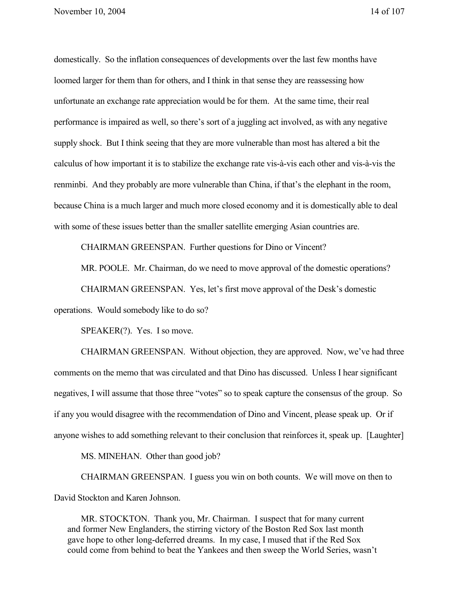domestically. So the inflation consequences of developments over the last few months have loomed larger for them than for others, and I think in that sense they are reassessing how unfortunate an exchange rate appreciation would be for them. At the same time, their real performance is impaired as well, so there's sort of a juggling act involved, as with any negative supply shock. But I think seeing that they are more vulnerable than most has altered a bit the calculus of how important it is to stabilize the exchange rate vis-à-vis each other and vis-à-vis the renminbi. And they probably are more vulnerable than China, if that's the elephant in the room, because China is a much larger and much more closed economy and it is domestically able to deal with some of these issues better than the smaller satellite emerging Asian countries are.

CHAIRMAN GREENSPAN. Further questions for Dino or Vincent?

MR. POOLE. Mr. Chairman, do we need to move approval of the domestic operations?

CHAIRMAN GREENSPAN. Yes, let's first move approval of the Desk's domestic

operations. Would somebody like to do so?

SPEAKER(?). Yes. I so move.

CHAIRMAN GREENSPAN. Without objection, they are approved. Now, we've had three comments on the memo that was circulated and that Dino has discussed. Unless I hear significant negatives, I will assume that those three "votes" so to speak capture the consensus of the group. So if any you would disagree with the recommendation of Dino and Vincent, please speak up. Or if anyone wishes to add something relevant to their conclusion that reinforces it, speak up. [Laughter]

MS. MINEHAN. Other than good job?

CHAIRMAN GREENSPAN. I guess you win on both counts. We will move on then to David Stockton and Karen Johnson.

MR. STOCKTON. Thank you, Mr. Chairman. I suspect that for many current and former New Englanders, the stirring victory of the Boston Red Sox last month gave hope to other long-deferred dreams. In my case, I mused that if the Red Sox could come from behind to beat the Yankees and then sweep the World Series, wasn't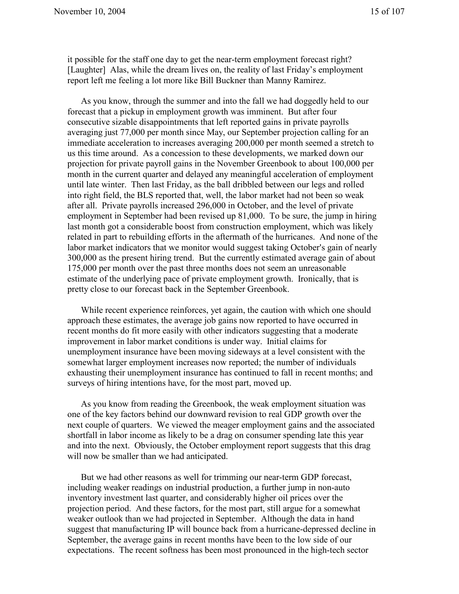it possible for the staff one day to get the near-term employment forecast right? [Laughter] Alas, while the dream lives on, the reality of last Friday's employment report left me feeling a lot more like Bill Buckner than Manny Ramirez.

As you know, through the summer and into the fall we had doggedly held to our forecast that a pickup in employment growth was imminent. But after four consecutive sizable disappointments that left reported gains in private payrolls averaging just 77,000 per month since May, our September projection calling for an immediate acceleration to increases averaging 200,000 per month seemed a stretch to us this time around. As a concession to these developments, we marked down our projection for private payroll gains in the November Greenbook to about 100,000 per month in the current quarter and delayed any meaningful acceleration of employment until late winter. Then last Friday, as the ball dribbled between our legs and rolled into right field, the BLS reported that, well, the labor market had not been so weak after all. Private payrolls increased 296,000 in October, and the level of private employment in September had been revised up 81,000. To be sure, the jump in hiring last month got a considerable boost from construction employment, which was likely related in part to rebuilding efforts in the aftermath of the hurricanes. And none of the labor market indicators that we monitor would suggest taking October's gain of nearly 300,000 as the present hiring trend. But the currently estimated average gain of about 175,000 per month over the past three months does not seem an unreasonable estimate of the underlying pace of private employment growth. Ironically, that is pretty close to our forecast back in the September Greenbook.

While recent experience reinforces, yet again, the caution with which one should approach these estimates, the average job gains now reported to have occurred in recent months do fit more easily with other indicators suggesting that a moderate improvement in labor market conditions is under way. Initial claims for unemployment insurance have been moving sideways at a level consistent with the somewhat larger employment increases now reported; the number of individuals exhausting their unemployment insurance has continued to fall in recent months; and surveys of hiring intentions have, for the most part, moved up.

As you know from reading the Greenbook, the weak employment situation was one of the key factors behind our downward revision to real GDP growth over the next couple of quarters. We viewed the meager employment gains and the associated shortfall in labor income as likely to be a drag on consumer spending late this year and into the next. Obviously, the October employment report suggests that this drag will now be smaller than we had anticipated.

But we had other reasons as well for trimming our near-term GDP forecast, including weaker readings on industrial production, a further jump in non-auto inventory investment last quarter, and considerably higher oil prices over the projection period. And these factors, for the most part, still argue for a somewhat weaker outlook than we had projected in September. Although the data in hand suggest that manufacturing IP will bounce back from a hurricane-depressed decline in September, the average gains in recent months have been to the low side of our expectations. The recent softness has been most pronounced in the high-tech sector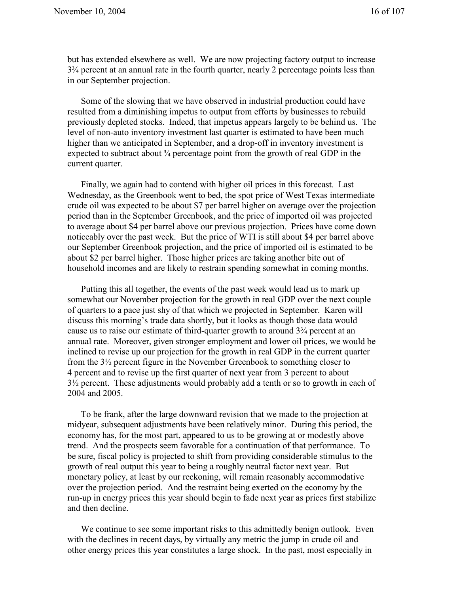but has extended elsewhere as well. We are now projecting factory output to increase 3¾ percent at an annual rate in the fourth quarter, nearly 2 percentage points less than in our September projection.

Some of the slowing that we have observed in industrial production could have resulted from a diminishing impetus to output from efforts by businesses to rebuild previously depleted stocks. Indeed, that impetus appears largely to be behind us. The level of non-auto inventory investment last quarter is estimated to have been much higher than we anticipated in September, and a drop-off in inventory investment is expected to subtract about  $\frac{3}{4}$  percentage point from the growth of real GDP in the current quarter.

Finally, we again had to contend with higher oil prices in this forecast. Last Wednesday, as the Greenbook went to bed, the spot price of West Texas intermediate crude oil was expected to be about \$7 per barrel higher on average over the projection period than in the September Greenbook, and the price of imported oil was projected to average about \$4 per barrel above our previous projection. Prices have come down noticeably over the past week. But the price of WTI is still about \$4 per barrel above our September Greenbook projection, and the price of imported oil is estimated to be about \$2 per barrel higher. Those higher prices are taking another bite out of household incomes and are likely to restrain spending somewhat in coming months.

Putting this all together, the events of the past week would lead us to mark up somewhat our November projection for the growth in real GDP over the next couple of quarters to a pace just shy of that which we projected in September. Karen will discuss this morning's trade data shortly, but it looks as though those data would cause us to raise our estimate of third-quarter growth to around  $3<sup>3</sup>/<sub>4</sub>$  percent at an annual rate. Moreover, given stronger employment and lower oil prices, we would be inclined to revise up our projection for the growth in real GDP in the current quarter from the 3½ percent figure in the November Greenbook to something closer to 4 percent and to revise up the first quarter of next year from 3 percent to about 3½ percent. These adjustments would probably add a tenth or so to growth in each of 2004 and 2005.

To be frank, after the large downward revision that we made to the projection at midyear, subsequent adjustments have been relatively minor. During this period, the economy has, for the most part, appeared to us to be growing at or modestly above trend. And the prospects seem favorable for a continuation of that performance. To be sure, fiscal policy is projected to shift from providing considerable stimulus to the growth of real output this year to being a roughly neutral factor next year. But monetary policy, at least by our reckoning, will remain reasonably accommodative over the projection period. And the restraint being exerted on the economy by the run-up in energy prices this year should begin to fade next year as prices first stabilize and then decline.

We continue to see some important risks to this admittedly benign outlook. Even with the declines in recent days, by virtually any metric the jump in crude oil and other energy prices this year constitutes a large shock. In the past, most especially in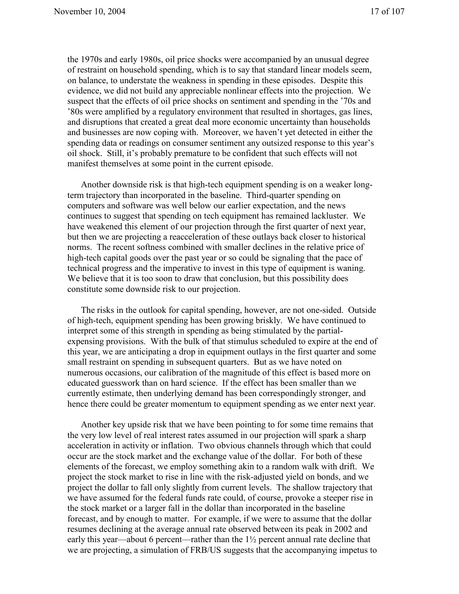the 1970s and early 1980s, oil price shocks were accompanied by an unusual degree of restraint on household spending, which is to say that standard linear models seem, on balance, to understate the weakness in spending in these episodes. Despite this evidence, we did not build any appreciable nonlinear effects into the projection. We suspect that the effects of oil price shocks on sentiment and spending in the '70s and '80s were amplified by a regulatory environment that resulted in shortages, gas lines, and disruptions that created a great deal more economic uncertainty than households and businesses are now coping with. Moreover, we haven't yet detected in either the spending data or readings on consumer sentiment any outsized response to this year's oil shock. Still, it's probably premature to be confident that such effects will not manifest themselves at some point in the current episode.

Another downside risk is that high-tech equipment spending is on a weaker longterm trajectory than incorporated in the baseline. Third-quarter spending on computers and software was well below our earlier expectation, and the news continues to suggest that spending on tech equipment has remained lackluster. We have weakened this element of our projection through the first quarter of next year, but then we are projecting a reacceleration of these outlays back closer to historical norms. The recent softness combined with smaller declines in the relative price of high-tech capital goods over the past year or so could be signaling that the pace of technical progress and the imperative to invest in this type of equipment is waning. We believe that it is too soon to draw that conclusion, but this possibility does constitute some downside risk to our projection.

The risks in the outlook for capital spending, however, are not one-sided. Outside of high-tech, equipment spending has been growing briskly. We have continued to interpret some of this strength in spending as being stimulated by the partialexpensing provisions. With the bulk of that stimulus scheduled to expire at the end of this year, we are anticipating a drop in equipment outlays in the first quarter and some small restraint on spending in subsequent quarters. But as we have noted on numerous occasions, our calibration of the magnitude of this effect is based more on educated guesswork than on hard science. If the effect has been smaller than we currently estimate, then underlying demand has been correspondingly stronger, and hence there could be greater momentum to equipment spending as we enter next year.

Another key upside risk that we have been pointing to for some time remains that the very low level of real interest rates assumed in our projection will spark a sharp acceleration in activity or inflation. Two obvious channels through which that could occur are the stock market and the exchange value of the dollar. For both of these elements of the forecast, we employ something akin to a random walk with drift. We project the stock market to rise in line with the risk-adjusted yield on bonds, and we project the dollar to fall only slightly from current levels. The shallow trajectory that we have assumed for the federal funds rate could, of course, provoke a steeper rise in the stock market or a larger fall in the dollar than incorporated in the baseline forecast, and by enough to matter. For example, if we were to assume that the dollar resumes declining at the average annual rate observed between its peak in 2002 and early this year—about 6 percent—rather than the  $1\frac{1}{2}$  percent annual rate decline that we are projecting, a simulation of FRB/US suggests that the accompanying impetus to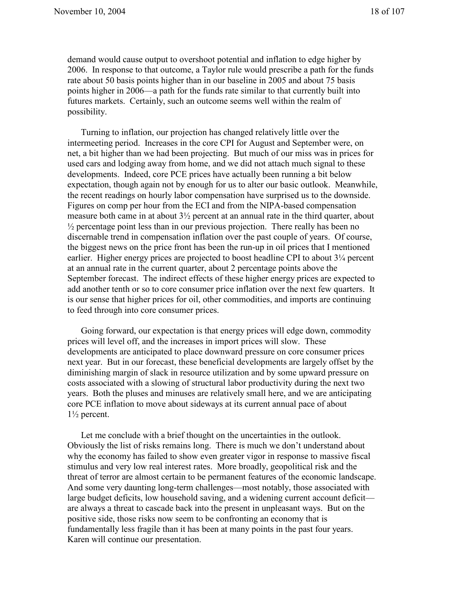demand would cause output to overshoot potential and inflation to edge higher by 2006. In response to that outcome, a Taylor rule would prescribe a path for the funds rate about 50 basis points higher than in our baseline in 2005 and about 75 basis points higher in 2006—a path for the funds rate similar to that currently built into futures markets. Certainly, such an outcome seems well within the realm of possibility.

Turning to inflation, our projection has changed relatively little over the intermeeting period. Increases in the core CPI for August and September were, on net, a bit higher than we had been projecting. But much of our miss was in prices for used cars and lodging away from home, and we did not attach much signal to these developments. Indeed, core PCE prices have actually been running a bit below expectation, though again not by enough for us to alter our basic outlook. Meanwhile, the recent readings on hourly labor compensation have surprised us to the downside. Figures on comp per hour from the ECI and from the NIPA-based compensation measure both came in at about 3½ percent at an annual rate in the third quarter, about  $\frac{1}{2}$  percentage point less than in our previous projection. There really has been no discernable trend in compensation inflation over the past couple of years. Of course, the biggest news on the price front has been the run-up in oil prices that I mentioned earlier. Higher energy prices are projected to boost headline CPI to about  $3\frac{1}{4}$  percent at an annual rate in the current quarter, about 2 percentage points above the September forecast. The indirect effects of these higher energy prices are expected to add another tenth or so to core consumer price inflation over the next few quarters. It is our sense that higher prices for oil, other commodities, and imports are continuing to feed through into core consumer prices.

Going forward, our expectation is that energy prices will edge down, commodity prices will level off, and the increases in import prices will slow. These developments are anticipated to place downward pressure on core consumer prices next year. But in our forecast, these beneficial developments are largely offset by the diminishing margin of slack in resource utilization and by some upward pressure on costs associated with a slowing of structural labor productivity during the next two years. Both the pluses and minuses are relatively small here, and we are anticipating core PCE inflation to move about sideways at its current annual pace of about  $1\frac{1}{2}$  percent.

Let me conclude with a brief thought on the uncertainties in the outlook. Obviously the list of risks remains long. There is much we don't understand about why the economy has failed to show even greater vigor in response to massive fiscal stimulus and very low real interest rates. More broadly, geopolitical risk and the threat of terror are almost certain to be permanent features of the economic landscape. And some very daunting long-term challenges—most notably, those associated with large budget deficits, low household saving, and a widening current account deficit are always a threat to cascade back into the present in unpleasant ways. But on the positive side, those risks now seem to be confronting an economy that is fundamentally less fragile than it has been at many points in the past four years. Karen will continue our presentation.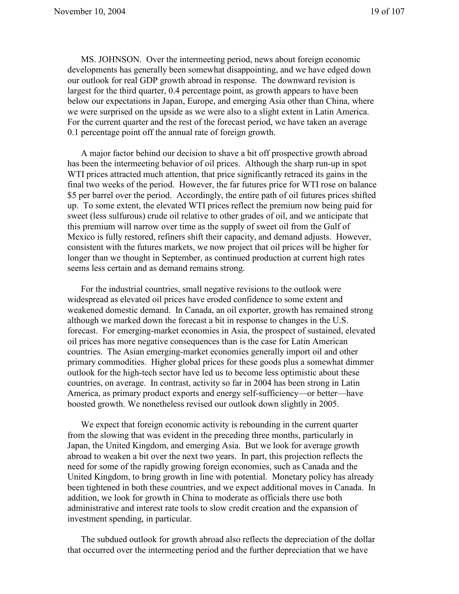MS. JOHNSON. Over the intermeeting period, news about foreign economic developments has generally been somewhat disappointing, and we have edged down our outlook for real GDP growth abroad in response. The downward revision is largest for the third quarter, 0.4 percentage point, as growth appears to have been below our expectations in Japan, Europe, and emerging Asia other than China, where we were surprised on the upside as we were also to a slight extent in Latin America. For the current quarter and the rest of the forecast period, we have taken an average 0.1 percentage point off the annual rate of foreign growth.

A major factor behind our decision to shave a bit off prospective growth abroad has been the intermeeting behavior of oil prices. Although the sharp run-up in spot WTI prices attracted much attention, that price significantly retraced its gains in the final two weeks of the period. However, the far futures price for WTI rose on balance \$5 per barrel over the period. Accordingly, the entire path of oil futures prices shifted up. To some extent, the elevated WTI prices reflect the premium now being paid for sweet (less sulfurous) crude oil relative to other grades of oil, and we anticipate that this premium will narrow over time as the supply of sweet oil from the Gulf of Mexico is fully restored, refiners shift their capacity, and demand adjusts. However, consistent with the futures markets, we now project that oil prices will be higher for longer than we thought in September, as continued production at current high rates seems less certain and as demand remains strong.

For the industrial countries, small negative revisions to the outlook were widespread as elevated oil prices have eroded confidence to some extent and weakened domestic demand. In Canada, an oil exporter, growth has remained strong although we marked down the forecast a bit in response to changes in the U.S. forecast. For emerging-market economies in Asia, the prospect of sustained, elevated oil prices has more negative consequences than is the case for Latin American countries. The Asian emerging-market economies generally import oil and other primary commodities. Higher global prices for these goods plus a somewhat dimmer outlook for the high-tech sector have led us to become less optimistic about these countries, on average. In contrast, activity so far in 2004 has been strong in Latin America, as primary product exports and energy self-sufficiency—or better—have boosted growth. We nonetheless revised our outlook down slightly in 2005.

We expect that foreign economic activity is rebounding in the current quarter from the slowing that was evident in the preceding three months, particularly in Japan, the United Kingdom, and emerging Asia. But we look for average growth abroad to weaken a bit over the next two years. In part, this projection reflects the need for some of the rapidly growing foreign economies, such as Canada and the United Kingdom, to bring growth in line with potential. Monetary policy has already been tightened in both these countries, and we expect additional moves in Canada. In addition, we look for growth in China to moderate as officials there use both administrative and interest rate tools to slow credit creation and the expansion of investment spending, in particular.

The subdued outlook for growth abroad also reflects the depreciation of the dollar that occurred over the intermeeting period and the further depreciation that we have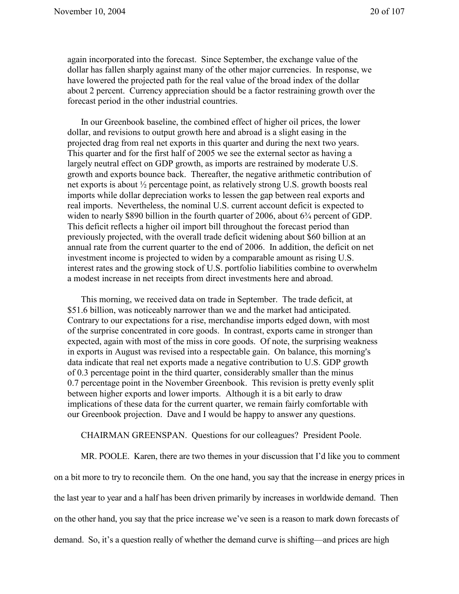again incorporated into the forecast. Since September, the exchange value of the dollar has fallen sharply against many of the other major currencies. In response, we have lowered the projected path for the real value of the broad index of the dollar about 2 percent. Currency appreciation should be a factor restraining growth over the forecast period in the other industrial countries.

In our Greenbook baseline, the combined effect of higher oil prices, the lower dollar, and revisions to output growth here and abroad is a slight easing in the projected drag from real net exports in this quarter and during the next two years. This quarter and for the first half of 2005 we see the external sector as having a largely neutral effect on GDP growth, as imports are restrained by moderate U.S. growth and exports bounce back. Thereafter, the negative arithmetic contribution of net exports is about ½ percentage point, as relatively strong U.S. growth boosts real imports while dollar depreciation works to lessen the gap between real exports and real imports. Nevertheless, the nominal U.S. current account deficit is expected to widen to nearly \$890 billion in the fourth quarter of 2006, about 6<sup>3</sup>/4 percent of GDP. This deficit reflects a higher oil import bill throughout the forecast period than previously projected, with the overall trade deficit widening about \$60 billion at an annual rate from the current quarter to the end of 2006. In addition, the deficit on net investment income is projected to widen by a comparable amount as rising U.S. interest rates and the growing stock of U.S. portfolio liabilities combine to overwhelm a modest increase in net receipts from direct investments here and abroad.

This morning, we received data on trade in September. The trade deficit, at \$51.6 billion, was noticeably narrower than we and the market had anticipated. Contrary to our expectations for a rise, merchandise imports edged down, with most of the surprise concentrated in core goods. In contrast, exports came in stronger than expected, again with most of the miss in core goods. Of note, the surprising weakness in exports in August was revised into a respectable gain. On balance, this morning's data indicate that real net exports made a negative contribution to U.S. GDP growth of 0.3 percentage point in the third quarter, considerably smaller than the minus 0.7 percentage point in the November Greenbook. This revision is pretty evenly split between higher exports and lower imports. Although it is a bit early to draw implications of these data for the current quarter, we remain fairly comfortable with our Greenbook projection. Dave and I would be happy to answer any questions.

CHAIRMAN GREENSPAN. Questions for our colleagues? President Poole.

MR. POOLE. Karen, there are two themes in your discussion that I'd like you to comment on a bit more to try to reconcile them. On the one hand, you say that the increase in energy prices in the last year to year and a half has been driven primarily by increases in worldwide demand. Then on the other hand, you say that the price increase we've seen is a reason to mark down forecasts of demand. So, it's a question really of whether the demand curve is shifting—and prices are high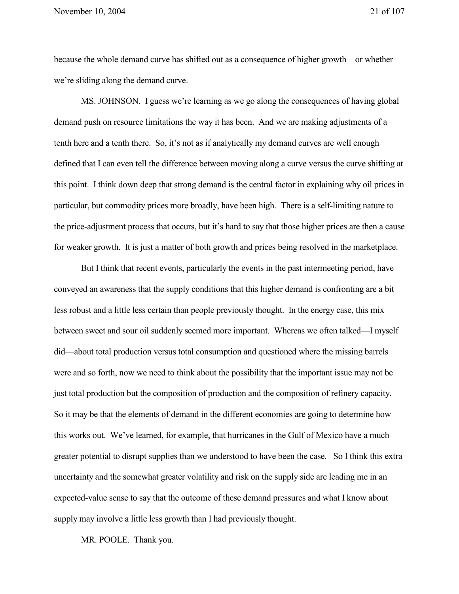because the whole demand curve has shifted out as a consequence of higher growth—or whether we're sliding along the demand curve.

MS. JOHNSON. I guess we're learning as we go along the consequences of having global demand push on resource limitations the way it has been. And we are making adjustments of a tenth here and a tenth there. So, it's not as if analytically my demand curves are well enough defined that I can even tell the difference between moving along a curve versus the curve shifting at this point. I think down deep that strong demand is the central factor in explaining why oil prices in particular, but commodity prices more broadly, have been high. There is a self-limiting nature to the price-adjustment process that occurs, but it's hard to say that those higher prices are then a cause for weaker growth. It is just a matter of both growth and prices being resolved in the marketplace.

But I think that recent events, particularly the events in the past intermeeting period, have conveyed an awareness that the supply conditions that this higher demand is confronting are a bit less robust and a little less certain than people previously thought. In the energy case, this mix between sweet and sour oil suddenly seemed more important. Whereas we often talked—I myself did—about total production versus total consumption and questioned where the missing barrels were and so forth, now we need to think about the possibility that the important issue may not be just total production but the composition of production and the composition of refinery capacity. So it may be that the elements of demand in the different economies are going to determine how this works out. We've learned, for example, that hurricanes in the Gulf of Mexico have a much greater potential to disrupt supplies than we understood to have been the case. So I think this extra uncertainty and the somewhat greater volatility and risk on the supply side are leading me in an expected-value sense to say that the outcome of these demand pressures and what I know about supply may involve a little less growth than I had previously thought.

MR. POOLE. Thank you.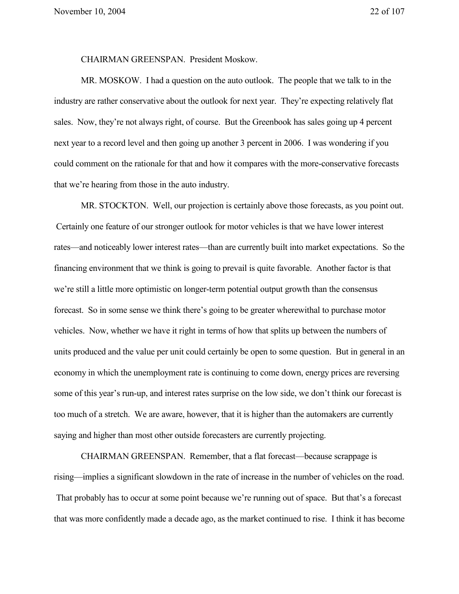CHAIRMAN GREENSPAN. President Moskow.

MR. MOSKOW. I had a question on the auto outlook. The people that we talk to in the industry are rather conservative about the outlook for next year. They're expecting relatively flat sales. Now, they're not always right, of course. But the Greenbook has sales going up 4 percent next year to a record level and then going up another 3 percent in 2006. I was wondering if you could comment on the rationale for that and how it compares with the more-conservative forecasts that we're hearing from those in the auto industry.

MR. STOCKTON. Well, our projection is certainly above those forecasts, as you point out. Certainly one feature of our stronger outlook for motor vehicles is that we have lower interest rates—and noticeably lower interest rates—than are currently built into market expectations. So the financing environment that we think is going to prevail is quite favorable. Another factor is that we're still a little more optimistic on longer-term potential output growth than the consensus forecast. So in some sense we think there's going to be greater wherewithal to purchase motor vehicles. Now, whether we have it right in terms of how that splits up between the numbers of units produced and the value per unit could certainly be open to some question. But in general in an economy in which the unemployment rate is continuing to come down, energy prices are reversing some of this year's run-up, and interest rates surprise on the low side, we don't think our forecast is too much of a stretch. We are aware, however, that it is higher than the automakers are currently saying and higher than most other outside forecasters are currently projecting.

CHAIRMAN GREENSPAN. Remember, that a flat forecast—because scrappage is rising—implies a significant slowdown in the rate of increase in the number of vehicles on the road. That probably has to occur at some point because we're running out of space. But that's a forecast that was more confidently made a decade ago, as the market continued to rise. I think it has become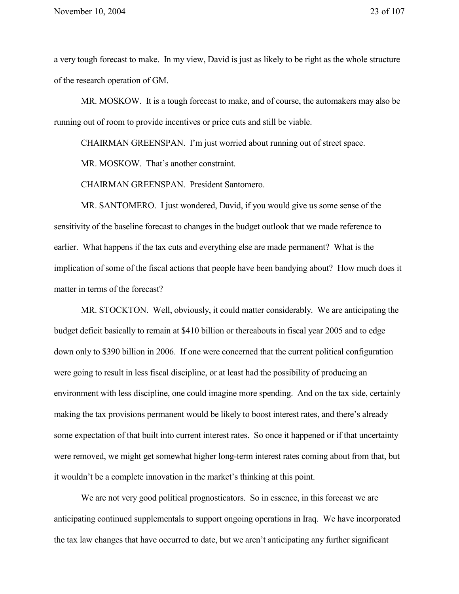a very tough forecast to make. In my view, David is just as likely to be right as the whole structure of the research operation of GM.

MR. MOSKOW. It is a tough forecast to make, and of course, the automakers may also be running out of room to provide incentives or price cuts and still be viable.

CHAIRMAN GREENSPAN. I'm just worried about running out of street space.

MR. MOSKOW. That's another constraint.

CHAIRMAN GREENSPAN. President Santomero.

MR. SANTOMERO. I just wondered, David, if you would give us some sense of the sensitivity of the baseline forecast to changes in the budget outlook that we made reference to earlier. What happens if the tax cuts and everything else are made permanent? What is the implication of some of the fiscal actions that people have been bandying about? How much does it matter in terms of the forecast?

MR. STOCKTON. Well, obviously, it could matter considerably. We are anticipating the budget deficit basically to remain at \$410 billion or thereabouts in fiscal year 2005 and to edge down only to \$390 billion in 2006. If one were concerned that the current political configuration were going to result in less fiscal discipline, or at least had the possibility of producing an environment with less discipline, one could imagine more spending. And on the tax side, certainly making the tax provisions permanent would be likely to boost interest rates, and there's already some expectation of that built into current interest rates. So once it happened or if that uncertainty were removed, we might get somewhat higher long-term interest rates coming about from that, but it wouldn't be a complete innovation in the market's thinking at this point.

We are not very good political prognosticators. So in essence, in this forecast we are anticipating continued supplementals to support ongoing operations in Iraq. We have incorporated the tax law changes that have occurred to date, but we aren't anticipating any further significant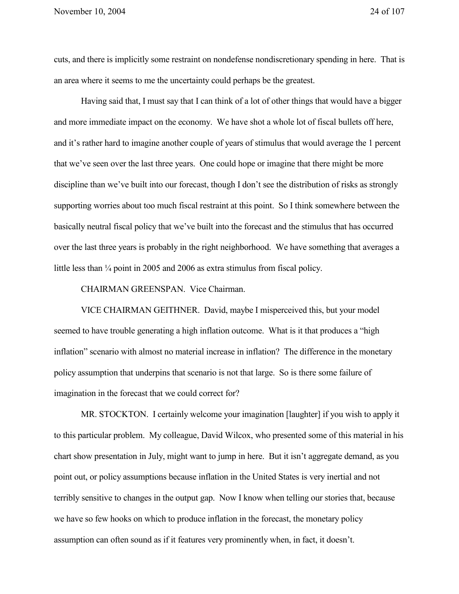cuts, and there is implicitly some restraint on nondefense nondiscretionary spending in here. That is an area where it seems to me the uncertainty could perhaps be the greatest.

Having said that, I must say that I can think of a lot of other things that would have a bigger and more immediate impact on the economy. We have shot a whole lot of fiscal bullets off here, and it's rather hard to imagine another couple of years of stimulus that would average the 1 percent that we've seen over the last three years. One could hope or imagine that there might be more discipline than we've built into our forecast, though I don't see the distribution of risks as strongly supporting worries about too much fiscal restraint at this point. So I think somewhere between the basically neutral fiscal policy that we've built into the forecast and the stimulus that has occurred over the last three years is probably in the right neighborhood. We have something that averages a little less than  $\frac{1}{4}$  point in 2005 and 2006 as extra stimulus from fiscal policy.

CHAIRMAN GREENSPAN. Vice Chairman.

VICE CHAIRMAN GEITHNER. David, maybe I misperceived this, but your model seemed to have trouble generating a high inflation outcome. What is it that produces a "high inflation" scenario with almost no material increase in inflation? The difference in the monetary policy assumption that underpins that scenario is not that large. So is there some failure of imagination in the forecast that we could correct for?

MR. STOCKTON. I certainly welcome your imagination [laughter] if you wish to apply it to this particular problem. My colleague, David Wilcox, who presented some of this material in his chart show presentation in July, might want to jump in here. But it isn't aggregate demand, as you point out, or policy assumptions because inflation in the United States is very inertial and not terribly sensitive to changes in the output gap. Now I know when telling our stories that, because we have so few hooks on which to produce inflation in the forecast, the monetary policy assumption can often sound as if it features very prominently when, in fact, it doesn't.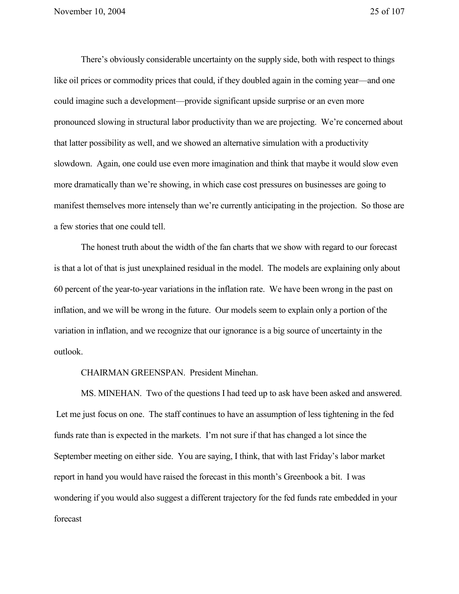There's obviously considerable uncertainty on the supply side, both with respect to things like oil prices or commodity prices that could, if they doubled again in the coming year—and one could imagine such a development—provide significant upside surprise or an even more pronounced slowing in structural labor productivity than we are projecting. We're concerned about that latter possibility as well, and we showed an alternative simulation with a productivity slowdown. Again, one could use even more imagination and think that maybe it would slow even more dramatically than we're showing, in which case cost pressures on businesses are going to manifest themselves more intensely than we're currently anticipating in the projection. So those are a few stories that one could tell.

The honest truth about the width of the fan charts that we show with regard to our forecast is that a lot of that is just unexplained residual in the model. The models are explaining only about 60 percent of the year-to-year variations in the inflation rate. We have been wrong in the past on inflation, and we will be wrong in the future. Our models seem to explain only a portion of the variation in inflation, and we recognize that our ignorance is a big source of uncertainty in the outlook.

CHAIRMAN GREENSPAN. President Minehan.

MS. MINEHAN. Two of the questions I had teed up to ask have been asked and answered. Let me just focus on one. The staff continues to have an assumption of less tightening in the fed funds rate than is expected in the markets. I'm not sure if that has changed a lot since the September meeting on either side. You are saying, I think, that with last Friday's labor market report in hand you would have raised the forecast in this month's Greenbook a bit. I was wondering if you would also suggest a different trajectory for the fed funds rate embedded in your forecast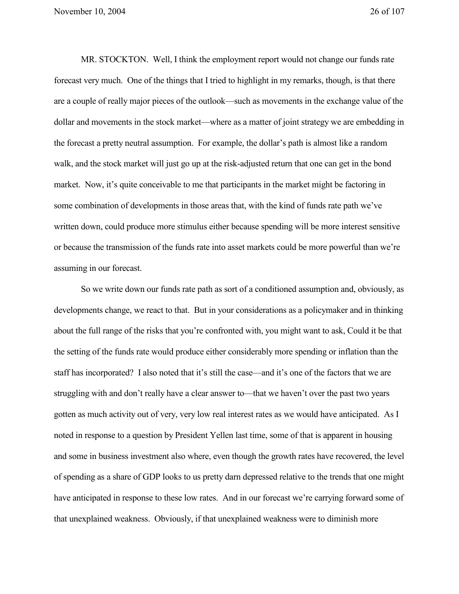MR. STOCKTON. Well, I think the employment report would not change our funds rate forecast very much. One of the things that I tried to highlight in my remarks, though, is that there are a couple of really major pieces of the outlook—such as movements in the exchange value of the dollar and movements in the stock market—where as a matter of joint strategy we are embedding in the forecast a pretty neutral assumption. For example, the dollar's path is almost like a random walk, and the stock market will just go up at the risk-adjusted return that one can get in the bond market. Now, it's quite conceivable to me that participants in the market might be factoring in some combination of developments in those areas that, with the kind of funds rate path we've written down, could produce more stimulus either because spending will be more interest sensitive or because the transmission of the funds rate into asset markets could be more powerful than we're assuming in our forecast.

So we write down our funds rate path as sort of a conditioned assumption and, obviously, as developments change, we react to that. But in your considerations as a policymaker and in thinking about the full range of the risks that you're confronted with, you might want to ask, Could it be that the setting of the funds rate would produce either considerably more spending or inflation than the staff has incorporated? I also noted that it's still the case—and it's one of the factors that we are struggling with and don't really have a clear answer to—that we haven't over the past two years gotten as much activity out of very, very low real interest rates as we would have anticipated. As I noted in response to a question by President Yellen last time, some of that is apparent in housing and some in business investment also where, even though the growth rates have recovered, the level of spending as a share of GDP looks to us pretty darn depressed relative to the trends that one might have anticipated in response to these low rates. And in our forecast we're carrying forward some of that unexplained weakness. Obviously, if that unexplained weakness were to diminish more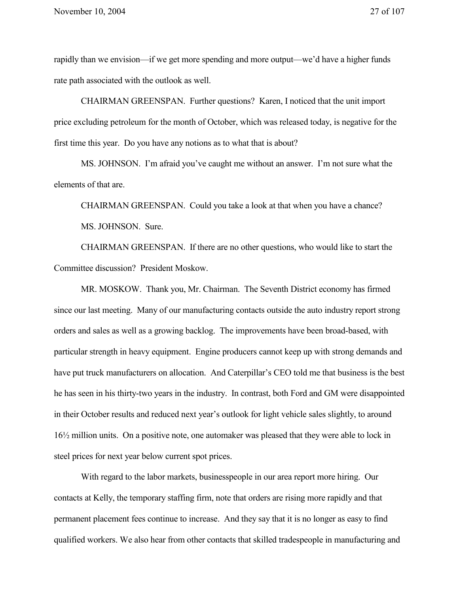rapidly than we envision—if we get more spending and more output—we'd have a higher funds rate path associated with the outlook as well.

CHAIRMAN GREENSPAN. Further questions? Karen, I noticed that the unit import price excluding petroleum for the month of October, which was released today, is negative for the first time this year. Do you have any notions as to what that is about?

MS. JOHNSON. I'm afraid you've caught me without an answer. I'm not sure what the elements of that are.

CHAIRMAN GREENSPAN. Could you take a look at that when you have a chance? MS. JOHNSON. Sure.

CHAIRMAN GREENSPAN. If there are no other questions, who would like to start the Committee discussion? President Moskow.

MR. MOSKOW. Thank you, Mr. Chairman. The Seventh District economy has firmed since our last meeting. Many of our manufacturing contacts outside the auto industry report strong orders and sales as well as a growing backlog. The improvements have been broad-based, with particular strength in heavy equipment. Engine producers cannot keep up with strong demands and have put truck manufacturers on allocation. And Caterpillar's CEO told me that business is the best he has seen in his thirty-two years in the industry. In contrast, both Ford and GM were disappointed in their October results and reduced next year's outlook for light vehicle sales slightly, to around 16½ million units. On a positive note, one automaker was pleased that they were able to lock in steel prices for next year below current spot prices.

With regard to the labor markets, businesspeople in our area report more hiring. Our contacts at Kelly, the temporary staffing firm, note that orders are rising more rapidly and that permanent placement fees continue to increase. And they say that it is no longer as easy to find qualified workers. We also hear from other contacts that skilled tradespeople in manufacturing and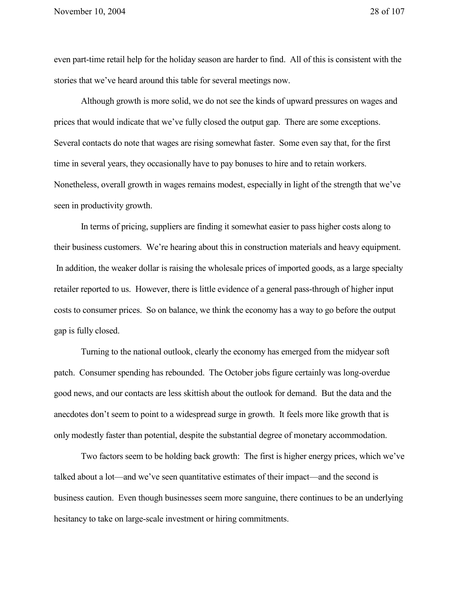even part-time retail help for the holiday season are harder to find. All of this is consistent with the stories that we've heard around this table for several meetings now.

Although growth is more solid, we do not see the kinds of upward pressures on wages and prices that would indicate that we've fully closed the output gap. There are some exceptions. Several contacts do note that wages are rising somewhat faster. Some even say that, for the first time in several years, they occasionally have to pay bonuses to hire and to retain workers. Nonetheless, overall growth in wages remains modest, especially in light of the strength that we've seen in productivity growth.

In terms of pricing, suppliers are finding it somewhat easier to pass higher costs along to their business customers. We're hearing about this in construction materials and heavy equipment. In addition, the weaker dollar is raising the wholesale prices of imported goods, as a large specialty retailer reported to us. However, there is little evidence of a general pass-through of higher input costs to consumer prices. So on balance, we think the economy has a way to go before the output gap is fully closed.

Turning to the national outlook, clearly the economy has emerged from the midyear soft patch. Consumer spending has rebounded. The October jobs figure certainly was long-overdue good news, and our contacts are less skittish about the outlook for demand. But the data and the anecdotes don't seem to point to a widespread surge in growth. It feels more like growth that is only modestly faster than potential, despite the substantial degree of monetary accommodation.

Two factors seem to be holding back growth: The first is higher energy prices, which we've talked about a lot—and we've seen quantitative estimates of their impact—and the second is business caution. Even though businesses seem more sanguine, there continues to be an underlying hesitancy to take on large-scale investment or hiring commitments.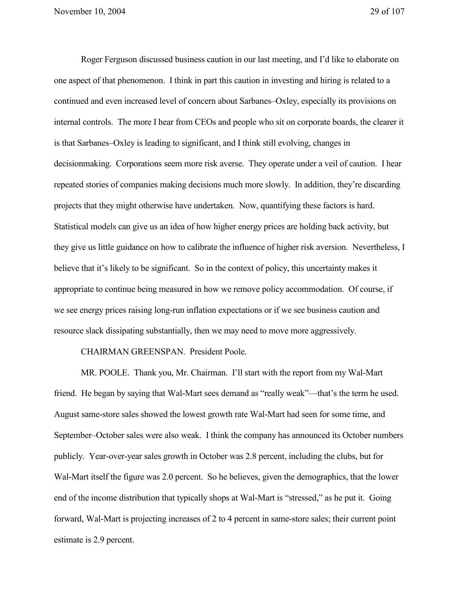Roger Ferguson discussed business caution in our last meeting, and I'd like to elaborate on one aspect of that phenomenon. I think in part this caution in investing and hiring is related to a continued and even increased level of concern about Sarbanes–Oxley, especially its provisions on internal controls. The more I hear from CEOs and people who sit on corporate boards, the clearer it is that Sarbanes–Oxley is leading to significant, and I think still evolving, changes in decisionmaking. Corporations seem more risk averse. They operate under a veil of caution. I hear repeated stories of companies making decisions much more slowly. In addition, they're discarding projects that they might otherwise have undertaken. Now, quantifying these factors is hard. Statistical models can give us an idea of how higher energy prices are holding back activity, but they give us little guidance on how to calibrate the influence of higher risk aversion. Nevertheless, I believe that it's likely to be significant. So in the context of policy, this uncertainty makes it appropriate to continue being measured in how we remove policy accommodation. Of course, if we see energy prices raising long-run inflation expectations or if we see business caution and resource slack dissipating substantially, then we may need to move more aggressively.

CHAIRMAN GREENSPAN. President Poole.

MR. POOLE. Thank you, Mr. Chairman. I'll start with the report from my Wal-Mart friend. He began by saying that Wal-Mart sees demand as "really weak"—that's the term he used. August same-store sales showed the lowest growth rate Wal-Mart had seen for some time, and September–October sales were also weak. I think the company has announced its October numbers publicly. Year-over-year sales growth in October was 2.8 percent, including the clubs, but for Wal-Mart itself the figure was 2.0 percent. So he believes, given the demographics, that the lower end of the income distribution that typically shops at Wal-Mart is "stressed," as he put it. Going forward, Wal-Mart is projecting increases of 2 to 4 percent in same-store sales; their current point estimate is 2.9 percent.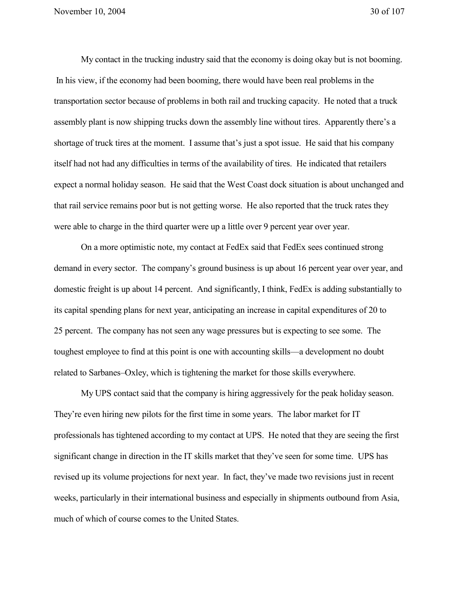My contact in the trucking industry said that the economy is doing okay but is not booming. In his view, if the economy had been booming, there would have been real problems in the transportation sector because of problems in both rail and trucking capacity. He noted that a truck assembly plant is now shipping trucks down the assembly line without tires. Apparently there's a shortage of truck tires at the moment. I assume that's just a spot issue. He said that his company itself had not had any difficulties in terms of the availability of tires. He indicated that retailers expect a normal holiday season. He said that the West Coast dock situation is about unchanged and that rail service remains poor but is not getting worse. He also reported that the truck rates they were able to charge in the third quarter were up a little over 9 percent year over year.

On a more optimistic note, my contact at FedEx said that FedEx sees continued strong demand in every sector. The company's ground business is up about 16 percent year over year, and domestic freight is up about 14 percent. And significantly, I think, FedEx is adding substantially to its capital spending plans for next year, anticipating an increase in capital expenditures of 20 to 25 percent. The company has not seen any wage pressures but is expecting to see some. The toughest employee to find at this point is one with accounting skills—a development no doubt related to Sarbanes–Oxley, which is tightening the market for those skills everywhere.

My UPS contact said that the company is hiring aggressively for the peak holiday season. They're even hiring new pilots for the first time in some years. The labor market for IT professionals has tightened according to my contact at UPS. He noted that they are seeing the first significant change in direction in the IT skills market that they've seen for some time. UPS has revised up its volume projections for next year. In fact, they've made two revisions just in recent weeks, particularly in their international business and especially in shipments outbound from Asia, much of which of course comes to the United States.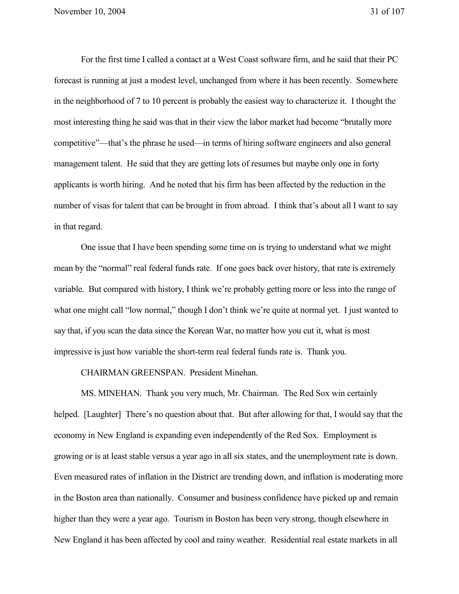For the first time I called a contact at a West Coast software firm, and he said that their PC forecast is running at just a modest level, unchanged from where it has been recently. Somewhere in the neighborhood of 7 to 10 percent is probably the easiest way to characterize it. I thought the most interesting thing he said was that in their view the labor market had become "brutally more competitive"—that's the phrase he used—in terms of hiring software engineers and also general management talent. He said that they are getting lots of resumes but maybe only one in forty applicants is worth hiring. And he noted that his firm has been affected by the reduction in the number of visas for talent that can be brought in from abroad. I think that's about all I want to say in that regard.

One issue that I have been spending some time on is trying to understand what we might mean by the "normal" real federal funds rate. If one goes back over history, that rate is extremely variable. But compared with history, I think we're probably getting more or less into the range of what one might call "low normal," though I don't think we're quite at normal yet. I just wanted to say that, if you scan the data since the Korean War, no matter how you cut it, what is most impressive is just how variable the short-term real federal funds rate is. Thank you.

CHAIRMAN GREENSPAN. President Minehan.

MS. MINEHAN. Thank you very much, Mr. Chairman. The Red Sox win certainly helped. [Laughter] There's no question about that. But after allowing for that, I would say that the economy in New England is expanding even independently of the Red Sox. Employment is growing or is at least stable versus a year ago in all six states, and the unemployment rate is down. Even measured rates of inflation in the District are trending down, and inflation is moderating more in the Boston area than nationally. Consumer and business confidence have picked up and remain higher than they were a year ago. Tourism in Boston has been very strong, though elsewhere in New England it has been affected by cool and rainy weather. Residential real estate markets in all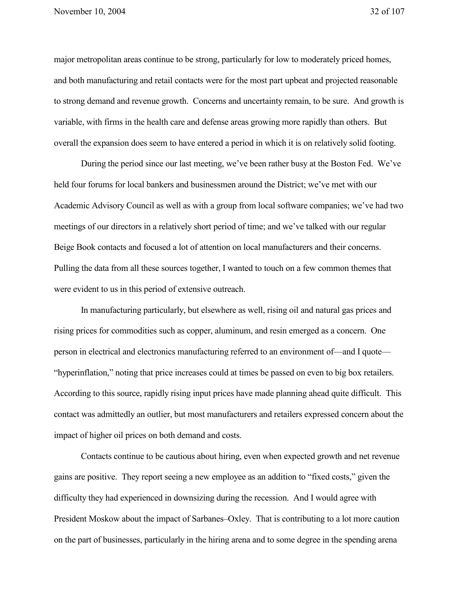major metropolitan areas continue to be strong, particularly for low to moderately priced homes, and both manufacturing and retail contacts were for the most part upbeat and projected reasonable to strong demand and revenue growth. Concerns and uncertainty remain, to be sure. And growth is variable, with firms in the health care and defense areas growing more rapidly than others. But overall the expansion does seem to have entered a period in which it is on relatively solid footing.

During the period since our last meeting, we've been rather busy at the Boston Fed. We've held four forums for local bankers and businessmen around the District; we've met with our Academic Advisory Council as well as with a group from local software companies; we've had two meetings of our directors in a relatively short period of time; and we've talked with our regular Beige Book contacts and focused a lot of attention on local manufacturers and their concerns. Pulling the data from all these sources together, I wanted to touch on a few common themes that were evident to us in this period of extensive outreach.

In manufacturing particularly, but elsewhere as well, rising oil and natural gas prices and rising prices for commodities such as copper, aluminum, and resin emerged as a concern. One person in electrical and electronics manufacturing referred to an environment of—and I quote— "hyperinflation," noting that price increases could at times be passed on even to big box retailers. According to this source, rapidly rising input prices have made planning ahead quite difficult. This contact was admittedly an outlier, but most manufacturers and retailers expressed concern about the impact of higher oil prices on both demand and costs.

Contacts continue to be cautious about hiring, even when expected growth and net revenue gains are positive. They report seeing a new employee as an addition to "fixed costs," given the difficulty they had experienced in downsizing during the recession. And I would agree with President Moskow about the impact of Sarbanes–Oxley. That is contributing to a lot more caution on the part of businesses, particularly in the hiring arena and to some degree in the spending arena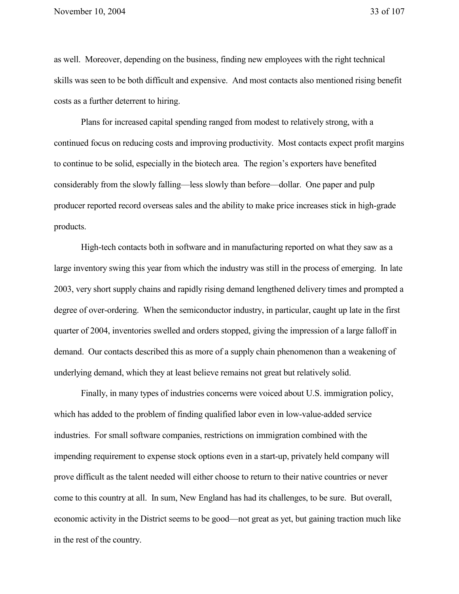as well. Moreover, depending on the business, finding new employees with the right technical skills was seen to be both difficult and expensive. And most contacts also mentioned rising benefit costs as a further deterrent to hiring.

Plans for increased capital spending ranged from modest to relatively strong, with a continued focus on reducing costs and improving productivity. Most contacts expect profit margins to continue to be solid, especially in the biotech area. The region's exporters have benefited considerably from the slowly falling—less slowly than before—dollar. One paper and pulp producer reported record overseas sales and the ability to make price increases stick in high-grade products.

High-tech contacts both in software and in manufacturing reported on what they saw as a large inventory swing this year from which the industry was still in the process of emerging. In late 2003, very short supply chains and rapidly rising demand lengthened delivery times and prompted a degree of over-ordering. When the semiconductor industry, in particular, caught up late in the first quarter of 2004, inventories swelled and orders stopped, giving the impression of a large falloff in demand. Our contacts described this as more of a supply chain phenomenon than a weakening of underlying demand, which they at least believe remains not great but relatively solid.

Finally, in many types of industries concerns were voiced about U.S. immigration policy, which has added to the problem of finding qualified labor even in low-value-added service industries. For small software companies, restrictions on immigration combined with the impending requirement to expense stock options even in a start-up, privately held company will prove difficult as the talent needed will either choose to return to their native countries or never come to this country at all. In sum, New England has had its challenges, to be sure. But overall, economic activity in the District seems to be good—not great as yet, but gaining traction much like in the rest of the country.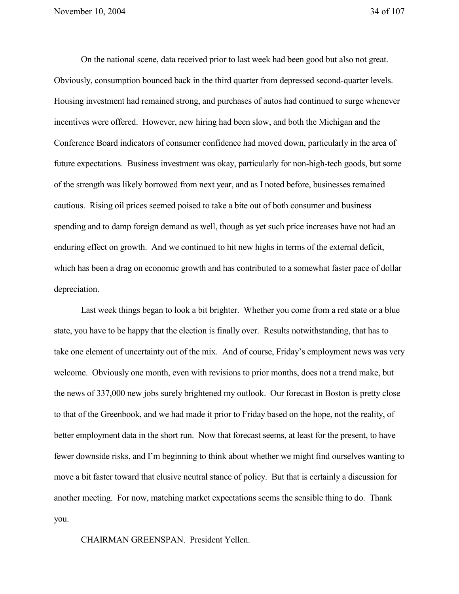On the national scene, data received prior to last week had been good but also not great. Obviously, consumption bounced back in the third quarter from depressed second-quarter levels. Housing investment had remained strong, and purchases of autos had continued to surge whenever incentives were offered. However, new hiring had been slow, and both the Michigan and the Conference Board indicators of consumer confidence had moved down, particularly in the area of future expectations. Business investment was okay, particularly for non-high-tech goods, but some of the strength was likely borrowed from next year, and as I noted before, businesses remained cautious. Rising oil prices seemed poised to take a bite out of both consumer and business spending and to damp foreign demand as well, though as yet such price increases have not had an enduring effect on growth. And we continued to hit new highs in terms of the external deficit, which has been a drag on economic growth and has contributed to a somewhat faster pace of dollar depreciation.

Last week things began to look a bit brighter. Whether you come from a red state or a blue state, you have to be happy that the election is finally over. Results notwithstanding, that has to take one element of uncertainty out of the mix. And of course, Friday's employment news was very welcome. Obviously one month, even with revisions to prior months, does not a trend make, but the news of 337,000 new jobs surely brightened my outlook. Our forecast in Boston is pretty close to that of the Greenbook, and we had made it prior to Friday based on the hope, not the reality, of better employment data in the short run. Now that forecast seems, at least for the present, to have fewer downside risks, and I'm beginning to think about whether we might find ourselves wanting to move a bit faster toward that elusive neutral stance of policy. But that is certainly a discussion for another meeting. For now, matching market expectations seems the sensible thing to do. Thank you.

CHAIRMAN GREENSPAN. President Yellen.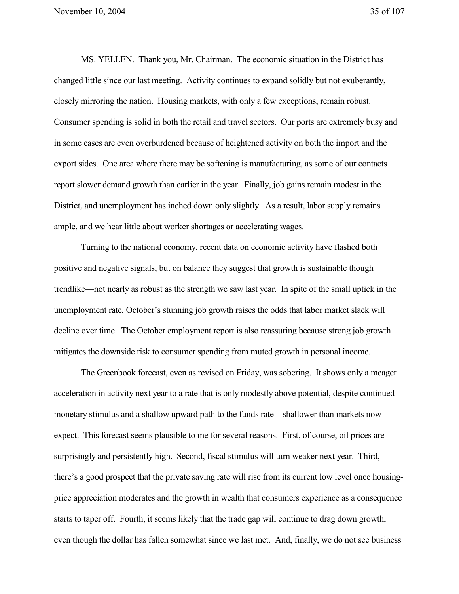MS. YELLEN. Thank you, Mr. Chairman. The economic situation in the District has changed little since our last meeting. Activity continues to expand solidly but not exuberantly, closely mirroring the nation. Housing markets, with only a few exceptions, remain robust. Consumer spending is solid in both the retail and travel sectors. Our ports are extremely busy and in some cases are even overburdened because of heightened activity on both the import and the export sides. One area where there may be softening is manufacturing, as some of our contacts report slower demand growth than earlier in the year. Finally, job gains remain modest in the District, and unemployment has inched down only slightly. As a result, labor supply remains ample, and we hear little about worker shortages or accelerating wages.

Turning to the national economy, recent data on economic activity have flashed both positive and negative signals, but on balance they suggest that growth is sustainable though trendlike—not nearly as robust as the strength we saw last year. In spite of the small uptick in the unemployment rate, October's stunning job growth raises the odds that labor market slack will decline over time. The October employment report is also reassuring because strong job growth mitigates the downside risk to consumer spending from muted growth in personal income.

The Greenbook forecast, even as revised on Friday, was sobering. It shows only a meager acceleration in activity next year to a rate that is only modestly above potential, despite continued monetary stimulus and a shallow upward path to the funds rate—shallower than markets now expect. This forecast seems plausible to me for several reasons. First, of course, oil prices are surprisingly and persistently high. Second, fiscal stimulus will turn weaker next year. Third, there's a good prospect that the private saving rate will rise from its current low level once housingprice appreciation moderates and the growth in wealth that consumers experience as a consequence starts to taper off. Fourth, it seems likely that the trade gap will continue to drag down growth, even though the dollar has fallen somewhat since we last met. And, finally, we do not see business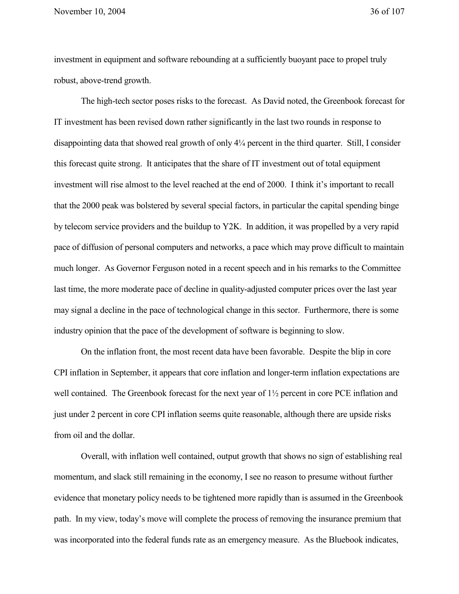November 10, 2004 36 of 107

investment in equipment and software rebounding at a sufficiently buoyant pace to propel truly robust, above-trend growth.

The high-tech sector poses risks to the forecast. As David noted, the Greenbook forecast for IT investment has been revised down rather significantly in the last two rounds in response to disappointing data that showed real growth of only 4¼ percent in the third quarter. Still, I consider this forecast quite strong. It anticipates that the share of IT investment out of total equipment investment will rise almost to the level reached at the end of 2000. I think it's important to recall that the 2000 peak was bolstered by several special factors, in particular the capital spending binge by telecom service providers and the buildup to Y2K. In addition, it was propelled by a very rapid pace of diffusion of personal computers and networks, a pace which may prove difficult to maintain much longer. As Governor Ferguson noted in a recent speech and in his remarks to the Committee last time, the more moderate pace of decline in quality-adjusted computer prices over the last year may signal a decline in the pace of technological change in this sector. Furthermore, there is some industry opinion that the pace of the development of software is beginning to slow.

On the inflation front, the most recent data have been favorable. Despite the blip in core CPI inflation in September, it appears that core inflation and longer-term inflation expectations are well contained. The Greenbook forecast for the next year of 1½ percent in core PCE inflation and just under 2 percent in core CPI inflation seems quite reasonable, although there are upside risks from oil and the dollar.

Overall, with inflation well contained, output growth that shows no sign of establishing real momentum, and slack still remaining in the economy, I see no reason to presume without further evidence that monetary policy needs to be tightened more rapidly than is assumed in the Greenbook path. In my view, today's move will complete the process of removing the insurance premium that was incorporated into the federal funds rate as an emergency measure. As the Bluebook indicates,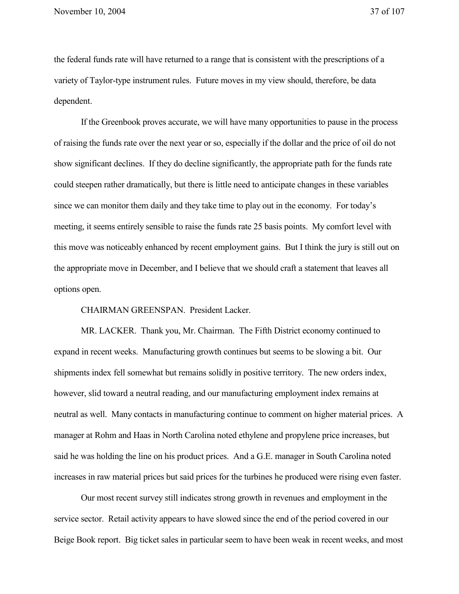the federal funds rate will have returned to a range that is consistent with the prescriptions of a variety of Taylor-type instrument rules. Future moves in my view should, therefore, be data dependent.

If the Greenbook proves accurate, we will have many opportunities to pause in the process of raising the funds rate over the next year or so, especially if the dollar and the price of oil do not show significant declines. If they do decline significantly, the appropriate path for the funds rate could steepen rather dramatically, but there is little need to anticipate changes in these variables since we can monitor them daily and they take time to play out in the economy. For today's meeting, it seems entirely sensible to raise the funds rate 25 basis points. My comfort level with this move was noticeably enhanced by recent employment gains. But I think the jury is still out on the appropriate move in December, and I believe that we should craft a statement that leaves all options open.

CHAIRMAN GREENSPAN. President Lacker.

MR. LACKER. Thank you, Mr. Chairman. The Fifth District economy continued to expand in recent weeks. Manufacturing growth continues but seems to be slowing a bit. Our shipments index fell somewhat but remains solidly in positive territory. The new orders index, however, slid toward a neutral reading, and our manufacturing employment index remains at neutral as well. Many contacts in manufacturing continue to comment on higher material prices. A manager at Rohm and Haas in North Carolina noted ethylene and propylene price increases, but said he was holding the line on his product prices. And a G.E. manager in South Carolina noted increases in raw material prices but said prices for the turbines he produced were rising even faster.

Our most recent survey still indicates strong growth in revenues and employment in the service sector. Retail activity appears to have slowed since the end of the period covered in our Beige Book report. Big ticket sales in particular seem to have been weak in recent weeks, and most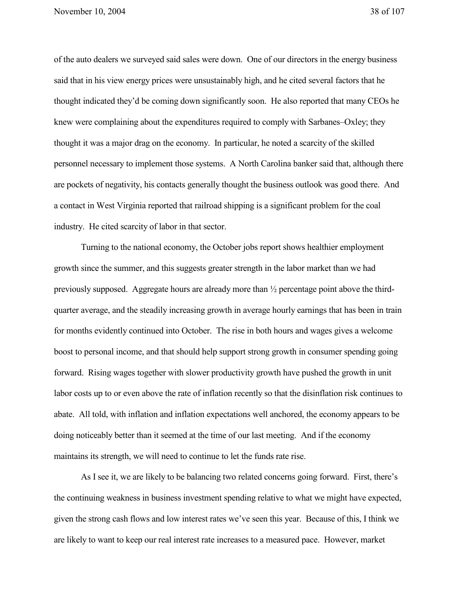November 10, 2004 38 of 107

of the auto dealers we surveyed said sales were down. One of our directors in the energy business said that in his view energy prices were unsustainably high, and he cited several factors that he thought indicated they'd be coming down significantly soon. He also reported that many CEOs he knew were complaining about the expenditures required to comply with Sarbanes–Oxley; they thought it was a major drag on the economy. In particular, he noted a scarcity of the skilled personnel necessary to implement those systems. A North Carolina banker said that, although there are pockets of negativity, his contacts generally thought the business outlook was good there. And a contact in West Virginia reported that railroad shipping is a significant problem for the coal industry. He cited scarcity of labor in that sector.

Turning to the national economy, the October jobs report shows healthier employment growth since the summer, and this suggests greater strength in the labor market than we had previously supposed. Aggregate hours are already more than ½ percentage point above the thirdquarter average, and the steadily increasing growth in average hourly earnings that has been in train for months evidently continued into October. The rise in both hours and wages gives a welcome boost to personal income, and that should help support strong growth in consumer spending going forward. Rising wages together with slower productivity growth have pushed the growth in unit labor costs up to or even above the rate of inflation recently so that the disinflation risk continues to abate. All told, with inflation and inflation expectations well anchored, the economy appears to be doing noticeably better than it seemed at the time of our last meeting. And if the economy maintains its strength, we will need to continue to let the funds rate rise.

As I see it, we are likely to be balancing two related concerns going forward. First, there's the continuing weakness in business investment spending relative to what we might have expected, given the strong cash flows and low interest rates we've seen this year. Because of this, I think we are likely to want to keep our real interest rate increases to a measured pace. However, market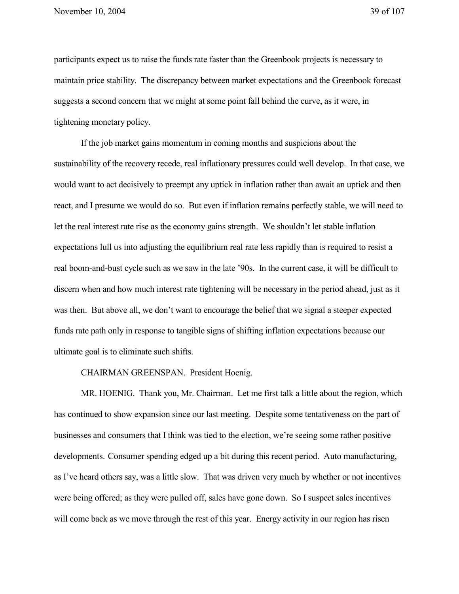participants expect us to raise the funds rate faster than the Greenbook projects is necessary to maintain price stability. The discrepancy between market expectations and the Greenbook forecast suggests a second concern that we might at some point fall behind the curve, as it were, in tightening monetary policy.

If the job market gains momentum in coming months and suspicions about the sustainability of the recovery recede, real inflationary pressures could well develop. In that case, we would want to act decisively to preempt any uptick in inflation rather than await an uptick and then react, and I presume we would do so. But even if inflation remains perfectly stable, we will need to let the real interest rate rise as the economy gains strength. We shouldn't let stable inflation expectations lull us into adjusting the equilibrium real rate less rapidly than is required to resist a real boom-and-bust cycle such as we saw in the late '90s. In the current case, it will be difficult to discern when and how much interest rate tightening will be necessary in the period ahead, just as it was then. But above all, we don't want to encourage the belief that we signal a steeper expected funds rate path only in response to tangible signs of shifting inflation expectations because our ultimate goal is to eliminate such shifts.

CHAIRMAN GREENSPAN. President Hoenig.

MR. HOENIG. Thank you, Mr. Chairman. Let me first talk a little about the region, which has continued to show expansion since our last meeting. Despite some tentativeness on the part of businesses and consumers that I think was tied to the election, we're seeing some rather positive developments. Consumer spending edged up a bit during this recent period. Auto manufacturing, as I've heard others say, was a little slow. That was driven very much by whether or not incentives were being offered; as they were pulled off, sales have gone down. So I suspect sales incentives will come back as we move through the rest of this year. Energy activity in our region has risen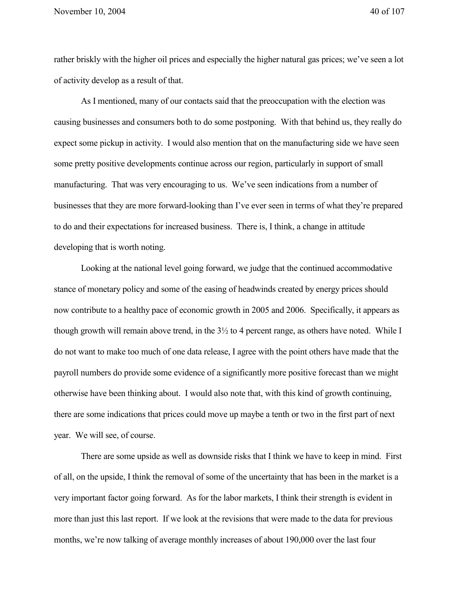rather briskly with the higher oil prices and especially the higher natural gas prices; we've seen a lot of activity develop as a result of that.

As I mentioned, many of our contacts said that the preoccupation with the election was causing businesses and consumers both to do some postponing. With that behind us, they really do expect some pickup in activity. I would also mention that on the manufacturing side we have seen some pretty positive developments continue across our region, particularly in support of small manufacturing. That was very encouraging to us. We've seen indications from a number of businesses that they are more forward-looking than I've ever seen in terms of what they're prepared to do and their expectations for increased business. There is, I think, a change in attitude developing that is worth noting.

Looking at the national level going forward, we judge that the continued accommodative stance of monetary policy and some of the easing of headwinds created by energy prices should now contribute to a healthy pace of economic growth in 2005 and 2006. Specifically, it appears as though growth will remain above trend, in the  $3\frac{1}{2}$  to 4 percent range, as others have noted. While I do not want to make too much of one data release, I agree with the point others have made that the payroll numbers do provide some evidence of a significantly more positive forecast than we might otherwise have been thinking about. I would also note that, with this kind of growth continuing, there are some indications that prices could move up maybe a tenth or two in the first part of next year. We will see, of course.

There are some upside as well as downside risks that I think we have to keep in mind. First of all, on the upside, I think the removal of some of the uncertainty that has been in the market is a very important factor going forward. As for the labor markets, I think their strength is evident in more than just this last report. If we look at the revisions that were made to the data for previous months, we're now talking of average monthly increases of about 190,000 over the last four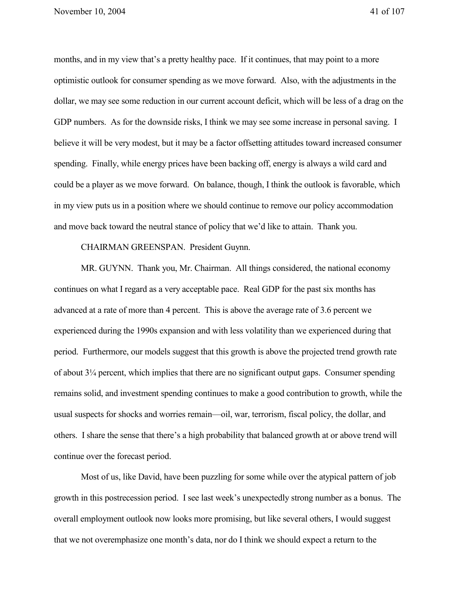months, and in my view that's a pretty healthy pace. If it continues, that may point to a more optimistic outlook for consumer spending as we move forward. Also, with the adjustments in the dollar, we may see some reduction in our current account deficit, which will be less of a drag on the GDP numbers. As for the downside risks, I think we may see some increase in personal saving. I believe it will be very modest, but it may be a factor offsetting attitudes toward increased consumer spending. Finally, while energy prices have been backing off, energy is always a wild card and could be a player as we move forward. On balance, though, I think the outlook is favorable, which in my view puts us in a position where we should continue to remove our policy accommodation and move back toward the neutral stance of policy that we'd like to attain. Thank you.

CHAIRMAN GREENSPAN. President Guynn.

MR. GUYNN. Thank you, Mr. Chairman. All things considered, the national economy continues on what I regard as a very acceptable pace. Real GDP for the past six months has advanced at a rate of more than 4 percent. This is above the average rate of 3.6 percent we experienced during the 1990s expansion and with less volatility than we experienced during that period. Furthermore, our models suggest that this growth is above the projected trend growth rate of about 3¼ percent, which implies that there are no significant output gaps. Consumer spending remains solid, and investment spending continues to make a good contribution to growth, while the usual suspects for shocks and worries remain—oil, war, terrorism, fiscal policy, the dollar, and others. I share the sense that there's a high probability that balanced growth at or above trend will continue over the forecast period.

Most of us, like David, have been puzzling for some while over the atypical pattern of job growth in this postrecession period. I see last week's unexpectedly strong number as a bonus. The overall employment outlook now looks more promising, but like several others, I would suggest that we not overemphasize one month's data, nor do I think we should expect a return to the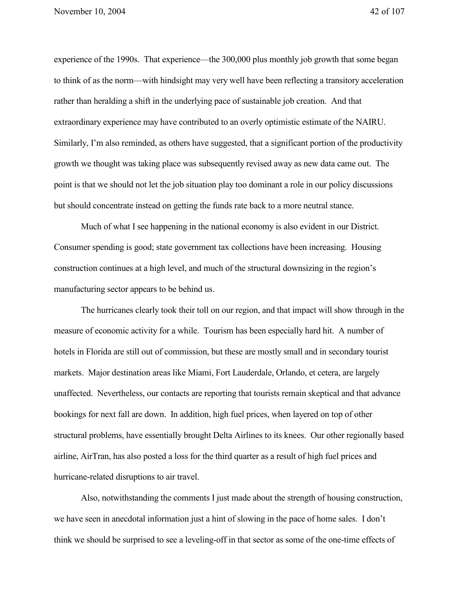experience of the 1990s. That experience—the 300,000 plus monthly job growth that some began to think of as the norm—with hindsight may very well have been reflecting a transitory acceleration rather than heralding a shift in the underlying pace of sustainable job creation. And that extraordinary experience may have contributed to an overly optimistic estimate of the NAIRU. Similarly, I'm also reminded, as others have suggested, that a significant portion of the productivity growth we thought was taking place was subsequently revised away as new data came out. The point is that we should not let the job situation play too dominant a role in our policy discussions but should concentrate instead on getting the funds rate back to a more neutral stance.

Much of what I see happening in the national economy is also evident in our District. Consumer spending is good; state government tax collections have been increasing. Housing construction continues at a high level, and much of the structural downsizing in the region's manufacturing sector appears to be behind us.

The hurricanes clearly took their toll on our region, and that impact will show through in the measure of economic activity for a while. Tourism has been especially hard hit. A number of hotels in Florida are still out of commission, but these are mostly small and in secondary tourist markets. Major destination areas like Miami, Fort Lauderdale, Orlando, et cetera, are largely unaffected. Nevertheless, our contacts are reporting that tourists remain skeptical and that advance bookings for next fall are down. In addition, high fuel prices, when layered on top of other structural problems, have essentially brought Delta Airlines to its knees. Our other regionally based airline, AirTran, has also posted a loss for the third quarter as a result of high fuel prices and hurricane-related disruptions to air travel.

Also, notwithstanding the comments I just made about the strength of housing construction, we have seen in anecdotal information just a hint of slowing in the pace of home sales. I don't think we should be surprised to see a leveling-off in that sector as some of the one-time effects of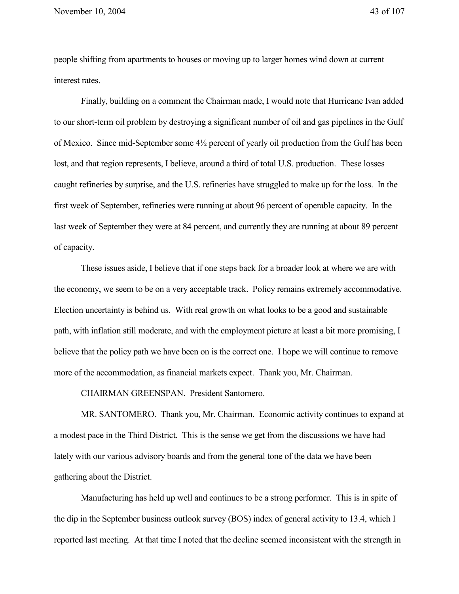November 10, 2004 43 of 107

people shifting from apartments to houses or moving up to larger homes wind down at current interest rates.

Finally, building on a comment the Chairman made, I would note that Hurricane Ivan added to our short-term oil problem by destroying a significant number of oil and gas pipelines in the Gulf of Mexico. Since mid-September some 4½ percent of yearly oil production from the Gulf has been lost, and that region represents, I believe, around a third of total U.S. production. These losses caught refineries by surprise, and the U.S. refineries have struggled to make up for the loss. In the first week of September, refineries were running at about 96 percent of operable capacity. In the last week of September they were at 84 percent, and currently they are running at about 89 percent of capacity.

These issues aside, I believe that if one steps back for a broader look at where we are with the economy, we seem to be on a very acceptable track. Policy remains extremely accommodative. Election uncertainty is behind us. With real growth on what looks to be a good and sustainable path, with inflation still moderate, and with the employment picture at least a bit more promising, I believe that the policy path we have been on is the correct one. I hope we will continue to remove more of the accommodation, as financial markets expect. Thank you, Mr. Chairman.

CHAIRMAN GREENSPAN. President Santomero.

MR. SANTOMERO. Thank you, Mr. Chairman. Economic activity continues to expand at a modest pace in the Third District. This is the sense we get from the discussions we have had lately with our various advisory boards and from the general tone of the data we have been gathering about the District.

Manufacturing has held up well and continues to be a strong performer. This is in spite of the dip in the September business outlook survey (BOS) index of general activity to 13.4, which I reported last meeting. At that time I noted that the decline seemed inconsistent with the strength in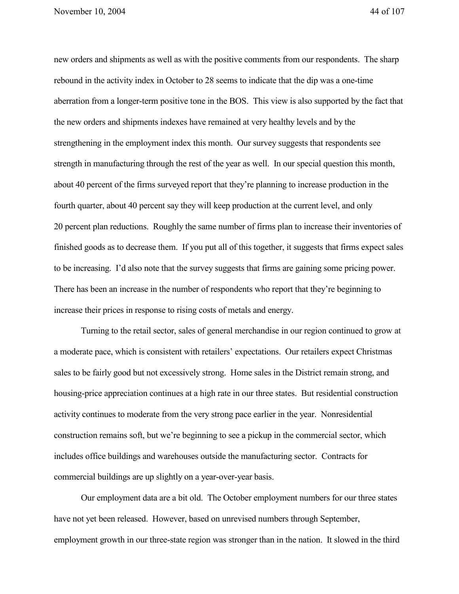new orders and shipments as well as with the positive comments from our respondents. The sharp rebound in the activity index in October to 28 seems to indicate that the dip was a one-time aberration from a longer-term positive tone in the BOS. This view is also supported by the fact that the new orders and shipments indexes have remained at very healthy levels and by the strengthening in the employment index this month. Our survey suggests that respondents see strength in manufacturing through the rest of the year as well. In our special question this month, about 40 percent of the firms surveyed report that they're planning to increase production in the fourth quarter, about 40 percent say they will keep production at the current level, and only 20 percent plan reductions. Roughly the same number of firms plan to increase their inventories of finished goods as to decrease them. If you put all of this together, it suggests that firms expect sales to be increasing. I'd also note that the survey suggests that firms are gaining some pricing power. There has been an increase in the number of respondents who report that they're beginning to increase their prices in response to rising costs of metals and energy.

Turning to the retail sector, sales of general merchandise in our region continued to grow at a moderate pace, which is consistent with retailers' expectations. Our retailers expect Christmas sales to be fairly good but not excessively strong. Home sales in the District remain strong, and housing-price appreciation continues at a high rate in our three states. But residential construction activity continues to moderate from the very strong pace earlier in the year. Nonresidential construction remains soft, but we're beginning to see a pickup in the commercial sector, which includes office buildings and warehouses outside the manufacturing sector. Contracts for commercial buildings are up slightly on a year-over-year basis.

Our employment data are a bit old. The October employment numbers for our three states have not yet been released. However, based on unrevised numbers through September, employment growth in our three-state region was stronger than in the nation. It slowed in the third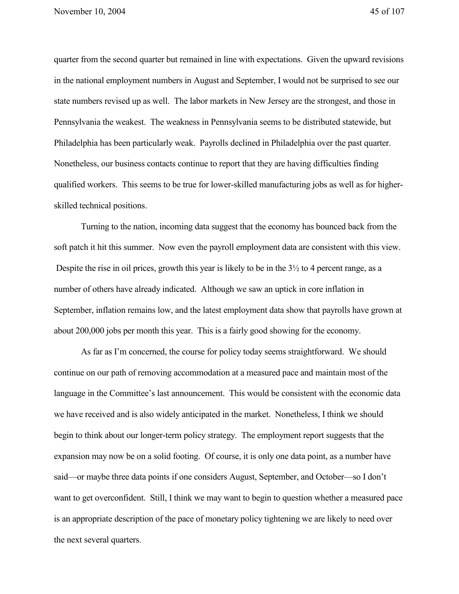quarter from the second quarter but remained in line with expectations. Given the upward revisions in the national employment numbers in August and September, I would not be surprised to see our state numbers revised up as well. The labor markets in New Jersey are the strongest, and those in Pennsylvania the weakest. The weakness in Pennsylvania seems to be distributed statewide, but Philadelphia has been particularly weak. Payrolls declined in Philadelphia over the past quarter. Nonetheless, our business contacts continue to report that they are having difficulties finding qualified workers. This seems to be true for lower-skilled manufacturing jobs as well as for higherskilled technical positions.

Turning to the nation, incoming data suggest that the economy has bounced back from the soft patch it hit this summer. Now even the payroll employment data are consistent with this view. Despite the rise in oil prices, growth this year is likely to be in the  $3\frac{1}{2}$  to 4 percent range, as a number of others have already indicated. Although we saw an uptick in core inflation in September, inflation remains low, and the latest employment data show that payrolls have grown at about 200,000 jobs per month this year. This is a fairly good showing for the economy.

As far as I'm concerned, the course for policy today seems straightforward. We should continue on our path of removing accommodation at a measured pace and maintain most of the language in the Committee's last announcement. This would be consistent with the economic data we have received and is also widely anticipated in the market. Nonetheless, I think we should begin to think about our longer-term policy strategy. The employment report suggests that the expansion may now be on a solid footing. Of course, it is only one data point, as a number have said—or maybe three data points if one considers August, September, and October—so I don't want to get overconfident. Still, I think we may want to begin to question whether a measured pace is an appropriate description of the pace of monetary policy tightening we are likely to need over the next several quarters.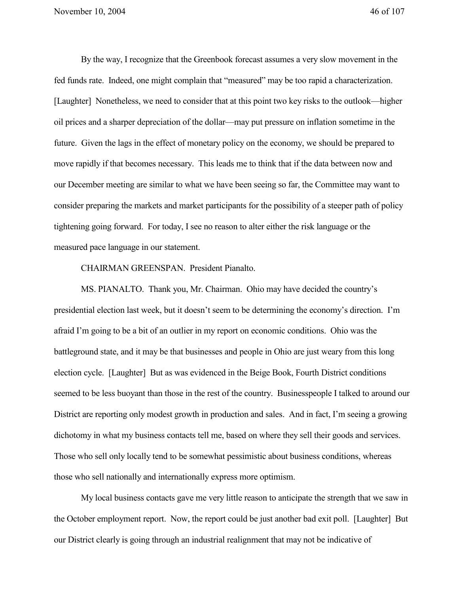By the way, I recognize that the Greenbook forecast assumes a very slow movement in the fed funds rate. Indeed, one might complain that "measured" may be too rapid a characterization. [Laughter] Nonetheless, we need to consider that at this point two key risks to the outlook—higher oil prices and a sharper depreciation of the dollar—may put pressure on inflation sometime in the future. Given the lags in the effect of monetary policy on the economy, we should be prepared to move rapidly if that becomes necessary. This leads me to think that if the data between now and our December meeting are similar to what we have been seeing so far, the Committee may want to consider preparing the markets and market participants for the possibility of a steeper path of policy tightening going forward. For today, I see no reason to alter either the risk language or the measured pace language in our statement.

CHAIRMAN GREENSPAN. President Pianalto.

MS. PIANALTO. Thank you, Mr. Chairman. Ohio may have decided the country's presidential election last week, but it doesn't seem to be determining the economy's direction. I'm afraid I'm going to be a bit of an outlier in my report on economic conditions. Ohio was the battleground state, and it may be that businesses and people in Ohio are just weary from this long election cycle. [Laughter] But as was evidenced in the Beige Book, Fourth District conditions seemed to be less buoyant than those in the rest of the country. Businesspeople I talked to around our District are reporting only modest growth in production and sales. And in fact, I'm seeing a growing dichotomy in what my business contacts tell me, based on where they sell their goods and services. Those who sell only locally tend to be somewhat pessimistic about business conditions, whereas those who sell nationally and internationally express more optimism.

My local business contacts gave me very little reason to anticipate the strength that we saw in the October employment report. Now, the report could be just another bad exit poll. [Laughter] But our District clearly is going through an industrial realignment that may not be indicative of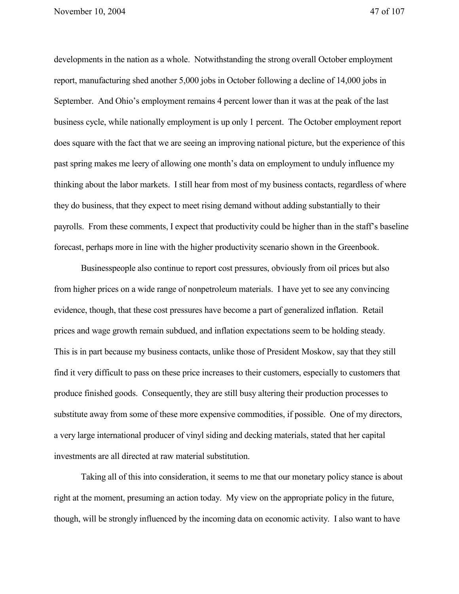developments in the nation as a whole. Notwithstanding the strong overall October employment report, manufacturing shed another 5,000 jobs in October following a decline of 14,000 jobs in September. And Ohio's employment remains 4 percent lower than it was at the peak of the last business cycle, while nationally employment is up only 1 percent. The October employment report does square with the fact that we are seeing an improving national picture, but the experience of this past spring makes me leery of allowing one month's data on employment to unduly influence my thinking about the labor markets. I still hear from most of my business contacts, regardless of where they do business, that they expect to meet rising demand without adding substantially to their payrolls. From these comments, I expect that productivity could be higher than in the staff's baseline forecast, perhaps more in line with the higher productivity scenario shown in the Greenbook.

Businesspeople also continue to report cost pressures, obviously from oil prices but also from higher prices on a wide range of nonpetroleum materials. I have yet to see any convincing evidence, though, that these cost pressures have become a part of generalized inflation. Retail prices and wage growth remain subdued, and inflation expectations seem to be holding steady. This is in part because my business contacts, unlike those of President Moskow, say that they still find it very difficult to pass on these price increases to their customers, especially to customers that produce finished goods. Consequently, they are still busy altering their production processes to substitute away from some of these more expensive commodities, if possible. One of my directors, a very large international producer of vinyl siding and decking materials, stated that her capital investments are all directed at raw material substitution.

Taking all of this into consideration, it seems to me that our monetary policy stance is about right at the moment, presuming an action today. My view on the appropriate policy in the future, though, will be strongly influenced by the incoming data on economic activity. I also want to have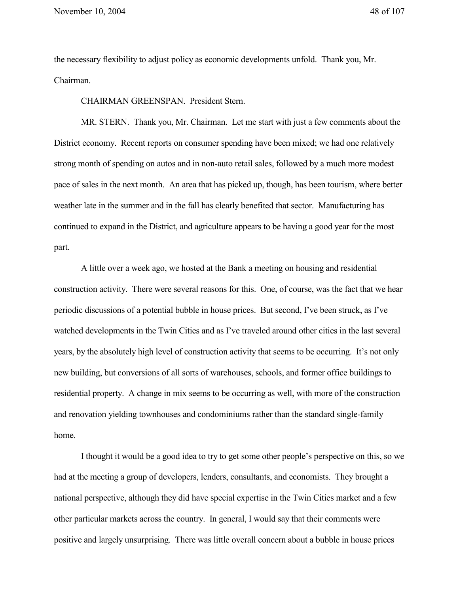the necessary flexibility to adjust policy as economic developments unfold. Thank you, Mr. Chairman.

CHAIRMAN GREENSPAN. President Stern.

MR. STERN. Thank you, Mr. Chairman. Let me start with just a few comments about the District economy. Recent reports on consumer spending have been mixed; we had one relatively strong month of spending on autos and in non-auto retail sales, followed by a much more modest pace of sales in the next month. An area that has picked up, though, has been tourism, where better weather late in the summer and in the fall has clearly benefited that sector. Manufacturing has continued to expand in the District, and agriculture appears to be having a good year for the most part.

A little over a week ago, we hosted at the Bank a meeting on housing and residential construction activity. There were several reasons for this. One, of course, was the fact that we hear periodic discussions of a potential bubble in house prices. But second, I've been struck, as I've watched developments in the Twin Cities and as I've traveled around other cities in the last several years, by the absolutely high level of construction activity that seems to be occurring. It's not only new building, but conversions of all sorts of warehouses, schools, and former office buildings to residential property. A change in mix seems to be occurring as well, with more of the construction and renovation yielding townhouses and condominiums rather than the standard single-family home.

I thought it would be a good idea to try to get some other people's perspective on this, so we had at the meeting a group of developers, lenders, consultants, and economists. They brought a national perspective, although they did have special expertise in the Twin Cities market and a few other particular markets across the country. In general, I would say that their comments were positive and largely unsurprising. There was little overall concern about a bubble in house prices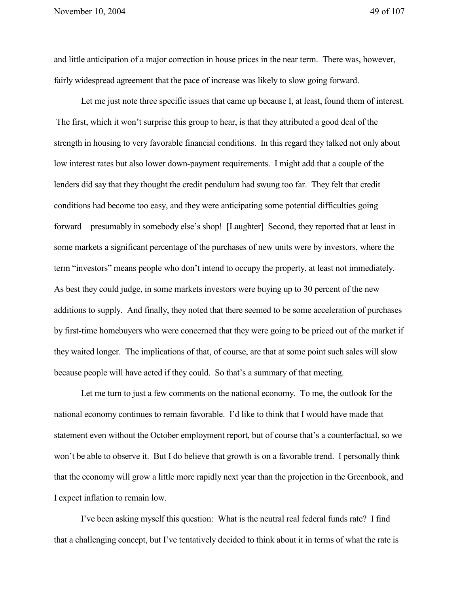and little anticipation of a major correction in house prices in the near term. There was, however, fairly widespread agreement that the pace of increase was likely to slow going forward.

Let me just note three specific issues that came up because I, at least, found them of interest. The first, which it won't surprise this group to hear, is that they attributed a good deal of the strength in housing to very favorable financial conditions. In this regard they talked not only about low interest rates but also lower down-payment requirements. I might add that a couple of the lenders did say that they thought the credit pendulum had swung too far. They felt that credit conditions had become too easy, and they were anticipating some potential difficulties going forward—presumably in somebody else's shop! [Laughter] Second, they reported that at least in some markets a significant percentage of the purchases of new units were by investors, where the term "investors" means people who don't intend to occupy the property, at least not immediately. As best they could judge, in some markets investors were buying up to 30 percent of the new additions to supply. And finally, they noted that there seemed to be some acceleration of purchases by first-time homebuyers who were concerned that they were going to be priced out of the market if they waited longer. The implications of that, of course, are that at some point such sales will slow because people will have acted if they could. So that's a summary of that meeting.

Let me turn to just a few comments on the national economy. To me, the outlook for the national economy continues to remain favorable. I'd like to think that I would have made that statement even without the October employment report, but of course that's a counterfactual, so we won't be able to observe it. But I do believe that growth is on a favorable trend. I personally think that the economy will grow a little more rapidly next year than the projection in the Greenbook, and I expect inflation to remain low.

I've been asking myself this question: What is the neutral real federal funds rate? I find that a challenging concept, but I've tentatively decided to think about it in terms of what the rate is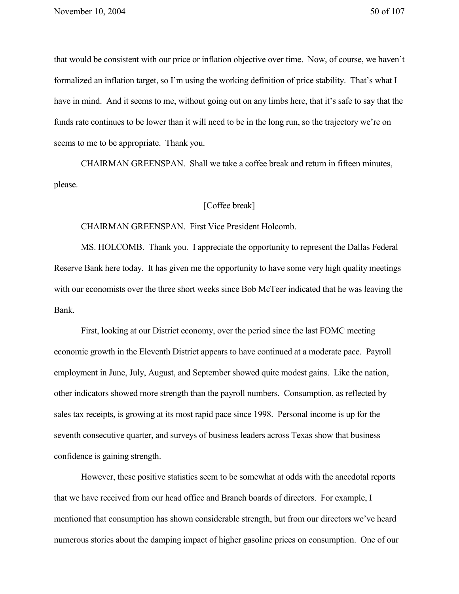that would be consistent with our price or inflation objective over time. Now, of course, we haven't formalized an inflation target, so I'm using the working definition of price stability. That's what I have in mind. And it seems to me, without going out on any limbs here, that it's safe to say that the funds rate continues to be lower than it will need to be in the long run, so the trajectory we're on seems to me to be appropriate. Thank you.

CHAIRMAN GREENSPAN. Shall we take a coffee break and return in fifteen minutes, please.

## [Coffee break]

## CHAIRMAN GREENSPAN. First Vice President Holcomb.

MS. HOLCOMB. Thank you. I appreciate the opportunity to represent the Dallas Federal Reserve Bank here today. It has given me the opportunity to have some very high quality meetings with our economists over the three short weeks since Bob McTeer indicated that he was leaving the Bank.

First, looking at our District economy, over the period since the last FOMC meeting economic growth in the Eleventh District appears to have continued at a moderate pace. Payroll employment in June, July, August, and September showed quite modest gains. Like the nation, other indicators showed more strength than the payroll numbers. Consumption, as reflected by sales tax receipts, is growing at its most rapid pace since 1998. Personal income is up for the seventh consecutive quarter, and surveys of business leaders across Texas show that business confidence is gaining strength.

However, these positive statistics seem to be somewhat at odds with the anecdotal reports that we have received from our head office and Branch boards of directors. For example, I mentioned that consumption has shown considerable strength, but from our directors we've heard numerous stories about the damping impact of higher gasoline prices on consumption. One of our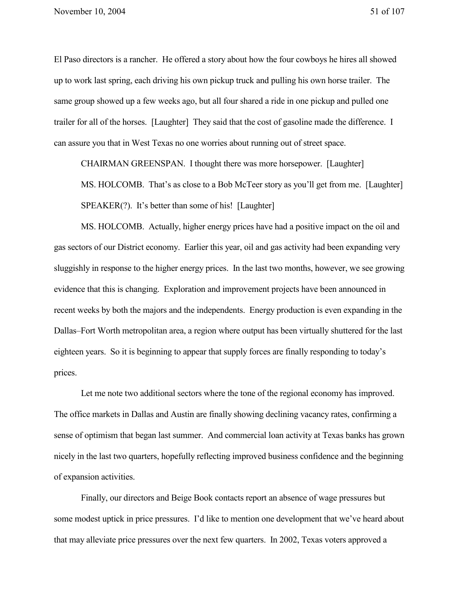El Paso directors is a rancher. He offered a story about how the four cowboys he hires all showed up to work last spring, each driving his own pickup truck and pulling his own horse trailer. The same group showed up a few weeks ago, but all four shared a ride in one pickup and pulled one trailer for all of the horses. [Laughter] They said that the cost of gasoline made the difference. I can assure you that in West Texas no one worries about running out of street space.

CHAIRMAN GREENSPAN. I thought there was more horsepower. [Laughter]

MS. HOLCOMB. That's as close to a Bob McTeer story as you'll get from me. [Laughter] SPEAKER(?). It's better than some of his! [Laughter]

MS. HOLCOMB. Actually, higher energy prices have had a positive impact on the oil and gas sectors of our District economy. Earlier this year, oil and gas activity had been expanding very sluggishly in response to the higher energy prices. In the last two months, however, we see growing evidence that this is changing. Exploration and improvement projects have been announced in recent weeks by both the majors and the independents. Energy production is even expanding in the Dallas–Fort Worth metropolitan area, a region where output has been virtually shuttered for the last eighteen years. So it is beginning to appear that supply forces are finally responding to today's prices.

Let me note two additional sectors where the tone of the regional economy has improved. The office markets in Dallas and Austin are finally showing declining vacancy rates, confirming a sense of optimism that began last summer. And commercial loan activity at Texas banks has grown nicely in the last two quarters, hopefully reflecting improved business confidence and the beginning of expansion activities.

Finally, our directors and Beige Book contacts report an absence of wage pressures but some modest uptick in price pressures. I'd like to mention one development that we've heard about that may alleviate price pressures over the next few quarters. In 2002, Texas voters approved a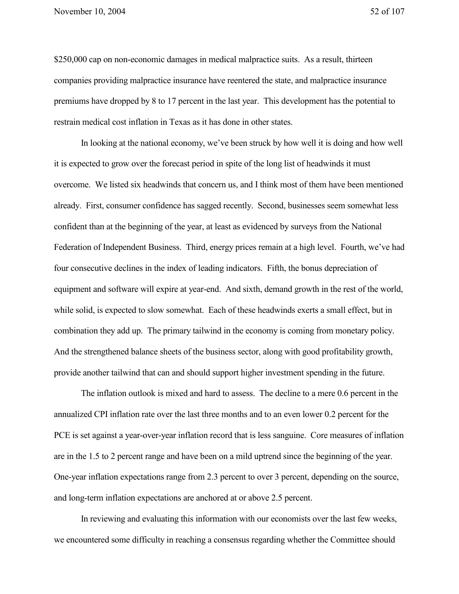\$250,000 cap on non-economic damages in medical malpractice suits. As a result, thirteen companies providing malpractice insurance have reentered the state, and malpractice insurance premiums have dropped by 8 to 17 percent in the last year. This development has the potential to restrain medical cost inflation in Texas as it has done in other states.

In looking at the national economy, we've been struck by how well it is doing and how well it is expected to grow over the forecast period in spite of the long list of headwinds it must overcome. We listed six headwinds that concern us, and I think most of them have been mentioned already. First, consumer confidence has sagged recently. Second, businesses seem somewhat less confident than at the beginning of the year, at least as evidenced by surveys from the National Federation of Independent Business. Third, energy prices remain at a high level. Fourth, we've had four consecutive declines in the index of leading indicators. Fifth, the bonus depreciation of equipment and software will expire at year-end. And sixth, demand growth in the rest of the world, while solid, is expected to slow somewhat. Each of these headwinds exerts a small effect, but in combination they add up. The primary tailwind in the economy is coming from monetary policy. And the strengthened balance sheets of the business sector, along with good profitability growth, provide another tailwind that can and should support higher investment spending in the future.

The inflation outlook is mixed and hard to assess. The decline to a mere 0.6 percent in the annualized CPI inflation rate over the last three months and to an even lower 0.2 percent for the PCE is set against a year-over-year inflation record that is less sanguine. Core measures of inflation are in the 1.5 to 2 percent range and have been on a mild uptrend since the beginning of the year. One-year inflation expectations range from 2.3 percent to over 3 percent, depending on the source, and long-term inflation expectations are anchored at or above 2.5 percent.

In reviewing and evaluating this information with our economists over the last few weeks, we encountered some difficulty in reaching a consensus regarding whether the Committee should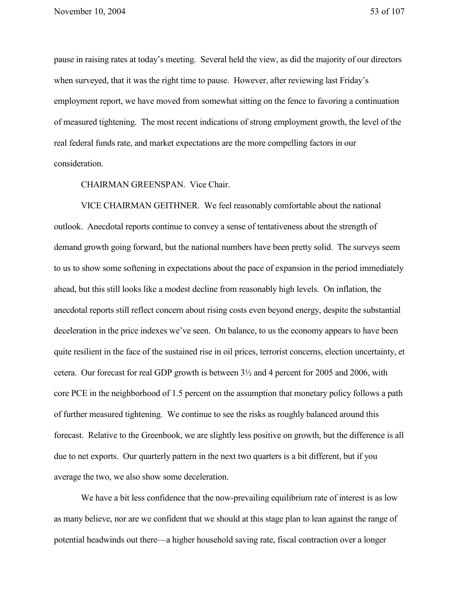pause in raising rates at today's meeting. Several held the view, as did the majority of our directors when surveyed, that it was the right time to pause. However, after reviewing last Friday's employment report, we have moved from somewhat sitting on the fence to favoring a continuation of measured tightening. The most recent indications of strong employment growth, the level of the real federal funds rate, and market expectations are the more compelling factors in our consideration.

## CHAIRMAN GREENSPAN. Vice Chair.

VICE CHAIRMAN GEITHNER. We feel reasonably comfortable about the national outlook. Anecdotal reports continue to convey a sense of tentativeness about the strength of demand growth going forward, but the national numbers have been pretty solid. The surveys seem to us to show some softening in expectations about the pace of expansion in the period immediately ahead, but this still looks like a modest decline from reasonably high levels. On inflation, the anecdotal reports still reflect concern about rising costs even beyond energy, despite the substantial deceleration in the price indexes we've seen. On balance, to us the economy appears to have been quite resilient in the face of the sustained rise in oil prices, terrorist concerns, election uncertainty, et cetera. Our forecast for real GDP growth is between 3½ and 4 percent for 2005 and 2006, with core PCE in the neighborhood of 1.5 percent on the assumption that monetary policy follows a path of further measured tightening. We continue to see the risks as roughly balanced around this forecast. Relative to the Greenbook, we are slightly less positive on growth, but the difference is all due to net exports. Our quarterly pattern in the next two quarters is a bit different, but if you average the two, we also show some deceleration.

We have a bit less confidence that the now-prevailing equilibrium rate of interest is as low as many believe, nor are we confident that we should at this stage plan to lean against the range of potential headwinds out there—a higher household saving rate, fiscal contraction over a longer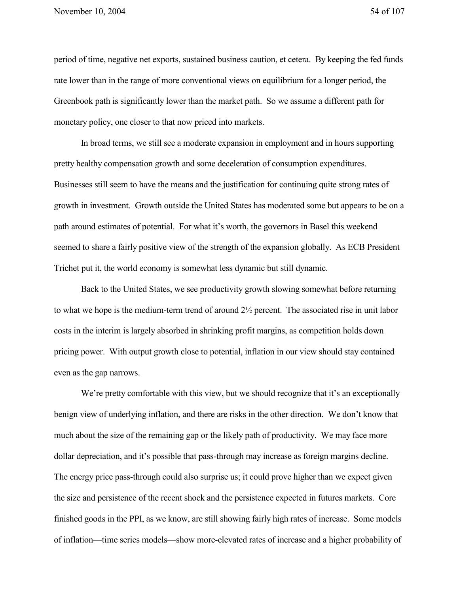period of time, negative net exports, sustained business caution, et cetera. By keeping the fed funds rate lower than in the range of more conventional views on equilibrium for a longer period, the Greenbook path is significantly lower than the market path. So we assume a different path for monetary policy, one closer to that now priced into markets.

In broad terms, we still see a moderate expansion in employment and in hours supporting pretty healthy compensation growth and some deceleration of consumption expenditures. Businesses still seem to have the means and the justification for continuing quite strong rates of growth in investment. Growth outside the United States has moderated some but appears to be on a path around estimates of potential. For what it's worth, the governors in Basel this weekend seemed to share a fairly positive view of the strength of the expansion globally. As ECB President Trichet put it, the world economy is somewhat less dynamic but still dynamic.

Back to the United States, we see productivity growth slowing somewhat before returning to what we hope is the medium-term trend of around 2½ percent. The associated rise in unit labor costs in the interim is largely absorbed in shrinking profit margins, as competition holds down pricing power. With output growth close to potential, inflation in our view should stay contained even as the gap narrows.

We're pretty comfortable with this view, but we should recognize that it's an exceptionally benign view of underlying inflation, and there are risks in the other direction. We don't know that much about the size of the remaining gap or the likely path of productivity. We may face more dollar depreciation, and it's possible that pass-through may increase as foreign margins decline. The energy price pass-through could also surprise us; it could prove higher than we expect given the size and persistence of the recent shock and the persistence expected in futures markets. Core finished goods in the PPI, as we know, are still showing fairly high rates of increase. Some models of inflation—time series models—show more-elevated rates of increase and a higher probability of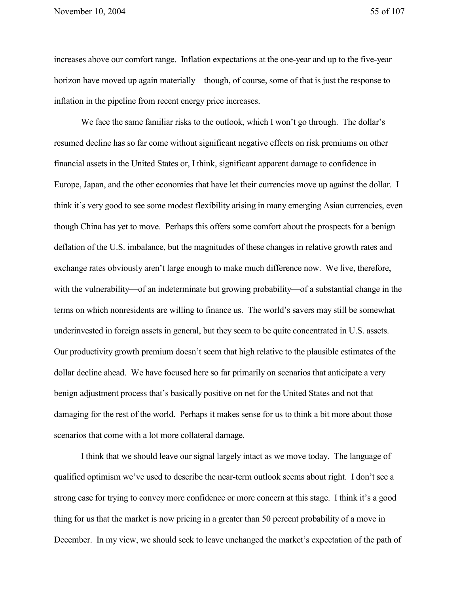increases above our comfort range. Inflation expectations at the one-year and up to the five-year horizon have moved up again materially—though, of course, some of that is just the response to inflation in the pipeline from recent energy price increases.

We face the same familiar risks to the outlook, which I won't go through. The dollar's resumed decline has so far come without significant negative effects on risk premiums on other financial assets in the United States or, I think, significant apparent damage to confidence in Europe, Japan, and the other economies that have let their currencies move up against the dollar. I think it's very good to see some modest flexibility arising in many emerging Asian currencies, even though China has yet to move. Perhaps this offers some comfort about the prospects for a benign deflation of the U.S. imbalance, but the magnitudes of these changes in relative growth rates and exchange rates obviously aren't large enough to make much difference now. We live, therefore, with the vulnerability—of an indeterminate but growing probability—of a substantial change in the terms on which nonresidents are willing to finance us. The world's savers may still be somewhat underinvested in foreign assets in general, but they seem to be quite concentrated in U.S. assets. Our productivity growth premium doesn't seem that high relative to the plausible estimates of the dollar decline ahead. We have focused here so far primarily on scenarios that anticipate a very benign adjustment process that's basically positive on net for the United States and not that damaging for the rest of the world. Perhaps it makes sense for us to think a bit more about those scenarios that come with a lot more collateral damage.

I think that we should leave our signal largely intact as we move today. The language of qualified optimism we've used to describe the near-term outlook seems about right. I don't see a strong case for trying to convey more confidence or more concern at this stage. I think it's a good thing for us that the market is now pricing in a greater than 50 percent probability of a move in December. In my view, we should seek to leave unchanged the market's expectation of the path of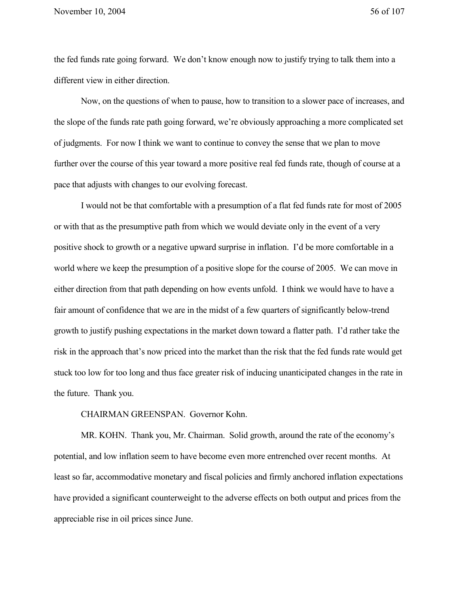the fed funds rate going forward. We don't know enough now to justify trying to talk them into a different view in either direction.

Now, on the questions of when to pause, how to transition to a slower pace of increases, and the slope of the funds rate path going forward, we're obviously approaching a more complicated set of judgments. For now I think we want to continue to convey the sense that we plan to move further over the course of this year toward a more positive real fed funds rate, though of course at a pace that adjusts with changes to our evolving forecast.

I would not be that comfortable with a presumption of a flat fed funds rate for most of 2005 or with that as the presumptive path from which we would deviate only in the event of a very positive shock to growth or a negative upward surprise in inflation. I'd be more comfortable in a world where we keep the presumption of a positive slope for the course of 2005. We can move in either direction from that path depending on how events unfold. I think we would have to have a fair amount of confidence that we are in the midst of a few quarters of significantly below-trend growth to justify pushing expectations in the market down toward a flatter path. I'd rather take the risk in the approach that's now priced into the market than the risk that the fed funds rate would get stuck too low for too long and thus face greater risk of inducing unanticipated changes in the rate in the future. Thank you.

CHAIRMAN GREENSPAN. Governor Kohn.

MR. KOHN. Thank you, Mr. Chairman. Solid growth, around the rate of the economy's potential, and low inflation seem to have become even more entrenched over recent months. At least so far, accommodative monetary and fiscal policies and firmly anchored inflation expectations have provided a significant counterweight to the adverse effects on both output and prices from the appreciable rise in oil prices since June.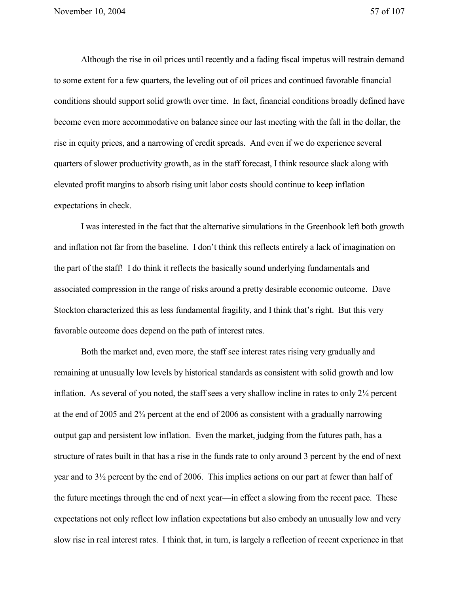Although the rise in oil prices until recently and a fading fiscal impetus will restrain demand to some extent for a few quarters, the leveling out of oil prices and continued favorable financial conditions should support solid growth over time. In fact, financial conditions broadly defined have become even more accommodative on balance since our last meeting with the fall in the dollar, the rise in equity prices, and a narrowing of credit spreads. And even if we do experience several quarters of slower productivity growth, as in the staff forecast, I think resource slack along with elevated profit margins to absorb rising unit labor costs should continue to keep inflation expectations in check.

I was interested in the fact that the alternative simulations in the Greenbook left both growth and inflation not far from the baseline. I don't think this reflects entirely a lack of imagination on the part of the staff! I do think it reflects the basically sound underlying fundamentals and associated compression in the range of risks around a pretty desirable economic outcome. Dave Stockton characterized this as less fundamental fragility, and I think that's right. But this very favorable outcome does depend on the path of interest rates.

Both the market and, even more, the staff see interest rates rising very gradually and remaining at unusually low levels by historical standards as consistent with solid growth and low inflation. As several of you noted, the staff sees a very shallow incline in rates to only 2¼ percent at the end of 2005 and 2¾ percent at the end of 2006 as consistent with a gradually narrowing output gap and persistent low inflation. Even the market, judging from the futures path, has a structure of rates built in that has a rise in the funds rate to only around 3 percent by the end of next year and to 3½ percent by the end of 2006. This implies actions on our part at fewer than half of the future meetings through the end of next year—in effect a slowing from the recent pace. These expectations not only reflect low inflation expectations but also embody an unusually low and very slow rise in real interest rates. I think that, in turn, is largely a reflection of recent experience in that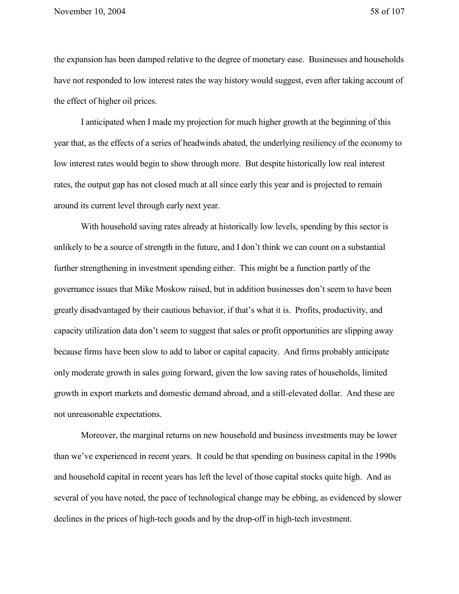the expansion has been damped relative to the degree of monetary ease. Businesses and households have not responded to low interest rates the way history would suggest, even after taking account of the effect of higher oil prices.

I anticipated when I made my projection for much higher growth at the beginning of this year that, as the effects of a series of headwinds abated, the underlying resiliency of the economy to low interest rates would begin to show through more. But despite historically low real interest rates, the output gap has not closed much at all since early this year and is projected to remain around its current level through early next year.

With household saving rates already at historically low levels, spending by this sector is unlikely to be a source of strength in the future, and I don't think we can count on a substantial further strengthening in investment spending either. This might be a function partly of the governance issues that Mike Moskow raised, but in addition businesses don't seem to have been greatly disadvantaged by their cautious behavior, if that's what it is. Profits, productivity, and capacity utilization data don't seem to suggest that sales or profit opportunities are slipping away because firms have been slow to add to labor or capital capacity. And firms probably anticipate only moderate growth in sales going forward, given the low saving rates of households, limited growth in export markets and domestic demand abroad, and a still-elevated dollar. And these are not unreasonable expectations.

Moreover, the marginal returns on new household and business investments may be lower than we've experienced in recent years. It could be that spending on business capital in the 1990s and household capital in recent years has left the level of those capital stocks quite high. And as several of you have noted, the pace of technological change may be ebbing, as evidenced by slower declines in the prices of high-tech goods and by the drop-off in high-tech investment.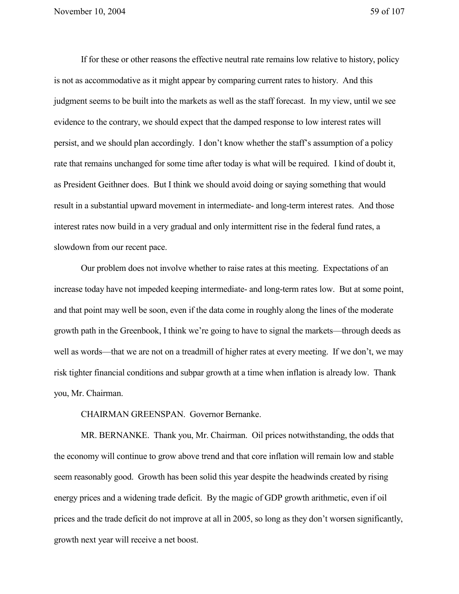If for these or other reasons the effective neutral rate remains low relative to history, policy is not as accommodative as it might appear by comparing current rates to history. And this judgment seems to be built into the markets as well as the staff forecast. In my view, until we see evidence to the contrary, we should expect that the damped response to low interest rates will persist, and we should plan accordingly. I don't know whether the staff's assumption of a policy rate that remains unchanged for some time after today is what will be required. I kind of doubt it, as President Geithner does. But I think we should avoid doing or saying something that would result in a substantial upward movement in intermediate- and long-term interest rates. And those interest rates now build in a very gradual and only intermittent rise in the federal fund rates, a slowdown from our recent pace.

Our problem does not involve whether to raise rates at this meeting. Expectations of an increase today have not impeded keeping intermediate- and long-term rates low. But at some point, and that point may well be soon, even if the data come in roughly along the lines of the moderate growth path in the Greenbook, I think we're going to have to signal the markets—through deeds as well as words—that we are not on a treadmill of higher rates at every meeting. If we don't, we may risk tighter financial conditions and subpar growth at a time when inflation is already low. Thank you, Mr. Chairman.

CHAIRMAN GREENSPAN. Governor Bernanke.

MR. BERNANKE. Thank you, Mr. Chairman. Oil prices notwithstanding, the odds that the economy will continue to grow above trend and that core inflation will remain low and stable seem reasonably good. Growth has been solid this year despite the headwinds created by rising energy prices and a widening trade deficit. By the magic of GDP growth arithmetic, even if oil prices and the trade deficit do not improve at all in 2005, so long as they don't worsen significantly, growth next year will receive a net boost.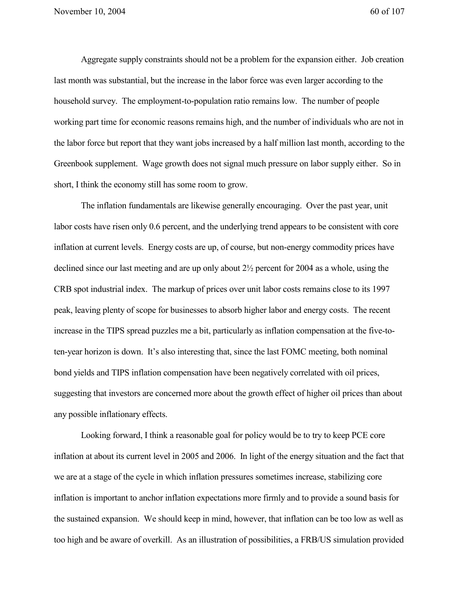Aggregate supply constraints should not be a problem for the expansion either. Job creation last month was substantial, but the increase in the labor force was even larger according to the household survey. The employment-to-population ratio remains low. The number of people working part time for economic reasons remains high, and the number of individuals who are not in the labor force but report that they want jobs increased by a half million last month, according to the Greenbook supplement. Wage growth does not signal much pressure on labor supply either. So in short, I think the economy still has some room to grow.

The inflation fundamentals are likewise generally encouraging. Over the past year, unit labor costs have risen only 0.6 percent, and the underlying trend appears to be consistent with core inflation at current levels. Energy costs are up, of course, but non-energy commodity prices have declined since our last meeting and are up only about 2½ percent for 2004 as a whole, using the CRB spot industrial index. The markup of prices over unit labor costs remains close to its 1997 peak, leaving plenty of scope for businesses to absorb higher labor and energy costs. The recent increase in the TIPS spread puzzles me a bit, particularly as inflation compensation at the five-toten-year horizon is down. It's also interesting that, since the last FOMC meeting, both nominal bond yields and TIPS inflation compensation have been negatively correlated with oil prices, suggesting that investors are concerned more about the growth effect of higher oil prices than about any possible inflationary effects.

Looking forward, I think a reasonable goal for policy would be to try to keep PCE core inflation at about its current level in 2005 and 2006. In light of the energy situation and the fact that we are at a stage of the cycle in which inflation pressures sometimes increase, stabilizing core inflation is important to anchor inflation expectations more firmly and to provide a sound basis for the sustained expansion. We should keep in mind, however, that inflation can be too low as well as too high and be aware of overkill. As an illustration of possibilities, a FRB/US simulation provided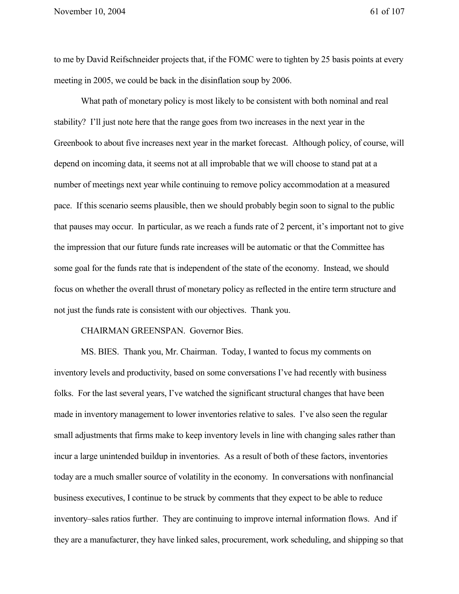to me by David Reifschneider projects that, if the FOMC were to tighten by 25 basis points at every meeting in 2005, we could be back in the disinflation soup by 2006.

What path of monetary policy is most likely to be consistent with both nominal and real stability? I'll just note here that the range goes from two increases in the next year in the Greenbook to about five increases next year in the market forecast. Although policy, of course, will depend on incoming data, it seems not at all improbable that we will choose to stand pat at a number of meetings next year while continuing to remove policy accommodation at a measured pace. If this scenario seems plausible, then we should probably begin soon to signal to the public that pauses may occur. In particular, as we reach a funds rate of 2 percent, it's important not to give the impression that our future funds rate increases will be automatic or that the Committee has some goal for the funds rate that is independent of the state of the economy. Instead, we should focus on whether the overall thrust of monetary policy as reflected in the entire term structure and not just the funds rate is consistent with our objectives. Thank you.

## CHAIRMAN GREENSPAN. Governor Bies.

MS. BIES. Thank you, Mr. Chairman. Today, I wanted to focus my comments on inventory levels and productivity, based on some conversations I've had recently with business folks. For the last several years, I've watched the significant structural changes that have been made in inventory management to lower inventories relative to sales. I've also seen the regular small adjustments that firms make to keep inventory levels in line with changing sales rather than incur a large unintended buildup in inventories. As a result of both of these factors, inventories today are a much smaller source of volatility in the economy. In conversations with nonfinancial business executives, I continue to be struck by comments that they expect to be able to reduce inventory–sales ratios further. They are continuing to improve internal information flows. And if they are a manufacturer, they have linked sales, procurement, work scheduling, and shipping so that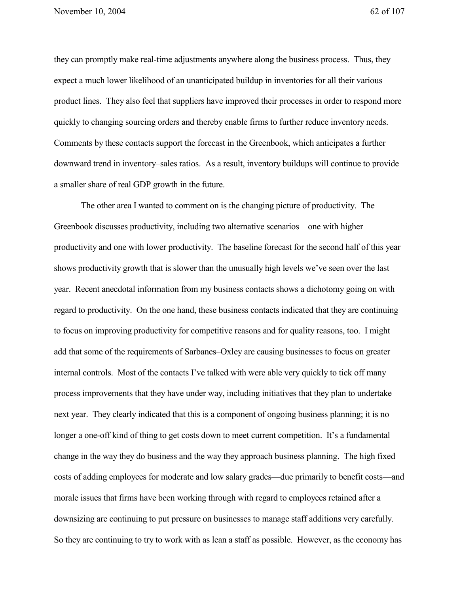they can promptly make real-time adjustments anywhere along the business process. Thus, they expect a much lower likelihood of an unanticipated buildup in inventories for all their various product lines. They also feel that suppliers have improved their processes in order to respond more quickly to changing sourcing orders and thereby enable firms to further reduce inventory needs. Comments by these contacts support the forecast in the Greenbook, which anticipates a further downward trend in inventory–sales ratios. As a result, inventory buildups will continue to provide a smaller share of real GDP growth in the future.

The other area I wanted to comment on is the changing picture of productivity. The Greenbook discusses productivity, including two alternative scenarios—one with higher productivity and one with lower productivity. The baseline forecast for the second half of this year shows productivity growth that is slower than the unusually high levels we've seen over the last year. Recent anecdotal information from my business contacts shows a dichotomy going on with regard to productivity. On the one hand, these business contacts indicated that they are continuing to focus on improving productivity for competitive reasons and for quality reasons, too. I might add that some of the requirements of Sarbanes–Oxley are causing businesses to focus on greater internal controls. Most of the contacts I've talked with were able very quickly to tick off many process improvements that they have under way, including initiatives that they plan to undertake next year. They clearly indicated that this is a component of ongoing business planning; it is no longer a one-off kind of thing to get costs down to meet current competition. It's a fundamental change in the way they do business and the way they approach business planning. The high fixed costs of adding employees for moderate and low salary grades—due primarily to benefit costs—and morale issues that firms have been working through with regard to employees retained after a downsizing are continuing to put pressure on businesses to manage staff additions very carefully. So they are continuing to try to work with as lean a staff as possible. However, as the economy has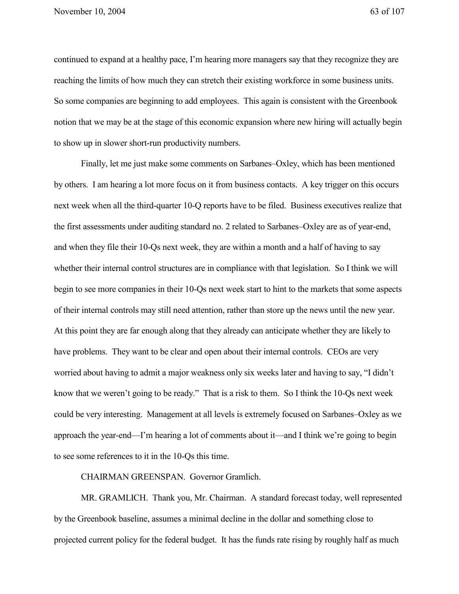continued to expand at a healthy pace, I'm hearing more managers say that they recognize they are reaching the limits of how much they can stretch their existing workforce in some business units. So some companies are beginning to add employees. This again is consistent with the Greenbook notion that we may be at the stage of this economic expansion where new hiring will actually begin to show up in slower short-run productivity numbers.

Finally, let me just make some comments on Sarbanes–Oxley, which has been mentioned by others. I am hearing a lot more focus on it from business contacts. A key trigger on this occurs next week when all the third-quarter 10-Q reports have to be filed. Business executives realize that the first assessments under auditing standard no. 2 related to Sarbanes–Oxley are as of year-end, and when they file their 10-Qs next week, they are within a month and a half of having to say whether their internal control structures are in compliance with that legislation. So I think we will begin to see more companies in their 10-Qs next week start to hint to the markets that some aspects of their internal controls may still need attention, rather than store up the news until the new year. At this point they are far enough along that they already can anticipate whether they are likely to have problems. They want to be clear and open about their internal controls. CEOs are very worried about having to admit a major weakness only six weeks later and having to say, "I didn't know that we weren't going to be ready." That is a risk to them. So I think the 10-Qs next week could be very interesting. Management at all levels is extremely focused on Sarbanes–Oxley as we approach the year-end—I'm hearing a lot of comments about it—and I think we're going to begin to see some references to it in the 10-Qs this time.

CHAIRMAN GREENSPAN. Governor Gramlich.

MR. GRAMLICH. Thank you, Mr. Chairman. A standard forecast today, well represented by the Greenbook baseline, assumes a minimal decline in the dollar and something close to projected current policy for the federal budget. It has the funds rate rising by roughly half as much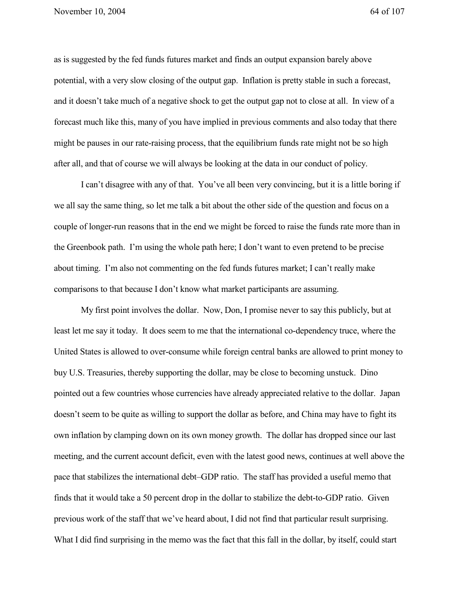as is suggested by the fed funds futures market and finds an output expansion barely above potential, with a very slow closing of the output gap. Inflation is pretty stable in such a forecast, and it doesn't take much of a negative shock to get the output gap not to close at all. In view of a forecast much like this, many of you have implied in previous comments and also today that there might be pauses in our rate-raising process, that the equilibrium funds rate might not be so high after all, and that of course we will always be looking at the data in our conduct of policy.

I can't disagree with any of that. You've all been very convincing, but it is a little boring if we all say the same thing, so let me talk a bit about the other side of the question and focus on a couple of longer-run reasons that in the end we might be forced to raise the funds rate more than in the Greenbook path. I'm using the whole path here; I don't want to even pretend to be precise about timing. I'm also not commenting on the fed funds futures market; I can't really make comparisons to that because I don't know what market participants are assuming.

My first point involves the dollar. Now, Don, I promise never to say this publicly, but at least let me say it today. It does seem to me that the international co-dependency truce, where the United States is allowed to over-consume while foreign central banks are allowed to print money to buy U.S. Treasuries, thereby supporting the dollar, may be close to becoming unstuck. Dino pointed out a few countries whose currencies have already appreciated relative to the dollar. Japan doesn't seem to be quite as willing to support the dollar as before, and China may have to fight its own inflation by clamping down on its own money growth. The dollar has dropped since our last meeting, and the current account deficit, even with the latest good news, continues at well above the pace that stabilizes the international debt–GDP ratio. The staff has provided a useful memo that finds that it would take a 50 percent drop in the dollar to stabilize the debt-to-GDP ratio. Given previous work of the staff that we've heard about, I did not find that particular result surprising. What I did find surprising in the memo was the fact that this fall in the dollar, by itself, could start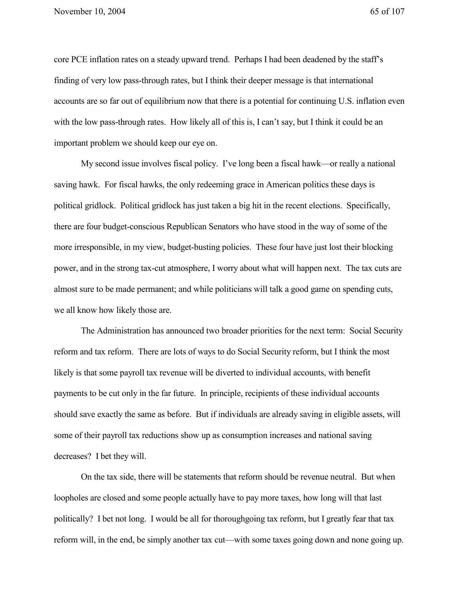core PCE inflation rates on a steady upward trend. Perhaps I had been deadened by the staff's finding of very low pass-through rates, but I think their deeper message is that international accounts are so far out of equilibrium now that there is a potential for continuing U.S. inflation even with the low pass-through rates. How likely all of this is, I can't say, but I think it could be an important problem we should keep our eye on.

My second issue involves fiscal policy. I've long been a fiscal hawk—or really a national saving hawk. For fiscal hawks, the only redeeming grace in American politics these days is political gridlock. Political gridlock has just taken a big hit in the recent elections. Specifically, there are four budget-conscious Republican Senators who have stood in the way of some of the more irresponsible, in my view, budget-busting policies. These four have just lost their blocking power, and in the strong tax-cut atmosphere, I worry about what will happen next. The tax cuts are almost sure to be made permanent; and while politicians will talk a good game on spending cuts, we all know how likely those are.

The Administration has announced two broader priorities for the next term: Social Security reform and tax reform. There are lots of ways to do Social Security reform, but I think the most likely is that some payroll tax revenue will be diverted to individual accounts, with benefit payments to be cut only in the far future. In principle, recipients of these individual accounts should save exactly the same as before. But if individuals are already saving in eligible assets, will some of their payroll tax reductions show up as consumption increases and national saving decreases? I bet they will.

On the tax side, there will be statements that reform should be revenue neutral. But when loopholes are closed and some people actually have to pay more taxes, how long will that last politically? I bet not long. I would be all for thoroughgoing tax reform, but I greatly fear that tax reform will, in the end, be simply another tax cut—with some taxes going down and none going up.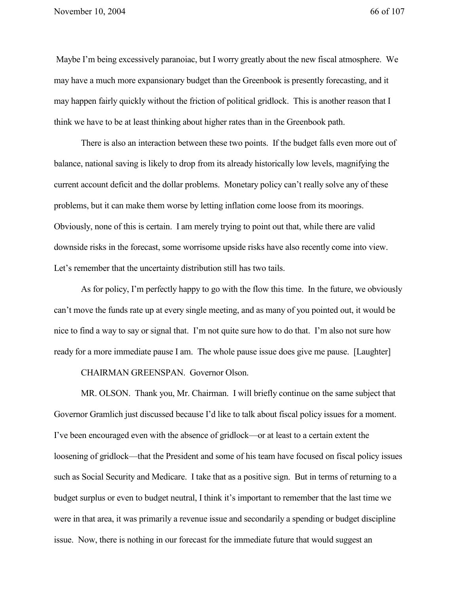Maybe I'm being excessively paranoiac, but I worry greatly about the new fiscal atmosphere. We may have a much more expansionary budget than the Greenbook is presently forecasting, and it may happen fairly quickly without the friction of political gridlock. This is another reason that I think we have to be at least thinking about higher rates than in the Greenbook path.

There is also an interaction between these two points. If the budget falls even more out of balance, national saving is likely to drop from its already historically low levels, magnifying the current account deficit and the dollar problems. Monetary policy can't really solve any of these problems, but it can make them worse by letting inflation come loose from its moorings. Obviously, none of this is certain. I am merely trying to point out that, while there are valid downside risks in the forecast, some worrisome upside risks have also recently come into view. Let's remember that the uncertainty distribution still has two tails.

As for policy, I'm perfectly happy to go with the flow this time. In the future, we obviously can't move the funds rate up at every single meeting, and as many of you pointed out, it would be nice to find a way to say or signal that. I'm not quite sure how to do that. I'm also not sure how ready for a more immediate pause I am. The whole pause issue does give me pause. [Laughter]

CHAIRMAN GREENSPAN. Governor Olson.

MR. OLSON. Thank you, Mr. Chairman. I will briefly continue on the same subject that Governor Gramlich just discussed because I'd like to talk about fiscal policy issues for a moment. I've been encouraged even with the absence of gridlock—or at least to a certain extent the loosening of gridlock—that the President and some of his team have focused on fiscal policy issues such as Social Security and Medicare. I take that as a positive sign. But in terms of returning to a budget surplus or even to budget neutral, I think it's important to remember that the last time we were in that area, it was primarily a revenue issue and secondarily a spending or budget discipline issue. Now, there is nothing in our forecast for the immediate future that would suggest an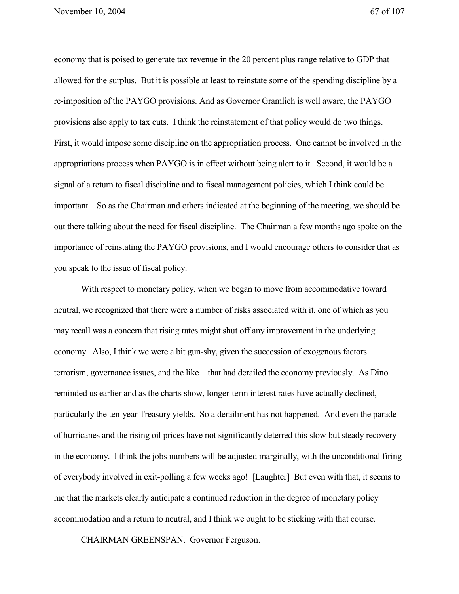November 10, 2004 67 of 107

economy that is poised to generate tax revenue in the 20 percent plus range relative to GDP that allowed for the surplus. But it is possible at least to reinstate some of the spending discipline by a re-imposition of the PAYGO provisions. And as Governor Gramlich is well aware, the PAYGO provisions also apply to tax cuts. I think the reinstatement of that policy would do two things. First, it would impose some discipline on the appropriation process. One cannot be involved in the appropriations process when PAYGO is in effect without being alert to it. Second, it would be a signal of a return to fiscal discipline and to fiscal management policies, which I think could be important. So as the Chairman and others indicated at the beginning of the meeting, we should be out there talking about the need for fiscal discipline. The Chairman a few months ago spoke on the importance of reinstating the PAYGO provisions, and I would encourage others to consider that as you speak to the issue of fiscal policy.

With respect to monetary policy, when we began to move from accommodative toward neutral, we recognized that there were a number of risks associated with it, one of which as you may recall was a concern that rising rates might shut off any improvement in the underlying economy. Also, I think we were a bit gun-shy, given the succession of exogenous factors terrorism, governance issues, and the like—that had derailed the economy previously. As Dino reminded us earlier and as the charts show, longer-term interest rates have actually declined, particularly the ten-year Treasury yields. So a derailment has not happened. And even the parade of hurricanes and the rising oil prices have not significantly deterred this slow but steady recovery in the economy. I think the jobs numbers will be adjusted marginally, with the unconditional firing of everybody involved in exit-polling a few weeks ago! [Laughter] But even with that, it seems to me that the markets clearly anticipate a continued reduction in the degree of monetary policy accommodation and a return to neutral, and I think we ought to be sticking with that course.

CHAIRMAN GREENSPAN. Governor Ferguson.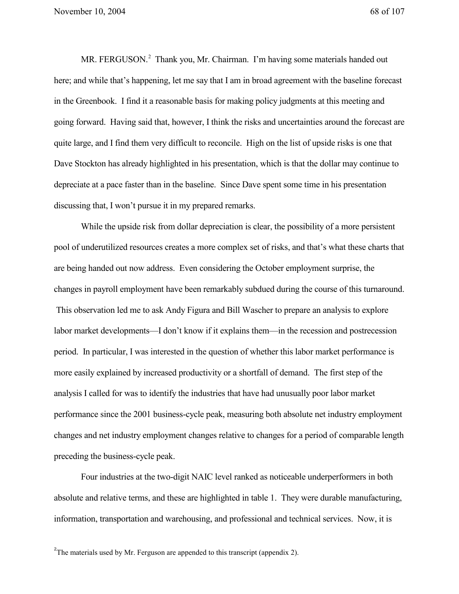November 10, 2004 68 of 107

MR. FERGUSON.<sup>2</sup> Thank you, Mr. Chairman. I'm having some materials handed out here; and while that's happening, let me say that I am in broad agreement with the baseline forecast in the Greenbook. I find it a reasonable basis for making policy judgments at this meeting and going forward. Having said that, however, I think the risks and uncertainties around the forecast are quite large, and I find them very difficult to reconcile. High on the list of upside risks is one that Dave Stockton has already highlighted in his presentation, which is that the dollar may continue to depreciate at a pace faster than in the baseline. Since Dave spent some time in his presentation discussing that, I won't pursue it in my prepared remarks.

While the upside risk from dollar depreciation is clear, the possibility of a more persistent pool of underutilized resources creates a more complex set of risks, and that's what these charts that are being handed out now address. Even considering the October employment surprise, the changes in payroll employment have been remarkably subdued during the course of this turnaround. This observation led me to ask Andy Figura and Bill Wascher to prepare an analysis to explore labor market developments—I don't know if it explains them—in the recession and postrecession period. In particular, I was interested in the question of whether this labor market performance is more easily explained by increased productivity or a shortfall of demand. The first step of the analysis I called for was to identify the industries that have had unusually poor labor market performance since the 2001 business-cycle peak, measuring both absolute net industry employment changes and net industry employment changes relative to changes for a period of comparable length preceding the business-cycle peak.

Four industries at the two-digit NAIC level ranked as noticeable underperformers in both absolute and relative terms, and these are highlighted in table 1. They were durable manufacturing, information, transportation and warehousing, and professional and technical services. Now, it is

<sup>2</sup>The materials used by Mr. Ferguson are appended to this transcript (appendix 2).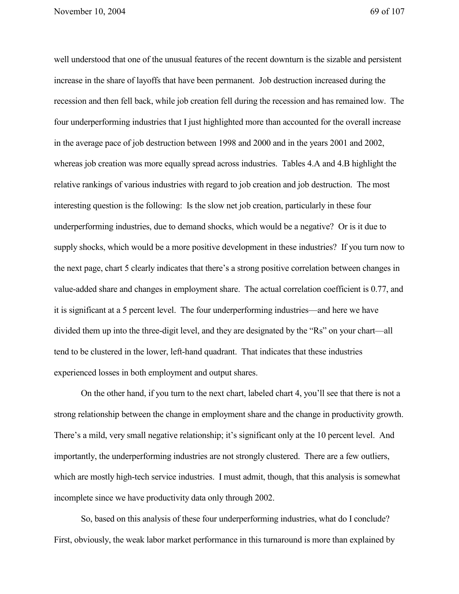November 10, 2004 69 of 107

well understood that one of the unusual features of the recent downturn is the sizable and persistent increase in the share of layoffs that have been permanent. Job destruction increased during the recession and then fell back, while job creation fell during the recession and has remained low. The four underperforming industries that I just highlighted more than accounted for the overall increase in the average pace of job destruction between 1998 and 2000 and in the years 2001 and 2002, whereas job creation was more equally spread across industries. Tables 4.A and 4.B highlight the relative rankings of various industries with regard to job creation and job destruction. The most interesting question is the following: Is the slow net job creation, particularly in these four underperforming industries, due to demand shocks, which would be a negative? Or is it due to supply shocks, which would be a more positive development in these industries? If you turn now to the next page, chart 5 clearly indicates that there's a strong positive correlation between changes in value-added share and changes in employment share. The actual correlation coefficient is 0.77, and it is significant at a 5 percent level. The four underperforming industries—and here we have divided them up into the three-digit level, and they are designated by the "Rs" on your chart—all tend to be clustered in the lower, left-hand quadrant. That indicates that these industries experienced losses in both employment and output shares.

On the other hand, if you turn to the next chart, labeled chart 4, you'll see that there is not a strong relationship between the change in employment share and the change in productivity growth. There's a mild, very small negative relationship; it's significant only at the 10 percent level. And importantly, the underperforming industries are not strongly clustered. There are a few outliers, which are mostly high-tech service industries. I must admit, though, that this analysis is somewhat incomplete since we have productivity data only through 2002.

So, based on this analysis of these four underperforming industries, what do I conclude? First, obviously, the weak labor market performance in this turnaround is more than explained by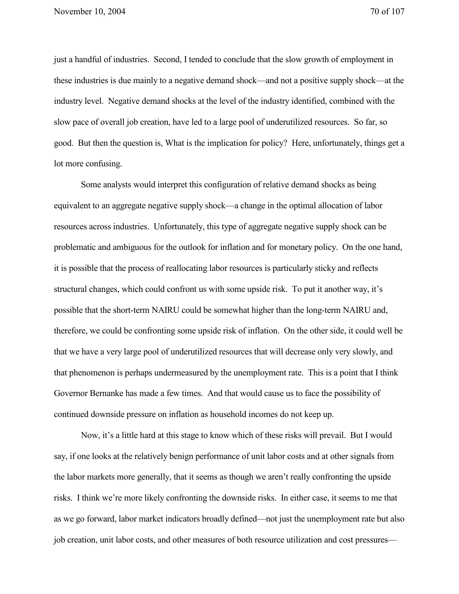just a handful of industries. Second, I tended to conclude that the slow growth of employment in these industries is due mainly to a negative demand shock—and not a positive supply shock—at the industry level. Negative demand shocks at the level of the industry identified, combined with the slow pace of overall job creation, have led to a large pool of underutilized resources. So far, so good. But then the question is, What is the implication for policy? Here, unfortunately, things get a lot more confusing.

Some analysts would interpret this configuration of relative demand shocks as being equivalent to an aggregate negative supply shock—a change in the optimal allocation of labor resources across industries. Unfortunately, this type of aggregate negative supply shock can be problematic and ambiguous for the outlook for inflation and for monetary policy. On the one hand, it is possible that the process of reallocating labor resources is particularly sticky and reflects structural changes, which could confront us with some upside risk. To put it another way, it's possible that the short-term NAIRU could be somewhat higher than the long-term NAIRU and, therefore, we could be confronting some upside risk of inflation. On the other side, it could well be that we have a very large pool of underutilized resources that will decrease only very slowly, and that phenomenon is perhaps undermeasured by the unemployment rate. This is a point that I think Governor Bernanke has made a few times. And that would cause us to face the possibility of continued downside pressure on inflation as household incomes do not keep up.

Now, it's a little hard at this stage to know which of these risks will prevail. But I would say, if one looks at the relatively benign performance of unit labor costs and at other signals from the labor markets more generally, that it seems as though we aren't really confronting the upside risks. I think we're more likely confronting the downside risks. In either case, it seems to me that as we go forward, labor market indicators broadly defined—not just the unemployment rate but also job creation, unit labor costs, and other measures of both resource utilization and cost pressures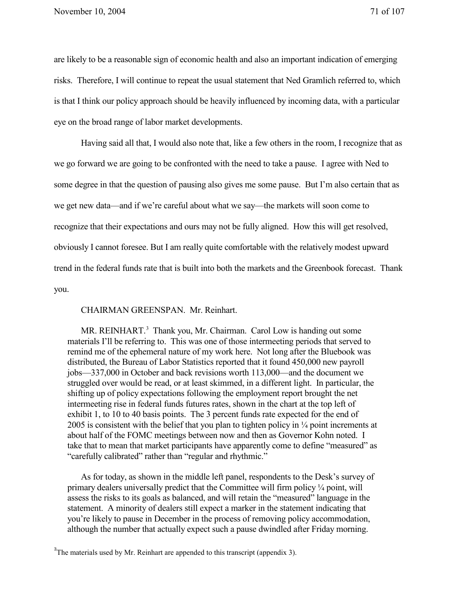are likely to be a reasonable sign of economic health and also an important indication of emerging risks. Therefore, I will continue to repeat the usual statement that Ned Gramlich referred to, which is that I think our policy approach should be heavily influenced by incoming data, with a particular eye on the broad range of labor market developments.

Having said all that, I would also note that, like a few others in the room, I recognize that as we go forward we are going to be confronted with the need to take a pause. I agree with Ned to some degree in that the question of pausing also gives me some pause. But I'm also certain that as we get new data—and if we're careful about what we say—the markets will soon come to recognize that their expectations and ours may not be fully aligned. How this will get resolved, obviously I cannot foresee. But I am really quite comfortable with the relatively modest upward trend in the federal funds rate that is built into both the markets and the Greenbook forecast. Thank you.

CHAIRMAN GREENSPAN. Mr. Reinhart.

MR. REINHART.<sup>3</sup> Thank you, Mr. Chairman. Carol Low is handing out some materials I'll be referring to. This was one of those intermeeting periods that served to remind me of the ephemeral nature of my work here. Not long after the Bluebook was distributed, the Bureau of Labor Statistics reported that it found 450,000 new payroll jobs—337,000 in October and back revisions worth 113,000—and the document we struggled over would be read, or at least skimmed, in a different light. In particular, the shifting up of policy expectations following the employment report brought the net intermeeting rise in federal funds futures rates, shown in the chart at the top left of exhibit 1, to 10 to 40 basis points. The 3 percent funds rate expected for the end of 2005 is consistent with the belief that you plan to tighten policy in ¼ point increments at about half of the FOMC meetings between now and then as Governor Kohn noted. I take that to mean that market participants have apparently come to define "measured" as "carefully calibrated" rather than "regular and rhythmic."

As for today, as shown in the middle left panel, respondents to the Desk's survey of primary dealers universally predict that the Committee will firm policy ¼ point, will assess the risks to its goals as balanced, and will retain the "measured" language in the statement. A minority of dealers still expect a marker in the statement indicating that you're likely to pause in December in the process of removing policy accommodation, although the number that actually expect such a pause dwindled after Friday morning.

 $3^3$ The materials used by Mr. Reinhart are appended to this transcript (appendix 3).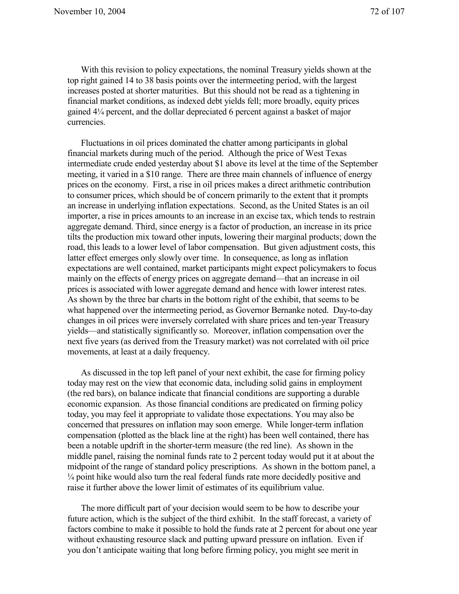With this revision to policy expectations, the nominal Treasury yields shown at the top right gained 14 to 38 basis points over the intermeeting period, with the largest increases posted at shorter maturities. But this should not be read as a tightening in financial market conditions, as indexed debt yields fell; more broadly, equity prices gained 4¼ percent, and the dollar depreciated 6 percent against a basket of major currencies.

Fluctuations in oil prices dominated the chatter among participants in global financial markets during much of the period. Although the price of West Texas intermediate crude ended yesterday about \$1 above its level at the time of the September meeting, it varied in a \$10 range. There are three main channels of influence of energy prices on the economy. First, a rise in oil prices makes a direct arithmetic contribution to consumer prices, which should be of concern primarily to the extent that it prompts an increase in underlying inflation expectations. Second, as the United States is an oil importer, a rise in prices amounts to an increase in an excise tax, which tends to restrain aggregate demand. Third, since energy is a factor of production, an increase in its price tilts the production mix toward other inputs, lowering their marginal products; down the road, this leads to a lower level of labor compensation. But given adjustment costs, this latter effect emerges only slowly over time. In consequence, as long as inflation expectations are well contained, market participants might expect policymakers to focus mainly on the effects of energy prices on aggregate demand—that an increase in oil prices is associated with lower aggregate demand and hence with lower interest rates. As shown by the three bar charts in the bottom right of the exhibit, that seems to be what happened over the intermeeting period, as Governor Bernanke noted. Day-to-day changes in oil prices were inversely correlated with share prices and ten-year Treasury yields—and statistically significantly so. Moreover, inflation compensation over the next five years (as derived from the Treasury market) was not correlated with oil price movements, at least at a daily frequency.

As discussed in the top left panel of your next exhibit, the case for firming policy today may rest on the view that economic data, including solid gains in employment (the red bars), on balance indicate that financial conditions are supporting a durable economic expansion. As those financial conditions are predicated on firming policy today, you may feel it appropriate to validate those expectations. You may also be concerned that pressures on inflation may soon emerge. While longer-term inflation compensation (plotted as the black line at the right) has been well contained, there has been a notable updrift in the shorter-term measure (the red line). As shown in the middle panel, raising the nominal funds rate to 2 percent today would put it at about the midpoint of the range of standard policy prescriptions. As shown in the bottom panel, a ¼ point hike would also turn the real federal funds rate more decidedly positive and raise it further above the lower limit of estimates of its equilibrium value.

The more difficult part of your decision would seem to be how to describe your future action, which is the subject of the third exhibit. In the staff forecast, a variety of factors combine to make it possible to hold the funds rate at 2 percent for about one year without exhausting resource slack and putting upward pressure on inflation. Even if you don't anticipate waiting that long before firming policy, you might see merit in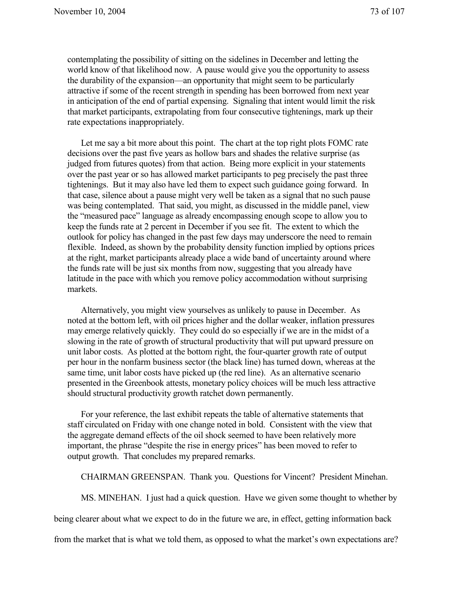contemplating the possibility of sitting on the sidelines in December and letting the world know of that likelihood now. A pause would give you the opportunity to assess the durability of the expansion—an opportunity that might seem to be particularly attractive if some of the recent strength in spending has been borrowed from next year in anticipation of the end of partial expensing. Signaling that intent would limit the risk that market participants, extrapolating from four consecutive tightenings, mark up their rate expectations inappropriately.

Let me say a bit more about this point. The chart at the top right plots FOMC rate decisions over the past five years as hollow bars and shades the relative surprise (as judged from futures quotes) from that action. Being more explicit in your statements over the past year or so has allowed market participants to peg precisely the past three tightenings. But it may also have led them to expect such guidance going forward. In that case, silence about a pause might very well be taken as a signal that no such pause was being contemplated. That said, you might, as discussed in the middle panel, view the "measured pace" language as already encompassing enough scope to allow you to keep the funds rate at 2 percent in December if you see fit. The extent to which the outlook for policy has changed in the past few days may underscore the need to remain flexible. Indeed, as shown by the probability density function implied by options prices at the right, market participants already place a wide band of uncertainty around where the funds rate will be just six months from now, suggesting that you already have latitude in the pace with which you remove policy accommodation without surprising markets.

Alternatively, you might view yourselves as unlikely to pause in December. As noted at the bottom left, with oil prices higher and the dollar weaker, inflation pressures may emerge relatively quickly. They could do so especially if we are in the midst of a slowing in the rate of growth of structural productivity that will put upward pressure on unit labor costs. As plotted at the bottom right, the four-quarter growth rate of output per hour in the nonfarm business sector (the black line) has turned down, whereas at the same time, unit labor costs have picked up (the red line). As an alternative scenario presented in the Greenbook attests, monetary policy choices will be much less attractive should structural productivity growth ratchet down permanently.

For your reference, the last exhibit repeats the table of alternative statements that staff circulated on Friday with one change noted in bold. Consistent with the view that the aggregate demand effects of the oil shock seemed to have been relatively more important, the phrase "despite the rise in energy prices" has been moved to refer to output growth. That concludes my prepared remarks.

CHAIRMAN GREENSPAN. Thank you. Questions for Vincent? President Minehan.

MS. MINEHAN. I just had a quick question. Have we given some thought to whether by

being clearer about what we expect to do in the future we are, in effect, getting information back

from the market that is what we told them, as opposed to what the market's own expectations are?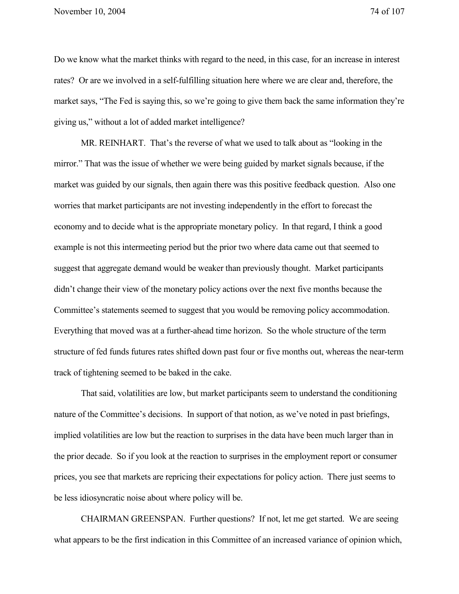Do we know what the market thinks with regard to the need, in this case, for an increase in interest rates? Or are we involved in a self-fulfilling situation here where we are clear and, therefore, the market says, "The Fed is saying this, so we're going to give them back the same information they're giving us," without a lot of added market intelligence?

MR. REINHART. That's the reverse of what we used to talk about as "looking in the mirror." That was the issue of whether we were being guided by market signals because, if the market was guided by our signals, then again there was this positive feedback question. Also one worries that market participants are not investing independently in the effort to forecast the economy and to decide what is the appropriate monetary policy. In that regard, I think a good example is not this intermeeting period but the prior two where data came out that seemed to suggest that aggregate demand would be weaker than previously thought. Market participants didn't change their view of the monetary policy actions over the next five months because the Committee's statements seemed to suggest that you would be removing policy accommodation. Everything that moved was at a further-ahead time horizon. So the whole structure of the term structure of fed funds futures rates shifted down past four or five months out, whereas the near-term track of tightening seemed to be baked in the cake.

That said, volatilities are low, but market participants seem to understand the conditioning nature of the Committee's decisions. In support of that notion, as we've noted in past briefings, implied volatilities are low but the reaction to surprises in the data have been much larger than in the prior decade. So if you look at the reaction to surprises in the employment report or consumer prices, you see that markets are repricing their expectations for policy action. There just seems to be less idiosyncratic noise about where policy will be.

CHAIRMAN GREENSPAN. Further questions? If not, let me get started. We are seeing what appears to be the first indication in this Committee of an increased variance of opinion which,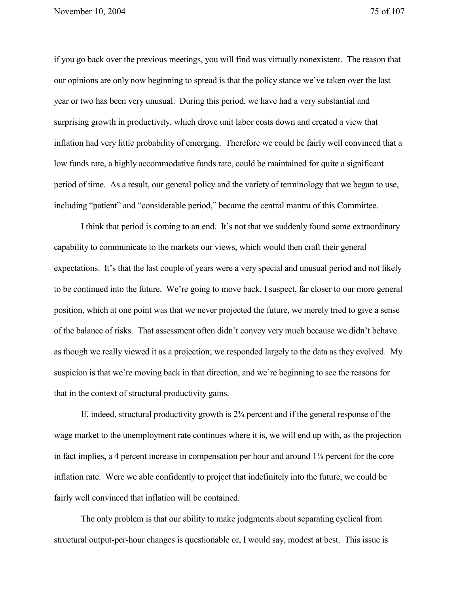November 10, 2004 75 of 107

if you go back over the previous meetings, you will find was virtually nonexistent. The reason that our opinions are only now beginning to spread is that the policy stance we've taken over the last year or two has been very unusual. During this period, we have had a very substantial and surprising growth in productivity, which drove unit labor costs down and created a view that inflation had very little probability of emerging. Therefore we could be fairly well convinced that a low funds rate, a highly accommodative funds rate, could be maintained for quite a significant period of time. As a result, our general policy and the variety of terminology that we began to use, including "patient" and "considerable period," became the central mantra of this Committee.

I think that period is coming to an end. It's not that we suddenly found some extraordinary capability to communicate to the markets our views, which would then craft their general expectations. It's that the last couple of years were a very special and unusual period and not likely to be continued into the future. We're going to move back, I suspect, far closer to our more general position, which at one point was that we never projected the future, we merely tried to give a sense of the balance of risks. That assessment often didn't convey very much because we didn't behave as though we really viewed it as a projection; we responded largely to the data as they evolved. My suspicion is that we're moving back in that direction, and we're beginning to see the reasons for that in the context of structural productivity gains.

If, indeed, structural productivity growth is 2¾ percent and if the general response of the wage market to the unemployment rate continues where it is, we will end up with, as the projection in fact implies, a 4 percent increase in compensation per hour and around  $1\frac{1}{4}$  percent for the core inflation rate. Were we able confidently to project that indefinitely into the future, we could be fairly well convinced that inflation will be contained.

The only problem is that our ability to make judgments about separating cyclical from structural output-per-hour changes is questionable or, I would say, modest at best. This issue is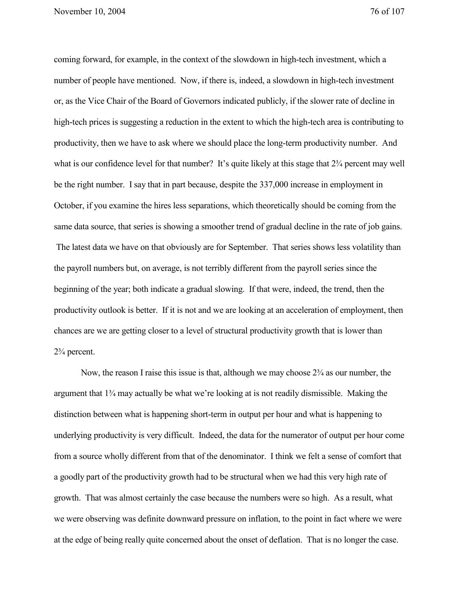coming forward, for example, in the context of the slowdown in high-tech investment, which a number of people have mentioned. Now, if there is, indeed, a slowdown in high-tech investment or, as the Vice Chair of the Board of Governors indicated publicly, if the slower rate of decline in high-tech prices is suggesting a reduction in the extent to which the high-tech area is contributing to productivity, then we have to ask where we should place the long-term productivity number. And what is our confidence level for that number? It's quite likely at this stage that  $2\frac{3}{4}$  percent may well be the right number. I say that in part because, despite the 337,000 increase in employment in October, if you examine the hires less separations, which theoretically should be coming from the same data source, that series is showing a smoother trend of gradual decline in the rate of job gains. The latest data we have on that obviously are for September. That series shows less volatility than the payroll numbers but, on average, is not terribly different from the payroll series since the beginning of the year; both indicate a gradual slowing. If that were, indeed, the trend, then the productivity outlook is better. If it is not and we are looking at an acceleration of employment, then chances are we are getting closer to a level of structural productivity growth that is lower than 2¾ percent.

Now, the reason I raise this issue is that, although we may choose  $2\frac{3}{4}$  as our number, the argument that 1¾ may actually be what we're looking at is not readily dismissible. Making the distinction between what is happening short-term in output per hour and what is happening to underlying productivity is very difficult. Indeed, the data for the numerator of output per hour come from a source wholly different from that of the denominator. I think we felt a sense of comfort that a goodly part of the productivity growth had to be structural when we had this very high rate of growth. That was almost certainly the case because the numbers were so high. As a result, what we were observing was definite downward pressure on inflation, to the point in fact where we were at the edge of being really quite concerned about the onset of deflation. That is no longer the case.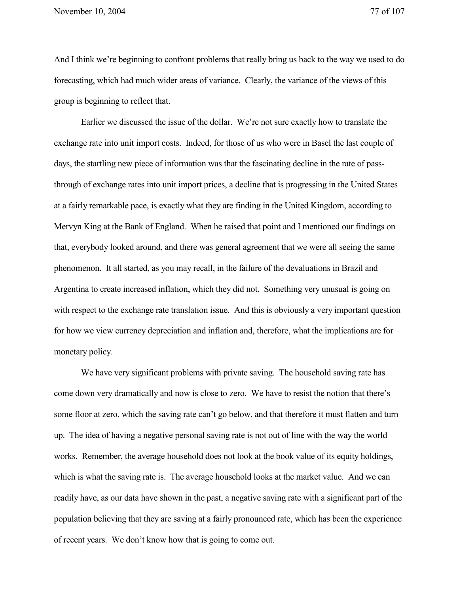And I think we're beginning to confront problems that really bring us back to the way we used to do forecasting, which had much wider areas of variance. Clearly, the variance of the views of this group is beginning to reflect that.

Earlier we discussed the issue of the dollar. We're not sure exactly how to translate the exchange rate into unit import costs. Indeed, for those of us who were in Basel the last couple of days, the startling new piece of information was that the fascinating decline in the rate of passthrough of exchange rates into unit import prices, a decline that is progressing in the United States at a fairly remarkable pace, is exactly what they are finding in the United Kingdom, according to Mervyn King at the Bank of England. When he raised that point and I mentioned our findings on that, everybody looked around, and there was general agreement that we were all seeing the same phenomenon. It all started, as you may recall, in the failure of the devaluations in Brazil and Argentina to create increased inflation, which they did not. Something very unusual is going on with respect to the exchange rate translation issue. And this is obviously a very important question for how we view currency depreciation and inflation and, therefore, what the implications are for monetary policy.

We have very significant problems with private saving. The household saving rate has come down very dramatically and now is close to zero. We have to resist the notion that there's some floor at zero, which the saving rate can't go below, and that therefore it must flatten and turn up. The idea of having a negative personal saving rate is not out of line with the way the world works. Remember, the average household does not look at the book value of its equity holdings, which is what the saving rate is. The average household looks at the market value. And we can readily have, as our data have shown in the past, a negative saving rate with a significant part of the population believing that they are saving at a fairly pronounced rate, which has been the experience of recent years. We don't know how that is going to come out.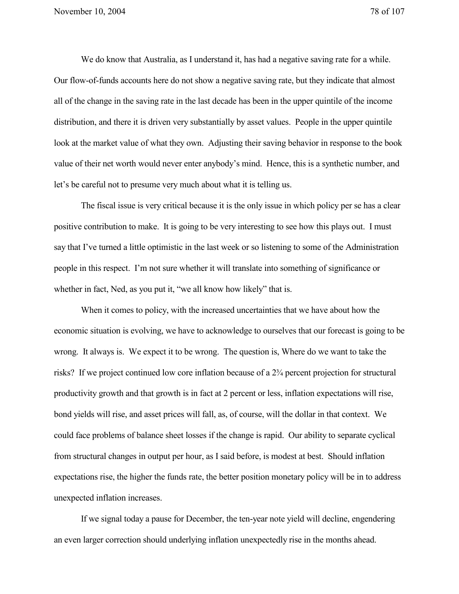We do know that Australia, as I understand it, has had a negative saving rate for a while. Our flow-of-funds accounts here do not show a negative saving rate, but they indicate that almost all of the change in the saving rate in the last decade has been in the upper quintile of the income distribution, and there it is driven very substantially by asset values. People in the upper quintile look at the market value of what they own. Adjusting their saving behavior in response to the book value of their net worth would never enter anybody's mind. Hence, this is a synthetic number, and let's be careful not to presume very much about what it is telling us.

The fiscal issue is very critical because it is the only issue in which policy per se has a clear positive contribution to make. It is going to be very interesting to see how this plays out. I must say that I've turned a little optimistic in the last week or so listening to some of the Administration people in this respect. I'm not sure whether it will translate into something of significance or whether in fact, Ned, as you put it, "we all know how likely" that is.

When it comes to policy, with the increased uncertainties that we have about how the economic situation is evolving, we have to acknowledge to ourselves that our forecast is going to be wrong. It always is. We expect it to be wrong. The question is, Where do we want to take the risks? If we project continued low core inflation because of a 2¾ percent projection for structural productivity growth and that growth is in fact at 2 percent or less, inflation expectations will rise, bond yields will rise, and asset prices will fall, as, of course, will the dollar in that context. We could face problems of balance sheet losses if the change is rapid. Our ability to separate cyclical from structural changes in output per hour, as I said before, is modest at best. Should inflation expectations rise, the higher the funds rate, the better position monetary policy will be in to address unexpected inflation increases.

If we signal today a pause for December, the ten-year note yield will decline, engendering an even larger correction should underlying inflation unexpectedly rise in the months ahead.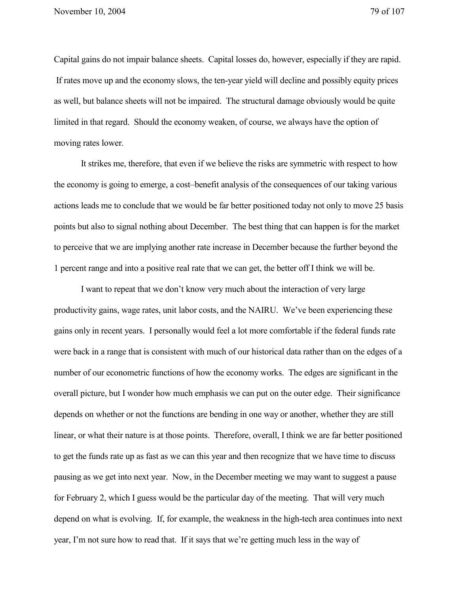Capital gains do not impair balance sheets. Capital losses do, however, especially if they are rapid. If rates move up and the economy slows, the ten-year yield will decline and possibly equity prices as well, but balance sheets will not be impaired. The structural damage obviously would be quite limited in that regard. Should the economy weaken, of course, we always have the option of moving rates lower.

It strikes me, therefore, that even if we believe the risks are symmetric with respect to how the economy is going to emerge, a cost–benefit analysis of the consequences of our taking various actions leads me to conclude that we would be far better positioned today not only to move 25 basis points but also to signal nothing about December. The best thing that can happen is for the market to perceive that we are implying another rate increase in December because the further beyond the 1 percent range and into a positive real rate that we can get, the better off I think we will be.

I want to repeat that we don't know very much about the interaction of very large productivity gains, wage rates, unit labor costs, and the NAIRU. We've been experiencing these gains only in recent years. I personally would feel a lot more comfortable if the federal funds rate were back in a range that is consistent with much of our historical data rather than on the edges of a number of our econometric functions of how the economy works. The edges are significant in the overall picture, but I wonder how much emphasis we can put on the outer edge. Their significance depends on whether or not the functions are bending in one way or another, whether they are still linear, or what their nature is at those points. Therefore, overall, I think we are far better positioned to get the funds rate up as fast as we can this year and then recognize that we have time to discuss pausing as we get into next year. Now, in the December meeting we may want to suggest a pause for February 2, which I guess would be the particular day of the meeting. That will very much depend on what is evolving. If, for example, the weakness in the high-tech area continues into next year, I'm not sure how to read that. If it says that we're getting much less in the way of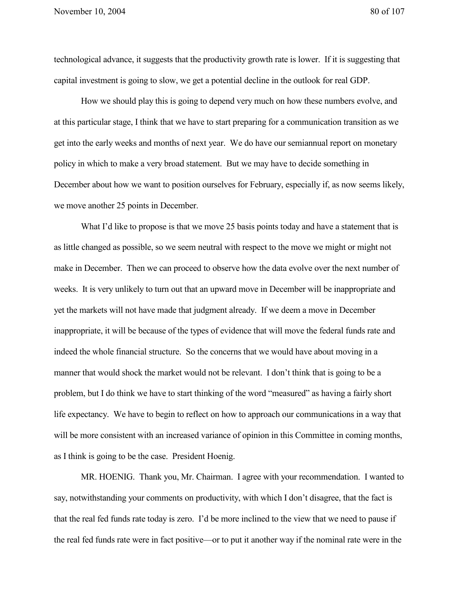technological advance, it suggests that the productivity growth rate is lower. If it is suggesting that capital investment is going to slow, we get a potential decline in the outlook for real GDP.

How we should play this is going to depend very much on how these numbers evolve, and at this particular stage, I think that we have to start preparing for a communication transition as we get into the early weeks and months of next year. We do have our semiannual report on monetary policy in which to make a very broad statement. But we may have to decide something in December about how we want to position ourselves for February, especially if, as now seems likely, we move another 25 points in December.

What I'd like to propose is that we move 25 basis points today and have a statement that is as little changed as possible, so we seem neutral with respect to the move we might or might not make in December. Then we can proceed to observe how the data evolve over the next number of weeks. It is very unlikely to turn out that an upward move in December will be inappropriate and yet the markets will not have made that judgment already. If we deem a move in December inappropriate, it will be because of the types of evidence that will move the federal funds rate and indeed the whole financial structure. So the concerns that we would have about moving in a manner that would shock the market would not be relevant. I don't think that is going to be a problem, but I do think we have to start thinking of the word "measured" as having a fairly short life expectancy. We have to begin to reflect on how to approach our communications in a way that will be more consistent with an increased variance of opinion in this Committee in coming months, as I think is going to be the case. President Hoenig.

MR. HOENIG. Thank you, Mr. Chairman. I agree with your recommendation. I wanted to say, notwithstanding your comments on productivity, with which I don't disagree, that the fact is that the real fed funds rate today is zero. I'd be more inclined to the view that we need to pause if the real fed funds rate were in fact positive—or to put it another way if the nominal rate were in the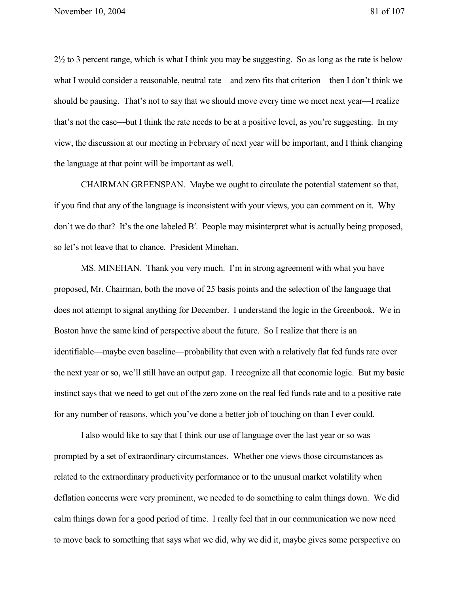2½ to 3 percent range, which is what I think you may be suggesting. So as long as the rate is below what I would consider a reasonable, neutral rate—and zero fits that criterion—then I don't think we should be pausing. That's not to say that we should move every time we meet next year—I realize that's not the case—but I think the rate needs to be at a positive level, as you're suggesting. In my view, the discussion at our meeting in February of next year will be important, and I think changing the language at that point will be important as well.

CHAIRMAN GREENSPAN. Maybe we ought to circulate the potential statement so that, if you find that any of the language is inconsistent with your views, you can comment on it. Why don't we do that? It's the one labeled B′. People may misinterpret what is actually being proposed, so let's not leave that to chance. President Minehan.

MS. MINEHAN. Thank you very much. I'm in strong agreement with what you have proposed, Mr. Chairman, both the move of 25 basis points and the selection of the language that does not attempt to signal anything for December. I understand the logic in the Greenbook. We in Boston have the same kind of perspective about the future. So I realize that there is an identifiable—maybe even baseline—probability that even with a relatively flat fed funds rate over the next year or so, we'll still have an output gap. I recognize all that economic logic. But my basic instinct says that we need to get out of the zero zone on the real fed funds rate and to a positive rate for any number of reasons, which you've done a better job of touching on than I ever could.

I also would like to say that I think our use of language over the last year or so was prompted by a set of extraordinary circumstances. Whether one views those circumstances as related to the extraordinary productivity performance or to the unusual market volatility when deflation concerns were very prominent, we needed to do something to calm things down. We did calm things down for a good period of time. I really feel that in our communication we now need to move back to something that says what we did, why we did it, maybe gives some perspective on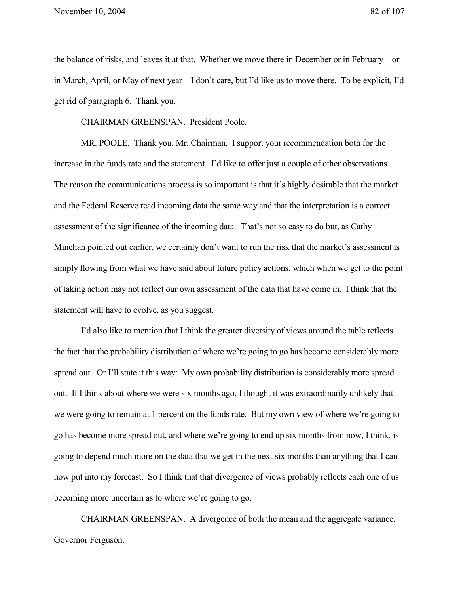the balance of risks, and leaves it at that. Whether we move there in December or in February—or in March, April, or May of next year—I don't care, but I'd like us to move there. To be explicit, I'd get rid of paragraph 6. Thank you.

CHAIRMAN GREENSPAN. President Poole.

MR. POOLE. Thank you, Mr. Chairman. I support your recommendation both for the increase in the funds rate and the statement. I'd like to offer just a couple of other observations. The reason the communications process is so important is that it's highly desirable that the market and the Federal Reserve read incoming data the same way and that the interpretation is a correct assessment of the significance of the incoming data. That's not so easy to do but, as Cathy Minehan pointed out earlier, we certainly don't want to run the risk that the market's assessment is simply flowing from what we have said about future policy actions, which when we get to the point of taking action may not reflect our own assessment of the data that have come in. I think that the statement will have to evolve, as you suggest.

I'd also like to mention that I think the greater diversity of views around the table reflects the fact that the probability distribution of where we're going to go has become considerably more spread out. Or I'll state it this way: My own probability distribution is considerably more spread out. If I think about where we were six months ago, I thought it was extraordinarily unlikely that we were going to remain at 1 percent on the funds rate. But my own view of where we're going to go has become more spread out, and where we're going to end up six months from now, I think, is going to depend much more on the data that we get in the next six months than anything that I can now put into my forecast. So I think that that divergence of views probably reflects each one of us becoming more uncertain as to where we're going to go.

CHAIRMAN GREENSPAN. A divergence of both the mean and the aggregate variance. Governor Ferguson.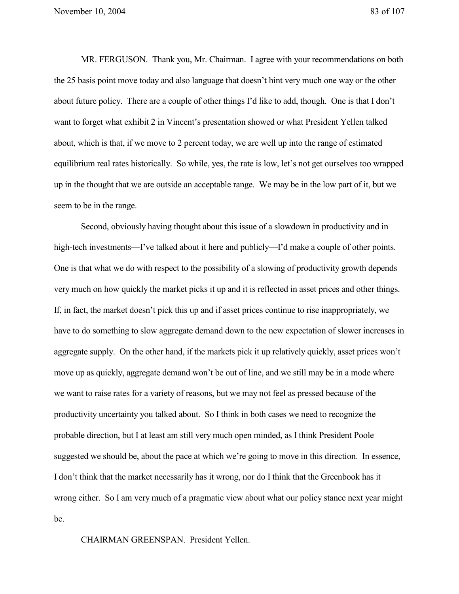November 10, 2004 83 of 107

MR. FERGUSON. Thank you, Mr. Chairman. I agree with your recommendations on both the 25 basis point move today and also language that doesn't hint very much one way or the other about future policy. There are a couple of other things I'd like to add, though. One is that I don't want to forget what exhibit 2 in Vincent's presentation showed or what President Yellen talked about, which is that, if we move to 2 percent today, we are well up into the range of estimated equilibrium real rates historically. So while, yes, the rate is low, let's not get ourselves too wrapped up in the thought that we are outside an acceptable range. We may be in the low part of it, but we seem to be in the range.

Second, obviously having thought about this issue of a slowdown in productivity and in high-tech investments—I've talked about it here and publicly—I'd make a couple of other points. One is that what we do with respect to the possibility of a slowing of productivity growth depends very much on how quickly the market picks it up and it is reflected in asset prices and other things. If, in fact, the market doesn't pick this up and if asset prices continue to rise inappropriately, we have to do something to slow aggregate demand down to the new expectation of slower increases in aggregate supply. On the other hand, if the markets pick it up relatively quickly, asset prices won't move up as quickly, aggregate demand won't be out of line, and we still may be in a mode where we want to raise rates for a variety of reasons, but we may not feel as pressed because of the productivity uncertainty you talked about. So I think in both cases we need to recognize the probable direction, but I at least am still very much open minded, as I think President Poole suggested we should be, about the pace at which we're going to move in this direction. In essence, I don't think that the market necessarily has it wrong, nor do I think that the Greenbook has it wrong either. So I am very much of a pragmatic view about what our policy stance next year might be.

CHAIRMAN GREENSPAN. President Yellen.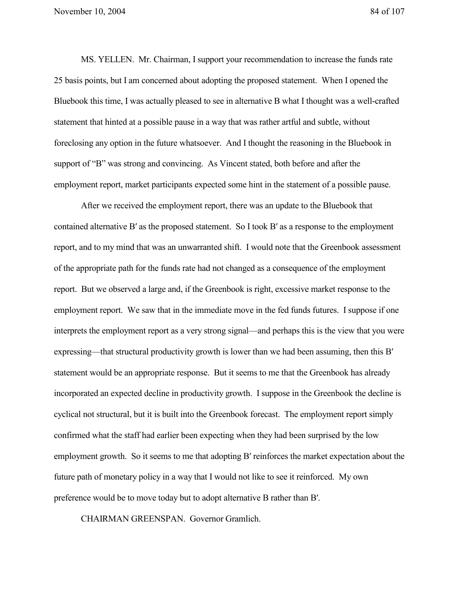MS. YELLEN. Mr. Chairman, I support your recommendation to increase the funds rate 25 basis points, but I am concerned about adopting the proposed statement. When I opened the Bluebook this time, I was actually pleased to see in alternative B what I thought was a well-crafted statement that hinted at a possible pause in a way that was rather artful and subtle, without foreclosing any option in the future whatsoever. And I thought the reasoning in the Bluebook in support of "B" was strong and convincing. As Vincent stated, both before and after the employment report, market participants expected some hint in the statement of a possible pause.

After we received the employment report, there was an update to the Bluebook that contained alternative B′ as the proposed statement. So I took B′ as a response to the employment report, and to my mind that was an unwarranted shift. I would note that the Greenbook assessment of the appropriate path for the funds rate had not changed as a consequence of the employment report. But we observed a large and, if the Greenbook is right, excessive market response to the employment report. We saw that in the immediate move in the fed funds futures. I suppose if one interprets the employment report as a very strong signal—and perhaps this is the view that you were expressing—that structural productivity growth is lower than we had been assuming, then this B′ statement would be an appropriate response. But it seems to me that the Greenbook has already incorporated an expected decline in productivity growth. I suppose in the Greenbook the decline is cyclical not structural, but it is built into the Greenbook forecast. The employment report simply confirmed what the staff had earlier been expecting when they had been surprised by the low employment growth. So it seems to me that adopting B′ reinforces the market expectation about the future path of monetary policy in a way that I would not like to see it reinforced. My own preference would be to move today but to adopt alternative B rather than B′.

CHAIRMAN GREENSPAN. Governor Gramlich.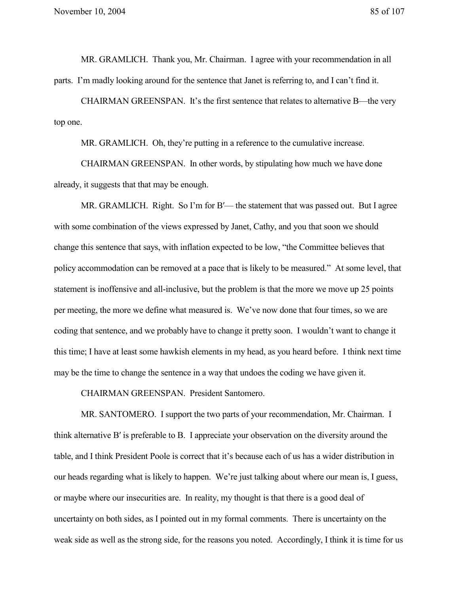MR. GRAMLICH. Thank you, Mr. Chairman. I agree with your recommendation in all parts. I'm madly looking around for the sentence that Janet is referring to, and I can't find it.

CHAIRMAN GREENSPAN. It's the first sentence that relates to alternative B—the very top one.

MR. GRAMLICH. Oh, they're putting in a reference to the cumulative increase.

CHAIRMAN GREENSPAN. In other words, by stipulating how much we have done already, it suggests that that may be enough.

MR. GRAMLICH. Right. So I'm for B′— the statement that was passed out. But I agree with some combination of the views expressed by Janet, Cathy, and you that soon we should change this sentence that says, with inflation expected to be low, "the Committee believes that policy accommodation can be removed at a pace that is likely to be measured." At some level, that statement is inoffensive and all-inclusive, but the problem is that the more we move up 25 points per meeting, the more we define what measured is. We've now done that four times, so we are coding that sentence, and we probably have to change it pretty soon. I wouldn't want to change it this time; I have at least some hawkish elements in my head, as you heard before. I think next time may be the time to change the sentence in a way that undoes the coding we have given it.

CHAIRMAN GREENSPAN. President Santomero.

MR. SANTOMERO. I support the two parts of your recommendation, Mr. Chairman. I think alternative B′ is preferable to B. I appreciate your observation on the diversity around the table, and I think President Poole is correct that it's because each of us has a wider distribution in our heads regarding what is likely to happen. We're just talking about where our mean is, I guess, or maybe where our insecurities are. In reality, my thought is that there is a good deal of uncertainty on both sides, as I pointed out in my formal comments. There is uncertainty on the weak side as well as the strong side, for the reasons you noted. Accordingly, I think it is time for us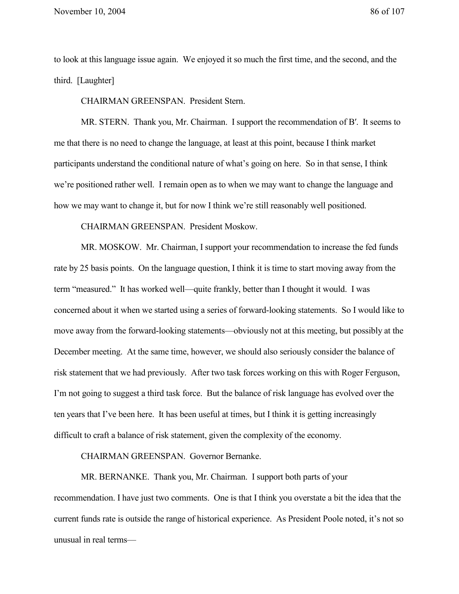to look at this language issue again. We enjoyed it so much the first time, and the second, and the third. [Laughter]

CHAIRMAN GREENSPAN. President Stern.

MR. STERN. Thank you, Mr. Chairman. I support the recommendation of B′. It seems to me that there is no need to change the language, at least at this point, because I think market participants understand the conditional nature of what's going on here. So in that sense, I think we're positioned rather well. I remain open as to when we may want to change the language and how we may want to change it, but for now I think we're still reasonably well positioned.

CHAIRMAN GREENSPAN. President Moskow.

MR. MOSKOW. Mr. Chairman, I support your recommendation to increase the fed funds rate by 25 basis points. On the language question, I think it is time to start moving away from the term "measured." It has worked well—quite frankly, better than I thought it would. I was concerned about it when we started using a series of forward-looking statements. So I would like to move away from the forward-looking statements—obviously not at this meeting, but possibly at the December meeting. At the same time, however, we should also seriously consider the balance of risk statement that we had previously. After two task forces working on this with Roger Ferguson, I'm not going to suggest a third task force. But the balance of risk language has evolved over the ten years that I've been here. It has been useful at times, but I think it is getting increasingly difficult to craft a balance of risk statement, given the complexity of the economy.

CHAIRMAN GREENSPAN. Governor Bernanke.

MR. BERNANKE. Thank you, Mr. Chairman. I support both parts of your recommendation. I have just two comments. One is that I think you overstate a bit the idea that the current funds rate is outside the range of historical experience. As President Poole noted, it's not so unusual in real terms—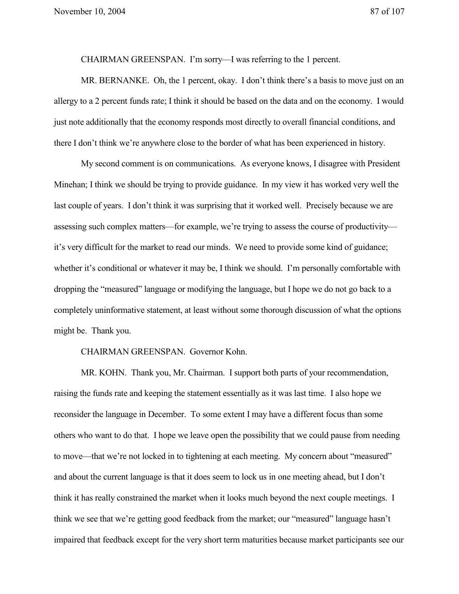CHAIRMAN GREENSPAN. I'm sorry—I was referring to the 1 percent.

MR. BERNANKE. Oh, the 1 percent, okay. I don't think there's a basis to move just on an allergy to a 2 percent funds rate; I think it should be based on the data and on the economy. I would just note additionally that the economy responds most directly to overall financial conditions, and there I don't think we're anywhere close to the border of what has been experienced in history.

My second comment is on communications. As everyone knows, I disagree with President Minehan; I think we should be trying to provide guidance. In my view it has worked very well the last couple of years. I don't think it was surprising that it worked well. Precisely because we are assessing such complex matters—for example, we're trying to assess the course of productivity it's very difficult for the market to read our minds. We need to provide some kind of guidance; whether it's conditional or whatever it may be, I think we should. I'm personally comfortable with dropping the "measured" language or modifying the language, but I hope we do not go back to a completely uninformative statement, at least without some thorough discussion of what the options might be. Thank you.

CHAIRMAN GREENSPAN. Governor Kohn.

MR. KOHN. Thank you, Mr. Chairman. I support both parts of your recommendation, raising the funds rate and keeping the statement essentially as it was last time. I also hope we reconsider the language in December. To some extent I may have a different focus than some others who want to do that. I hope we leave open the possibility that we could pause from needing to move—that we're not locked in to tightening at each meeting. My concern about "measured" and about the current language is that it does seem to lock us in one meeting ahead, but I don't think it has really constrained the market when it looks much beyond the next couple meetings. I think we see that we're getting good feedback from the market; our "measured" language hasn't impaired that feedback except for the very short term maturities because market participants see our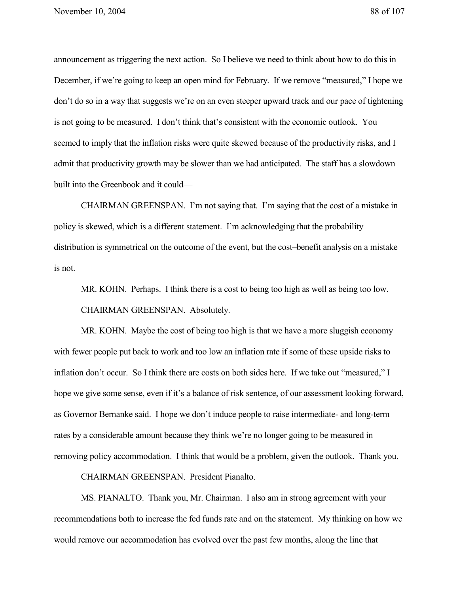announcement as triggering the next action. So I believe we need to think about how to do this in December, if we're going to keep an open mind for February. If we remove "measured," I hope we don't do so in a way that suggests we're on an even steeper upward track and our pace of tightening is not going to be measured. I don't think that's consistent with the economic outlook. You seemed to imply that the inflation risks were quite skewed because of the productivity risks, and I admit that productivity growth may be slower than we had anticipated. The staff has a slowdown built into the Greenbook and it could—

CHAIRMAN GREENSPAN. I'm not saying that. I'm saying that the cost of a mistake in policy is skewed, which is a different statement. I'm acknowledging that the probability distribution is symmetrical on the outcome of the event, but the cost–benefit analysis on a mistake is not.

MR. KOHN. Perhaps. I think there is a cost to being too high as well as being too low. CHAIRMAN GREENSPAN. Absolutely.

MR. KOHN. Maybe the cost of being too high is that we have a more sluggish economy with fewer people put back to work and too low an inflation rate if some of these upside risks to inflation don't occur. So I think there are costs on both sides here. If we take out "measured," I hope we give some sense, even if it's a balance of risk sentence, of our assessment looking forward, as Governor Bernanke said. I hope we don't induce people to raise intermediate- and long-term rates by a considerable amount because they think we're no longer going to be measured in removing policy accommodation. I think that would be a problem, given the outlook. Thank you.

CHAIRMAN GREENSPAN. President Pianalto.

MS. PIANALTO. Thank you, Mr. Chairman. I also am in strong agreement with your recommendations both to increase the fed funds rate and on the statement. My thinking on how we would remove our accommodation has evolved over the past few months, along the line that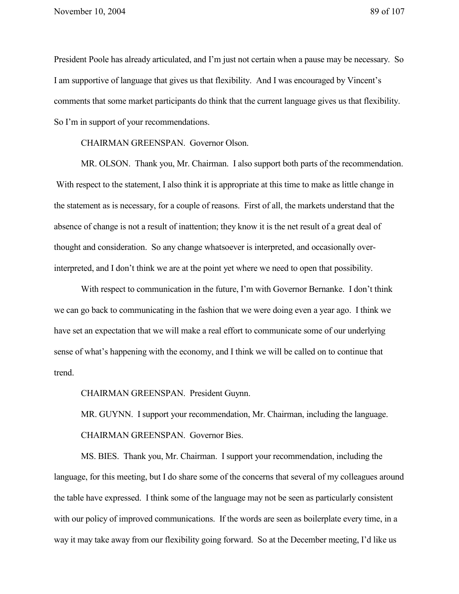President Poole has already articulated, and I'm just not certain when a pause may be necessary. So I am supportive of language that gives us that flexibility. And I was encouraged by Vincent's comments that some market participants do think that the current language gives us that flexibility. So I'm in support of your recommendations.

CHAIRMAN GREENSPAN. Governor Olson.

MR. OLSON. Thank you, Mr. Chairman. I also support both parts of the recommendation. With respect to the statement, I also think it is appropriate at this time to make as little change in the statement as is necessary, for a couple of reasons. First of all, the markets understand that the absence of change is not a result of inattention; they know it is the net result of a great deal of thought and consideration. So any change whatsoever is interpreted, and occasionally overinterpreted, and I don't think we are at the point yet where we need to open that possibility.

With respect to communication in the future, I'm with Governor Bernanke. I don't think we can go back to communicating in the fashion that we were doing even a year ago. I think we have set an expectation that we will make a real effort to communicate some of our underlying sense of what's happening with the economy, and I think we will be called on to continue that trend.

CHAIRMAN GREENSPAN. President Guynn.

MR. GUYNN. I support your recommendation, Mr. Chairman, including the language. CHAIRMAN GREENSPAN. Governor Bies.

MS. BIES. Thank you, Mr. Chairman. I support your recommendation, including the language, for this meeting, but I do share some of the concerns that several of my colleagues around the table have expressed. I think some of the language may not be seen as particularly consistent with our policy of improved communications. If the words are seen as boilerplate every time, in a way it may take away from our flexibility going forward. So at the December meeting, I'd like us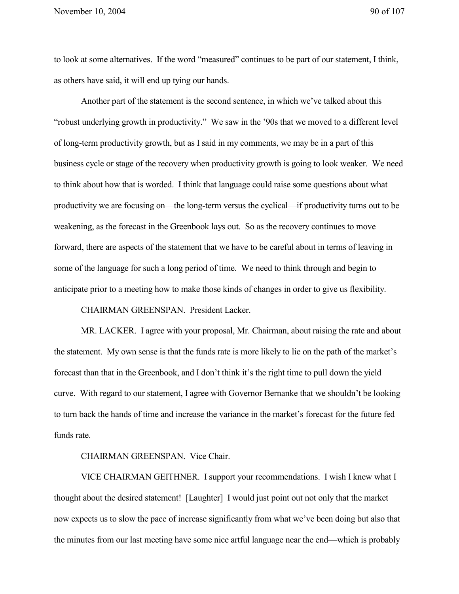to look at some alternatives. If the word "measured" continues to be part of our statement, I think, as others have said, it will end up tying our hands.

Another part of the statement is the second sentence, in which we've talked about this "robust underlying growth in productivity." We saw in the '90s that we moved to a different level of long-term productivity growth, but as I said in my comments, we may be in a part of this business cycle or stage of the recovery when productivity growth is going to look weaker. We need to think about how that is worded. I think that language could raise some questions about what productivity we are focusing on—the long-term versus the cyclical—if productivity turns out to be weakening, as the forecast in the Greenbook lays out. So as the recovery continues to move forward, there are aspects of the statement that we have to be careful about in terms of leaving in some of the language for such a long period of time. We need to think through and begin to anticipate prior to a meeting how to make those kinds of changes in order to give us flexibility.

CHAIRMAN GREENSPAN. President Lacker.

MR. LACKER. I agree with your proposal, Mr. Chairman, about raising the rate and about the statement. My own sense is that the funds rate is more likely to lie on the path of the market's forecast than that in the Greenbook, and I don't think it's the right time to pull down the yield curve. With regard to our statement, I agree with Governor Bernanke that we shouldn't be looking to turn back the hands of time and increase the variance in the market's forecast for the future fed funds rate.

## CHAIRMAN GREENSPAN. Vice Chair.

VICE CHAIRMAN GEITHNER. I support your recommendations. I wish I knew what I thought about the desired statement! [Laughter] I would just point out not only that the market now expects us to slow the pace of increase significantly from what we've been doing but also that the minutes from our last meeting have some nice artful language near the end—which is probably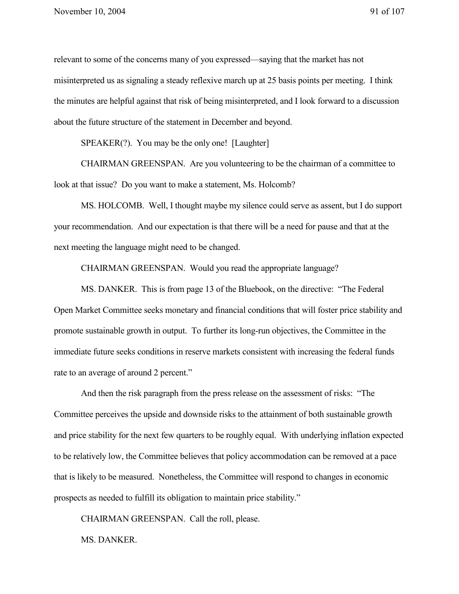relevant to some of the concerns many of you expressed—saying that the market has not misinterpreted us as signaling a steady reflexive march up at 25 basis points per meeting. I think the minutes are helpful against that risk of being misinterpreted, and I look forward to a discussion about the future structure of the statement in December and beyond.

SPEAKER(?). You may be the only one! [Laughter]

CHAIRMAN GREENSPAN. Are you volunteering to be the chairman of a committee to look at that issue? Do you want to make a statement, Ms. Holcomb?

MS. HOLCOMB. Well, I thought maybe my silence could serve as assent, but I do support your recommendation. And our expectation is that there will be a need for pause and that at the next meeting the language might need to be changed.

CHAIRMAN GREENSPAN. Would you read the appropriate language?

MS. DANKER. This is from page 13 of the Bluebook, on the directive: "The Federal Open Market Committee seeks monetary and financial conditions that will foster price stability and promote sustainable growth in output. To further its long-run objectives, the Committee in the immediate future seeks conditions in reserve markets consistent with increasing the federal funds rate to an average of around 2 percent."

And then the risk paragraph from the press release on the assessment of risks: "The Committee perceives the upside and downside risks to the attainment of both sustainable growth and price stability for the next few quarters to be roughly equal. With underlying inflation expected to be relatively low, the Committee believes that policy accommodation can be removed at a pace that is likely to be measured. Nonetheless, the Committee will respond to changes in economic prospects as needed to fulfill its obligation to maintain price stability."

CHAIRMAN GREENSPAN. Call the roll, please.

MS. DANKER.